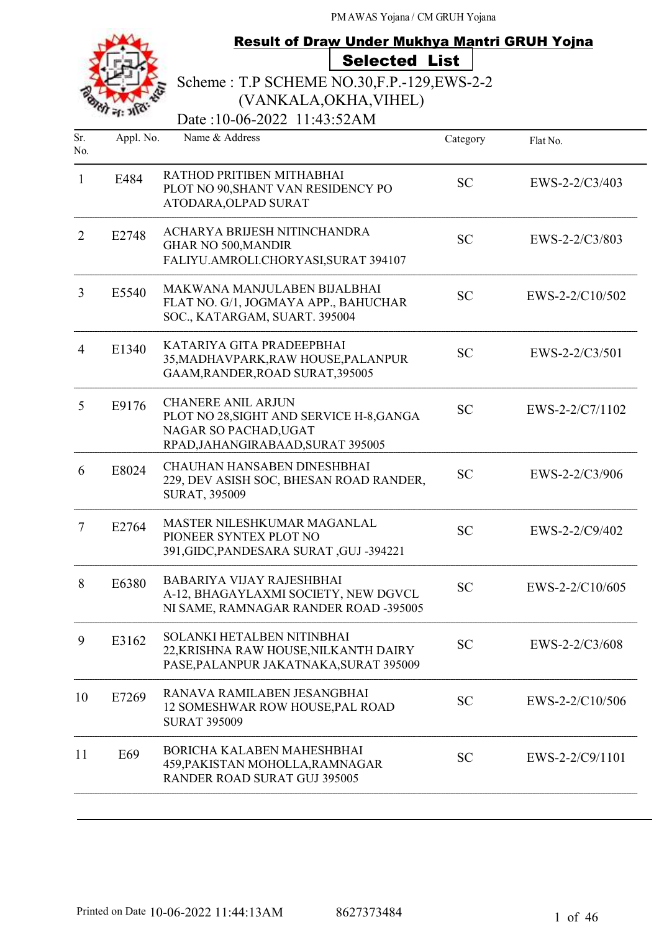

# **Result of Draw Under Mukhya Mantri GRUH Yojna** Selected List

Scheme : T.P SCHEME NO.30,F.P.-129,EWS-2-2 (VANKALA,OKHA,VIHEL)

Date:10-06-2022 11:43:52AM

| Sr.<br>No. | Appl. No. | Name & Address                                                                                                                      | Category  | Flat No.         |
|------------|-----------|-------------------------------------------------------------------------------------------------------------------------------------|-----------|------------------|
| 1          | E484      | RATHOD PRITIBEN MITHABHAI<br>PLOT NO 90, SHANT VAN RESIDENCY PO<br>ATODARA, OLPAD SURAT                                             | <b>SC</b> | $EWS-2-2/C3/403$ |
| 2          | E2748     | ACHARYA BRIJESH NITINCHANDRA<br><b>GHAR NO 500, MANDIR</b><br>FALIYU.AMROLI.CHORYASI,SURAT 394107                                   | <b>SC</b> | EWS-2-2/C3/803   |
| 3          | E5540     | MAKWANA MANJULABEN BIJALBHAI<br>FLAT NO. G/1, JOGMAYA APP., BAHUCHAR<br>SOC., KATARGAM, SUART. 395004                               | <b>SC</b> | EWS-2-2/C10/502  |
| 4          | E1340     | KATARIYA GITA PRADEEPBHAI<br>35, MADHAVPARK, RAW HOUSE, PALANPUR<br>GAAM, RANDER, ROAD SURAT, 395005                                | <b>SC</b> | $EWS-2-2/C3/501$ |
| 5          | E9176     | <b>CHANERE ANIL ARJUN</b><br>PLOT NO 28, SIGHT AND SERVICE H-8, GANGA<br>NAGAR SO PACHAD, UGAT<br>RPAD, JAHANGIRABAAD, SURAT 395005 | <b>SC</b> | EWS-2-2/C7/1102  |
| 6          | E8024     | <b>CHAUHAN HANSABEN DINESHBHAI</b><br>229, DEV ASISH SOC, BHESAN ROAD RANDER,<br>SURAT, 395009                                      | <b>SC</b> | EWS-2-2/C3/906   |
| 7          | E2764     | MASTER NILESHKUMAR MAGANLAL<br>PIONEER SYNTEX PLOT NO<br>391, GIDC, PANDESARA SURAT, GUJ -394221                                    | <b>SC</b> | $EWS-2-2/C9/402$ |
| 8          | E6380     | <b>BABARIYA VIJAY RAJESHBHAI</b><br>A-12, BHAGAYLAXMI SOCIETY, NEW DGVCL<br>NI SAME, RAMNAGAR RANDER ROAD -395005                   | <b>SC</b> | EWS-2-2/C10/605  |
| 9          | E3162     | SOLANKI HETALBEN NITINBHAI<br>22, KRISHNA RAW HOUSE, NILKANTH DAIRY<br>PASE, PALANPUR JAKATNAKA, SURAT 395009                       | <b>SC</b> | EWS-2-2/C3/608   |
| 10         | E7269     | RANAVA RAMILABEN JESANGBHAI<br>12 SOMESHWAR ROW HOUSE, PAL ROAD<br><b>SURAT 395009</b>                                              | <b>SC</b> | EWS-2-2/C10/506  |
| 11         | E69       | BORICHA KALABEN MAHESHBHAI<br>459, PAKISTAN MOHOLLA, RAMNAGAR<br>RANDER ROAD SURAT GUJ 395005                                       | <b>SC</b> | EWS-2-2/C9/1101  |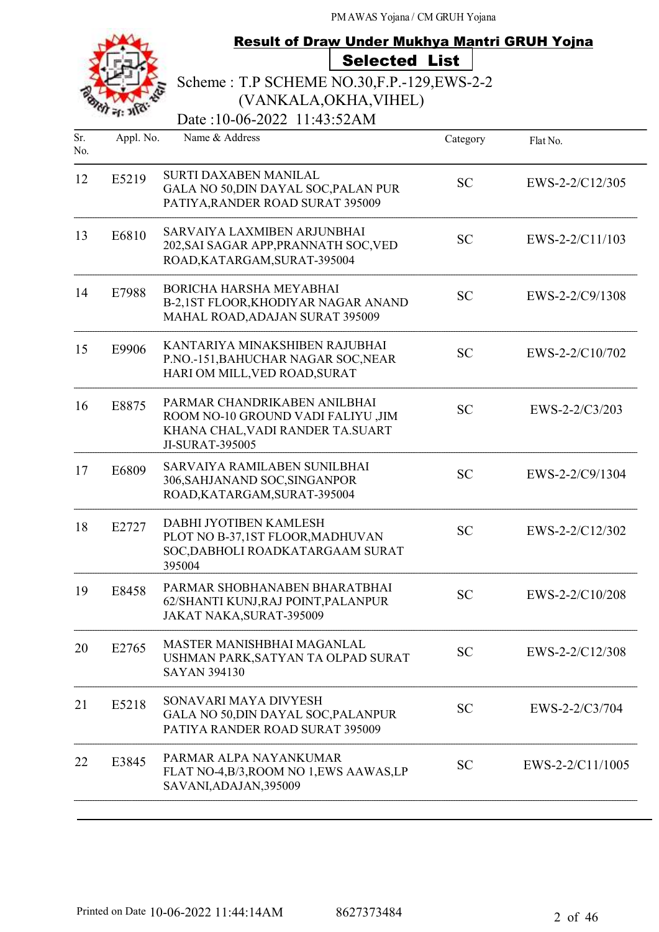# Result of Draw Under Mukhya Mantri GRUH Yojna Selected List

Scheme : T.P SCHEME NO.30,F.P.-129,EWS-2-2

(VANKALA,OKHA,VIHEL)

Date:10-06-2022 11:43:52AM

| Sr.<br>No. | Appl. No. | Name & Address                                                                                                             | Category  | Flat No.         |
|------------|-----------|----------------------------------------------------------------------------------------------------------------------------|-----------|------------------|
| 12         | E5219     | SURTI DAXABEN MANILAL<br>GALA NO 50, DIN DAYAL SOC, PALAN PUR<br>PATIYA, RANDER ROAD SURAT 395009                          | <b>SC</b> | EWS-2-2/C12/305  |
| 13         | E6810     | SARVAIYA LAXMIBEN ARJUNBHAI<br>202, SAI SAGAR APP, PRANNATH SOC, VED<br>ROAD, KATARGAM, SURAT-395004                       | <b>SC</b> | EWS-2-2/C11/103  |
| 14         | E7988     | <b>BORICHA HARSHA MEYABHAI</b><br>B-2,1ST FLOOR, KHODIYAR NAGAR ANAND<br>MAHAL ROAD, ADAJAN SURAT 395009                   | <b>SC</b> | EWS-2-2/C9/1308  |
| 15         | E9906     | KANTARIYA MINAKSHIBEN RAJUBHAI<br>P.NO.-151, BAHUCHAR NAGAR SOC, NEAR<br>HARI OM MILL, VED ROAD, SURAT                     | <b>SC</b> | EWS-2-2/C10/702  |
| 16         | E8875     | PARMAR CHANDRIKABEN ANILBHAI<br>ROOM NO-10 GROUND VADI FALIYU ,JIM<br>KHANA CHAL, VADI RANDER TA. SUART<br>JI-SURAT-395005 | <b>SC</b> | EWS-2-2/C3/203   |
| 17         | E6809     | SARVAIYA RAMILABEN SUNILBHAI<br>306, SAHJANAND SOC, SINGANPOR<br>ROAD, KATARGAM, SURAT-395004                              | <b>SC</b> | EWS-2-2/C9/1304  |
| 18         | E2727     | DABHI JYOTIBEN KAMLESH<br>PLOT NO B-37,1ST FLOOR, MADHUVAN<br>SOC, DABHOLI ROADKATARGAAM SURAT<br>395004                   | <b>SC</b> | EWS-2-2/C12/302  |
| 19         | E8458     | PARMAR SHOBHANABEN BHARATBHAI<br>62/SHANTI KUNJ,RAJ POINT,PALANPUR<br>JAKAT NAKA, SURAT-395009                             | <b>SC</b> | EWS-2-2/C10/208  |
| 20         | E2765     | <b>MASTER MANISHBHAI MAGANLAL</b><br>USHMAN PARK, SATYAN TA OLPAD SURAT<br><b>SAYAN 394130</b>                             | <b>SC</b> | EWS-2-2/C12/308  |
| 21         | E5218     | SONAVARI MAYA DIVYESH<br>GALA NO 50, DIN DAYAL SOC, PALANPUR<br>PATIYA RANDER ROAD SURAT 395009                            | <b>SC</b> | EWS-2-2/C3/704   |
| 22         | E3845     | PARMAR ALPA NAYANKUMAR<br>FLAT NO-4, B/3, ROOM NO 1, EWS AAWAS, LP<br>SAVANI, ADAJAN, 395009                               | <b>SC</b> | EWS-2-2/C11/1005 |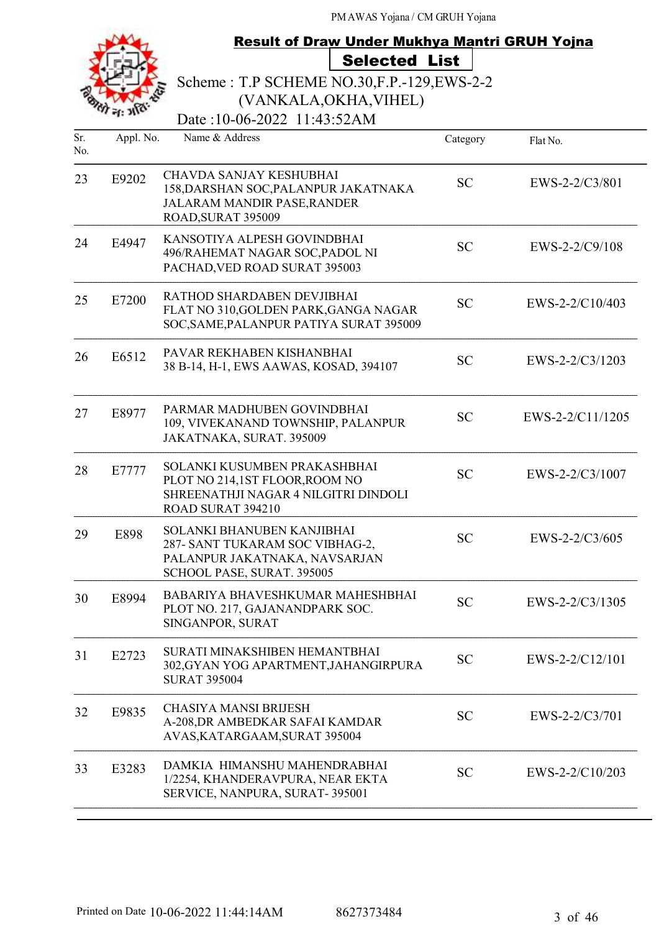|            |           | <b>Result of Draw Under Mukhya Mantri GRUH Yojna</b>                                                                         |           |                   |
|------------|-----------|------------------------------------------------------------------------------------------------------------------------------|-----------|-------------------|
|            |           | <b>Selected List</b>                                                                                                         |           |                   |
|            |           | Scheme: T.P SCHEME NO.30, F.P. - 129, EWS-2-2                                                                                |           |                   |
|            |           | (VANKALA, OKHA, VIHEL)                                                                                                       |           |                   |
|            |           | Date:10-06-2022 11:43:52AM                                                                                                   |           |                   |
| Sr.<br>No. | Appl. No. | Name & Address                                                                                                               | Category  | Flat No.          |
| 23         | E9202     | <b>CHAVDA SANJAY KESHUBHAI</b><br>158, DARSHAN SOC, PALANPUR JAKATNAKA<br>JALARAM MANDIR PASE, RANDER<br>ROAD, SURAT 395009  | <b>SC</b> | EWS-2-2/C3/801    |
| 24         | E4947     | KANSOTIYA ALPESH GOVINDBHAI<br>496/RAHEMAT NAGAR SOC, PADOL NI<br>PACHAD, VED ROAD SURAT 395003                              | <b>SC</b> | EWS-2-2/C9/108    |
| 25         | E7200     | RATHOD SHARDABEN DEVJIBHAI<br>FLAT NO 310, GOLDEN PARK, GANGA NAGAR<br>SOC, SAME, PALANPUR PATIYA SURAT 395009               | <b>SC</b> | EWS-2-2/C10/403   |
| 26         | E6512     | PAVAR REKHABEN KISHANBHAI<br>38 B-14, H-1, EWS AAWAS, KOSAD, 394107                                                          | <b>SC</b> | EWS-2-2/C3/1203   |
| 27         | E8977     | PARMAR MADHUBEN GOVINDBHAI<br>109, VIVEKANAND TOWNSHIP, PALANPUR<br>JAKATNAKA, SURAT. 395009                                 | <b>SC</b> | EWS-2-2/C11/1205  |
| 28         | E7777     | SOLANKI KUSUMBEN PRAKASHBHAI<br>PLOT NO 214,1ST FLOOR, ROOM NO<br>SHREENATHJI NAGAR 4 NILGITRI DINDOLI<br>ROAD SURAT 394210  | <b>SC</b> | EWS-2-2/C3/1007   |
| 29         | E898      | SOLANKI BHANUBEN KANJIBHAI<br>287- SANT TUKARAM SOC VIBHAG-2,<br>PALANPUR JAKATNAKA, NAVSARJAN<br>SCHOOL PASE, SURAT. 395005 | <b>SC</b> | EWS-2-2/C3/605    |
| 30         | E8994     | BABARIYA BHAVESHKUMAR MAHESHBHAI<br>PLOT NO. 217, GAJANANDPARK SOC.<br>SINGANPOR, SURAT                                      | <b>SC</b> | EWS-2-2/C3/1305   |
| 31         | E2723     | SURATI MINAKSHIBEN HEMANTBHAI<br>302, GYAN YOG APARTMENT, JAHANGIRPURA<br><b>SURAT 395004</b>                                | <b>SC</b> | $EWS-2-2/C12/101$ |
| 32         | E9835     | <b>CHASIYA MANSI BRIJESH</b><br>A-208, DR AMBEDKAR SAFAI KAMDAR<br>AVAS, KATARGAAM, SURAT 395004                             | <b>SC</b> | EWS-2-2/C3/701    |
| 33         | E3283     | DAMKIA HIMANSHU MAHENDRABHAI<br>1/2254, KHANDERAVPURA, NEAR EKTA<br>SERVICE, NANPURA, SURAT-395001                           | <b>SC</b> | EWS-2-2/C10/203   |
|            |           |                                                                                                                              |           |                   |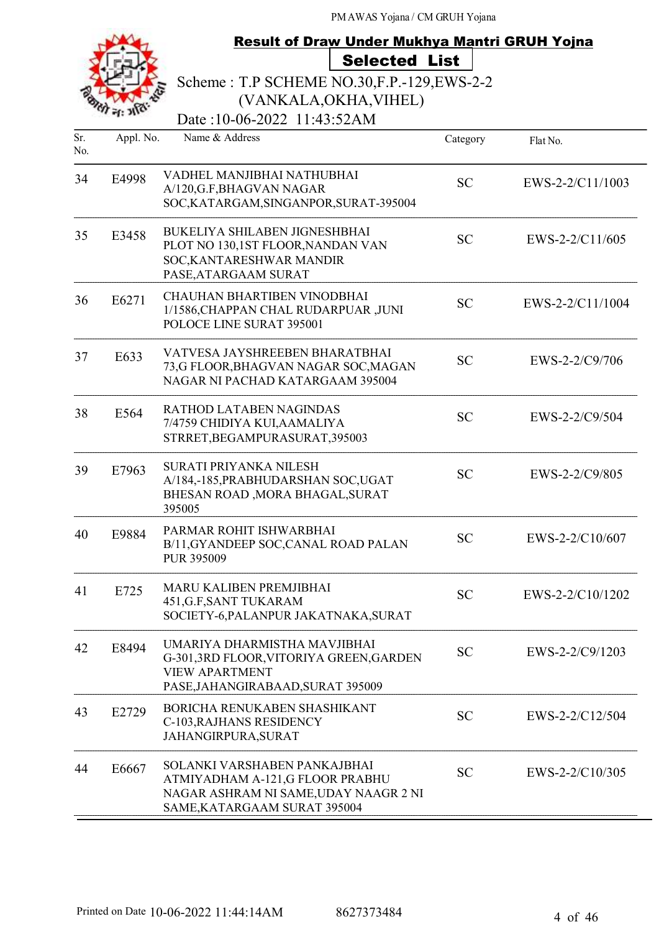|            |           | <b>Result of Draw Under Mukhya Mantri GRUH Yojna</b>                                                                                     |           |                   |
|------------|-----------|------------------------------------------------------------------------------------------------------------------------------------------|-----------|-------------------|
|            |           | <b>Selected List</b>                                                                                                                     |           |                   |
|            |           | Scheme: T.P SCHEME NO.30, F.P.-129, EWS-2-2                                                                                              |           |                   |
|            |           | (VANKALA, OKHA, VIHEL)                                                                                                                   |           |                   |
|            |           | Date:10-06-2022 11:43:52AM                                                                                                               |           |                   |
| Sr.<br>No. | Appl. No. | Name & Address                                                                                                                           | Category  | Flat No.          |
| 34         | E4998     | VADHEL MANJIBHAI NATHUBHAI<br>A/120, G.F, BHAGVAN NAGAR<br>SOC, KATARGAM, SINGANPOR, SURAT-395004                                        | <b>SC</b> | EWS-2-2/C11/1003  |
| 35         | E3458     | <b>BUKELIYA SHILABEN JIGNESHBHAI</b><br>PLOT NO 130,1ST FLOOR, NANDAN VAN<br>SOC, KANTARESHWAR MANDIR<br>PASE, ATARGAAM SURAT            | <b>SC</b> | $EWS-2-2/C11/605$ |
| 36         | E6271     | <b>CHAUHAN BHARTIBEN VINODBHAI</b><br>1/1586, CHAPPAN CHAL RUDARPUAR, JUNI<br>POLOCE LINE SURAT 395001                                   | <b>SC</b> | EWS-2-2/C11/1004  |
| 37         | E633      | VATVESA JAYSHREEBEN BHARATBHAI<br>73,G FLOOR, BHAGVAN NAGAR SOC, MAGAN<br>NAGAR NI PACHAD KATARGAAM 395004                               | <b>SC</b> | EWS-2-2/C9/706    |
| 38         | E564      | RATHOD LATABEN NAGINDAS<br>7/4759 CHIDIYA KUI, AAMALIYA<br>STRRET, BEGAMPURASURAT, 395003                                                | <b>SC</b> | EWS-2-2/C9/504    |
| 39         | E7963     | SURATI PRIYANKA NILESH<br>A/184,-185, PRABHUDARSHAN SOC, UGAT<br>BHESAN ROAD , MORA BHAGAL, SURAT<br>395005                              | <b>SC</b> | EWS-2-2/C9/805    |
| 40         | E9884     | PARMAR ROHIT ISHWARBHAI<br>B/11, GYANDEEP SOC, CANAL ROAD PALAN<br>PUR 395009                                                            | <b>SC</b> | EWS-2-2/C10/607   |
| 41         | E725      | <b>MARU KALIBEN PREMJIBHAI</b><br>451, G.F, SANT TUKARAM<br>SOCIETY-6, PALANPUR JAKATNAKA, SURAT                                         | <b>SC</b> | EWS-2-2/C10/1202  |
| 42         | E8494     | UMARIYA DHARMISTHA MAVJIBHAI<br>G-301,3RD FLOOR, VITORIYA GREEN, GARDEN<br><b>VIEW APARTMENT</b><br>PASE, JAHANGIRABAAD, SURAT 395009    | <b>SC</b> | EWS-2-2/C9/1203   |
| 43         | E2729     | BORICHA RENUKABEN SHASHIKANT<br>C-103, RAJHANS RESIDENCY<br>JAHANGIRPURA, SURAT                                                          | <b>SC</b> | EWS-2-2/C12/504   |
| 44         | E6667     | SOLANKI VARSHABEN PANKAJBHAI<br>ATMIYADHAM A-121,G FLOOR PRABHU<br>NAGAR ASHRAM NI SAME, UDAY NAAGR 2 NI<br>SAME, KATARGAAM SURAT 395004 | <b>SC</b> | EWS-2-2/C10/305   |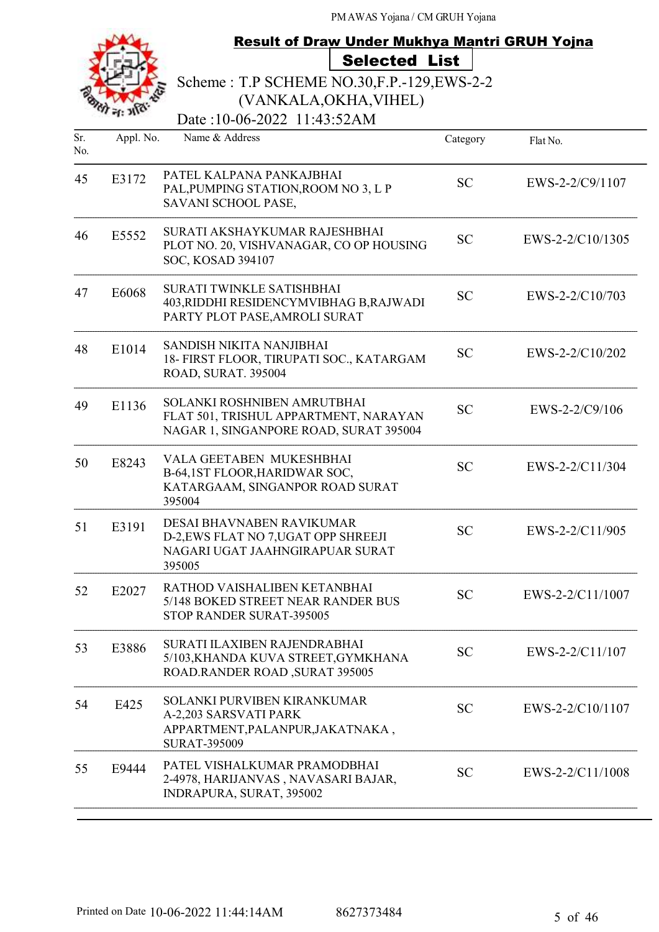

### Result of Draw Under Mukhya Mantri GRUH Yojna Selected List

Scheme : T.P SCHEME NO.30,F.P.-129,EWS-2-2 (VANKALA,OKHA,VIHEL)

Date:10-06-2022 11:43:52AM

| Sr. | Appl. No. | Name & Address                                                                                                  | Category  | Flat No.         |
|-----|-----------|-----------------------------------------------------------------------------------------------------------------|-----------|------------------|
| No. |           |                                                                                                                 |           |                  |
| 45  | E3172     | PATEL KALPANA PANKAJBHAI<br>PAL, PUMPING STATION, ROOM NO 3, L P<br>SAVANI SCHOOL PASE,                         | <b>SC</b> | EWS-2-2/C9/1107  |
| 46  | E5552     | SURATI AKSHAYKUMAR RAJESHBHAI<br>PLOT NO. 20, VISHVANAGAR, CO OP HOUSING<br>SOC, KOSAD 394107                   | <b>SC</b> | EWS-2-2/C10/1305 |
| 47  | E6068     | SURATI TWINKLE SATISHBHAI<br>403, RIDDHI RESIDENCYMVIBHAG B, RAJWADI<br>PARTY PLOT PASE, AMROLI SURAT           | <b>SC</b> | EWS-2-2/C10/703  |
| 48  | E1014     | SANDISH NIKITA NANJIBHAI<br>18- FIRST FLOOR, TIRUPATI SOC., KATARGAM<br>ROAD, SURAT. 395004                     | <b>SC</b> | EWS-2-2/C10/202  |
| 49  | E1136     | SOLANKI ROSHNIBEN AMRUTBHAI<br>FLAT 501, TRISHUL APPARTMENT, NARAYAN<br>NAGAR 1, SINGANPORE ROAD, SURAT 395004  | <b>SC</b> | EWS-2-2/C9/106   |
| 50  | E8243     | VALA GEETABEN MUKESHBHAI<br>B-64,1ST FLOOR, HARIDWAR SOC,<br>KATARGAAM, SINGANPOR ROAD SURAT<br>395004          | <b>SC</b> | EWS-2-2/C11/304  |
| 51  | E3191     | DESAI BHAVNABEN RAVIKUMAR<br>D-2, EWS FLAT NO 7, UGAT OPP SHREEJI<br>NAGARI UGAT JAAHNGIRAPUAR SURAT<br>395005  | <b>SC</b> | EWS-2-2/C11/905  |
| 52  | E2027     | RATHOD VAISHALIBEN KETANBHAI<br>5/148 BOKED STREET NEAR RANDER BUS<br>STOP RANDER SURAT-395005                  | <b>SC</b> | EWS-2-2/C11/1007 |
| 53  | E3886     | SURATI ILAXIBEN RAJENDRABHAI<br>5/103, KHANDA KUVA STREET, GYMKHANA<br>ROAD.RANDER ROAD, SURAT 395005           | <b>SC</b> | EWS-2-2/C11/107  |
| 54  | E425      | SOLANKI PURVIBEN KIRANKUMAR<br>A-2,203 SARSVATI PARK<br>APPARTMENT, PALANPUR, JAKATNAKA,<br><b>SURAT-395009</b> | <b>SC</b> | EWS-2-2/C10/1107 |
| 55  | E9444     | PATEL VISHALKUMAR PRAMODBHAI<br>2-4978, HARIJANVAS, NAVASARI BAJAR,<br>INDRAPURA, SURAT, 395002                 | <b>SC</b> | EWS-2-2/C11/1008 |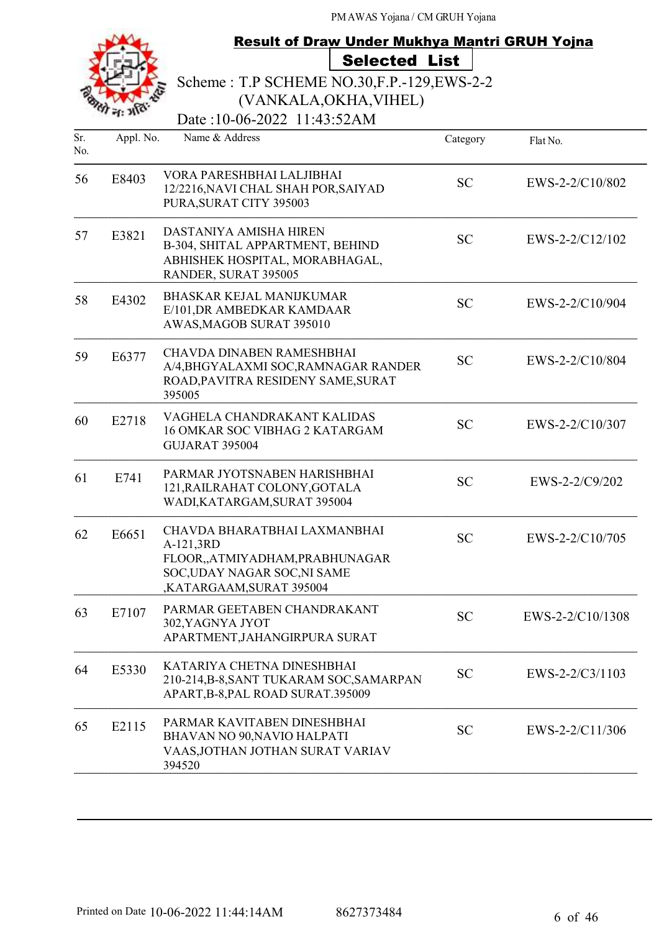|    | S |
|----|---|
| n. |   |

# Result of Draw Under Mukhya Mantri GRUH Yojna Selected List

Scheme : T.P SCHEME NO.30,F.P.-129,EWS-2-2 (VANKALA,OKHA,VIHEL)

Date:10-06-2022 11:43:52AM

| Sr.<br>No. | Appl. No. | Name & Address                                                                                                                        | Category  | Flat No.         |
|------------|-----------|---------------------------------------------------------------------------------------------------------------------------------------|-----------|------------------|
| 56         | E8403     | VORA PARESHBHAI LALJIBHAI<br>12/2216, NAVI CHAL SHAH POR, SAIYAD<br>PURA, SURAT CITY 395003                                           | <b>SC</b> | EWS-2-2/C10/802  |
| 57         | E3821     | DASTANIYA AMISHA HIREN<br>B-304, SHITAL APPARTMENT, BEHIND<br>ABHISHEK HOSPITAL, MORABHAGAL,<br>RANDER, SURAT 395005                  | <b>SC</b> | EWS-2-2/C12/102  |
| 58         | E4302     | BHASKAR KEJAL MANIJKUMAR<br>E/101, DR AMBEDKAR KAMDAAR<br>AWAS, MAGOB SURAT 395010                                                    | <b>SC</b> | EWS-2-2/C10/904  |
| 59         | E6377     | <b>CHAVDA DINABEN RAMESHBHAI</b><br>A/4, BHGYALAXMI SOC, RAMNAGAR RANDER<br>ROAD, PAVITRA RESIDENY SAME, SURAT<br>395005              | <b>SC</b> | EWS-2-2/C10/804  |
| 60         | E2718     | VAGHELA CHANDRAKANT KALIDAS<br>16 OMKAR SOC VIBHAG 2 KATARGAM<br>GUJARAT 395004                                                       | <b>SC</b> | EWS-2-2/C10/307  |
| 61         | E741      | PARMAR JYOTSNABEN HARISHBHAI<br>121, RAILRAHAT COLONY, GOTALA<br>WADI, KATARGAM, SURAT 395004                                         | <b>SC</b> | EWS-2-2/C9/202   |
| 62         | E6651     | CHAVDA BHARATBHAI LAXMANBHAI<br>A-121,3RD<br>FLOOR,,ATMIYADHAM,PRABHUNAGAR<br>SOC, UDAY NAGAR SOC, NI SAME<br>,KATARGAAM,SURAT 395004 | <b>SC</b> | EWS-2-2/C10/705  |
| 63         | E7107     | PARMAR GEETABEN CHANDRAKANT<br>302, YAGNYA JYOT<br>APARTMENT, JAHANGIRPURA SURAT                                                      | <b>SC</b> | EWS-2-2/C10/1308 |
| 64         | E5330     | KATARIYA CHETNA DINESHBHAI<br>210-214, B-8, SANT TUKARAM SOC, SAMARPAN<br>APART, B-8, PAL ROAD SURAT.395009                           | <b>SC</b> | EWS-2-2/C3/1103  |
| 65         | E2115     | PARMAR KAVITABEN DINESHBHAI<br>BHAVAN NO 90, NAVIO HALPATI<br>VAAS, JOTHAN JOTHAN SURAT VARIAV<br>394520                              | <b>SC</b> | EWS-2-2/C11/306  |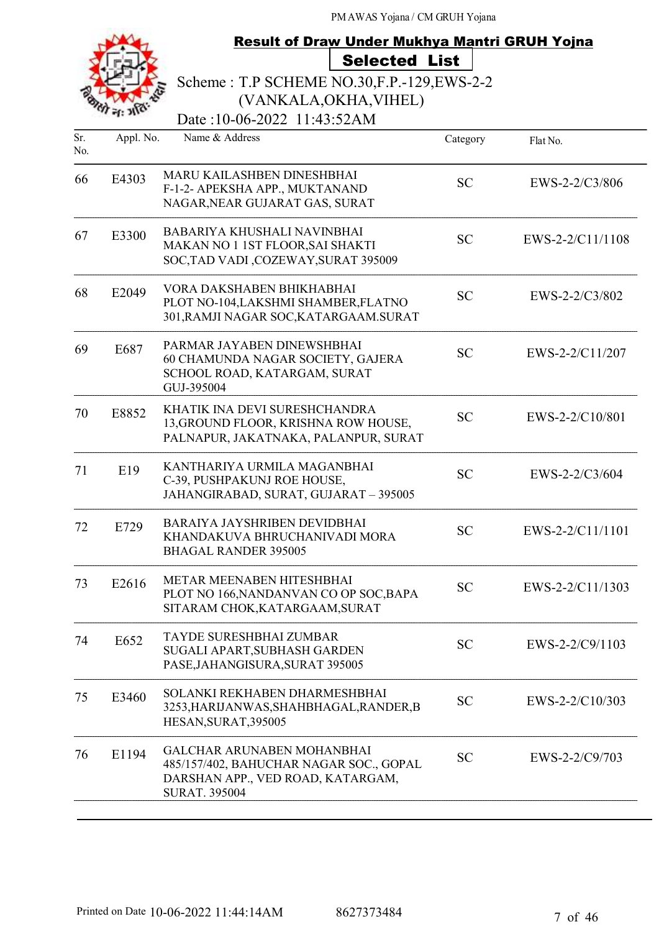|            |                  | <b>Result of Draw Under Mukhya Mantri GRUH Yojna</b>                                                                                      |           |                  |
|------------|------------------|-------------------------------------------------------------------------------------------------------------------------------------------|-----------|------------------|
|            |                  | <b>Selected List</b>                                                                                                                      |           |                  |
|            |                  | Scheme: T.P SCHEME NO.30, F.P. - 129, EWS-2-2                                                                                             |           |                  |
|            |                  | (VANKALA, OKHA, VIHEL)                                                                                                                    |           |                  |
|            |                  | Date:10-06-2022 11:43:52AM                                                                                                                |           |                  |
| Sr.<br>No. | Appl. No.        | Name & Address                                                                                                                            | Category  | Flat No.         |
| 66         | E4303            | MARU KAILASHBEN DINESHBHAI<br>F-1-2- APEKSHA APP., MUKTANAND<br>NAGAR, NEAR GUJARAT GAS, SURAT                                            | <b>SC</b> | EWS-2-2/C3/806   |
| 67         | E3300            | BABARIYA KHUSHALI NAVINBHAI<br>MAKAN NO 1 1ST FLOOR, SAI SHAKTI<br>SOC, TAD VADI, COZEWAY, SURAT 395009                                   | <b>SC</b> | EWS-2-2/C11/1108 |
| 68         | E2049            | VORA DAKSHABEN BHIKHABHAI<br>PLOT NO-104, LAKSHMI SHAMBER, FLATNO<br>301, RAMJI NAGAR SOC, KATARGAAM. SURAT                               | <b>SC</b> | EWS-2-2/C3/802   |
| 69         | E687             | PARMAR JAYABEN DINEWSHBHAI<br>60 CHAMUNDA NAGAR SOCIETY, GAJERA<br>SCHOOL ROAD, KATARGAM, SURAT<br>GUJ-395004                             | <b>SC</b> | EWS-2-2/C11/207  |
| 70         | E8852            | KHATIK INA DEVI SURESHCHANDRA<br>13, GROUND FLOOR, KRISHNA ROW HOUSE,<br>PALNAPUR, JAKATNAKA, PALANPUR, SURAT                             | <b>SC</b> | EWS-2-2/C10/801  |
| 71         | E19              | KANTHARIYA URMILA MAGANBHAI<br>C-39, PUSHPAKUNJ ROE HOUSE,<br>JAHANGIRABAD, SURAT, GUJARAT - 395005                                       | <b>SC</b> | EWS-2-2/C3/604   |
| 72         | E729             | <b>BARAIYA JAYSHRIBEN DEVIDBHAI</b><br>KHANDAKUVA BHRUCHANIVADI MORA<br><b>BHAGAL RANDER 395005</b>                                       | <b>SC</b> | EWS-2-2/C11/1101 |
| 73         | E2616            | METAR MEENABEN HITESHBHAI<br>PLOT NO 166, NANDANVAN CO OP SOC, BAPA<br>SITARAM CHOK, KATARGAAM, SURAT                                     | <b>SC</b> | EWS-2-2/C11/1303 |
| 74         | E <sub>652</sub> | <b>TAYDE SURESHBHAI ZUMBAR</b><br>SUGALI APART, SUBHASH GARDEN<br>PASE, JAHANGISURA, SURAT 395005                                         | <b>SC</b> | EWS-2-2/C9/1103  |
| 75         | E3460            | SOLANKI REKHABEN DHARMESHBHAI<br>3253, HARIJANWAS, SHAHBHAGAL, RANDER, B<br>HESAN, SURAT, 395005                                          | <b>SC</b> | EWS-2-2/C10/303  |
| 76         | E1194            | <b>GALCHAR ARUNABEN MOHANBHAI</b><br>485/157/402, BAHUCHAR NAGAR SOC., GOPAL<br>DARSHAN APP., VED ROAD, KATARGAM,<br><b>SURAT. 395004</b> | <b>SC</b> | EWS-2-2/C9/703   |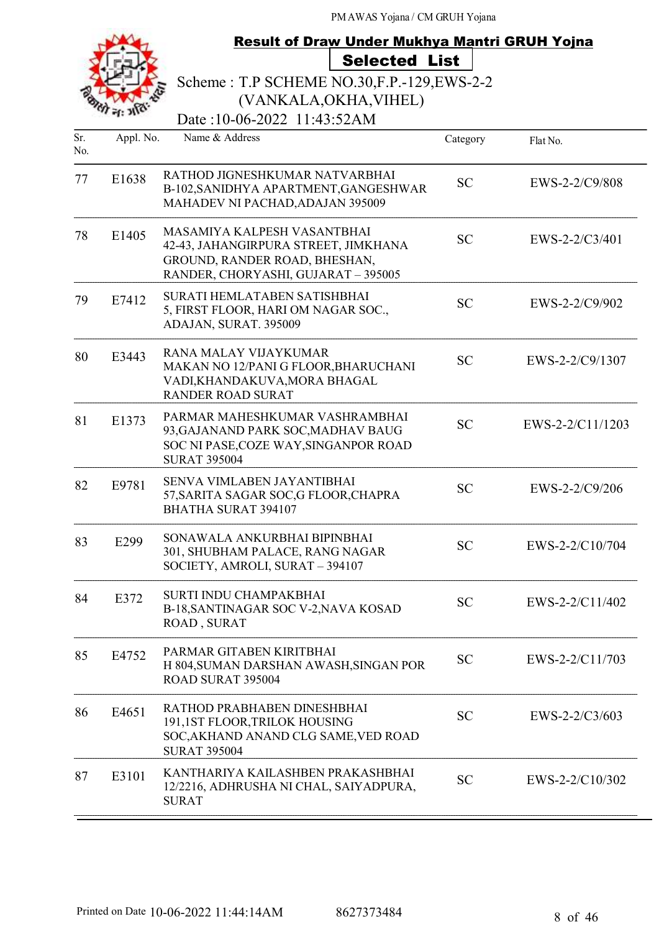|            |           | Result of Draw Under Mukhya Mantri GRUH Yojna                                                                                               |           |                  |
|------------|-----------|---------------------------------------------------------------------------------------------------------------------------------------------|-----------|------------------|
|            |           | <b>Selected List</b>                                                                                                                        |           |                  |
|            |           | Scheme: T.P SCHEME NO.30, F.P. - 129, EWS-2-2                                                                                               |           |                  |
|            |           | (VANKALA, OKHA, VIHEL)                                                                                                                      |           |                  |
|            |           | Date:10-06-2022 11:43:52AM                                                                                                                  |           |                  |
| Sr.<br>No. | Appl. No. | Name & Address                                                                                                                              | Category  | Flat No.         |
| 77         | E1638     | RATHOD JIGNESHKUMAR NATVARBHAI<br>B-102, SANIDHYA APARTMENT, GANGESHWAR<br>MAHADEV NI PACHAD, ADAJAN 395009                                 | <b>SC</b> | EWS-2-2/C9/808   |
| 78         | E1405     | MASAMIYA KALPESH VASANTBHAI<br>42-43, JAHANGIRPURA STREET, JIMKHANA<br>GROUND, RANDER ROAD, BHESHAN,<br>RANDER, CHORYASHI, GUJARAT - 395005 | <b>SC</b> | $EWS-2-2/C3/401$ |
| 79         | E7412     | SURATI HEMLATABEN SATISHBHAI<br>5, FIRST FLOOR, HARI OM NAGAR SOC.,<br>ADAJAN, SURAT. 395009                                                | <b>SC</b> | EWS-2-2/C9/902   |
| 80         | E3443     | <b>RANA MALAY VIJAYKUMAR</b><br>MAKAN NO 12/PANI G FLOOR, BHARUCHANI<br>VADI, KHANDAKUVA, MORA BHAGAL<br><b>RANDER ROAD SURAT</b>           | <b>SC</b> | EWS-2-2/C9/1307  |
| 81         | E1373     | PARMAR MAHESHKUMAR VASHRAMBHAI<br>93, GAJANAND PARK SOC, MADHAV BAUG<br>SOC NI PASE, COZE WAY, SINGANPOR ROAD<br><b>SURAT 395004</b>        | <b>SC</b> | EWS-2-2/C11/1203 |
| 82         | E9781     | SENVA VIMLABEN JAYANTIBHAI<br>57, SARITA SAGAR SOC, G FLOOR, CHAPRA<br><b>BHATHA SURAT 394107</b>                                           | <b>SC</b> | EWS-2-2/C9/206   |
| 83         | E299      | SONAWALA ANKURBHAI BIPINBHAI<br>301, SHUBHAM PALACE, RANG NAGAR<br>SOCIETY, AMROLI, SURAT - 394107                                          | <b>SC</b> | EWS-2-2/C10/704  |
| 84         | E372      | SURTI INDU CHAMPAKBHAI<br>B-18, SANTINAGAR SOC V-2, NAVA KOSAD<br>ROAD, SURAT                                                               | <b>SC</b> | EWS-2-2/C11/402  |
| 85         | E4752     | PARMAR GITABEN KIRITBHAI<br>H 804, SUMAN DARSHAN AWASH, SINGAN POR<br>ROAD SURAT 395004                                                     | <b>SC</b> | EWS-2-2/C11/703  |
| 86         | E4651     | RATHOD PRABHABEN DINESHBHAI<br>191,1ST FLOOR, TRILOK HOUSING<br>SOC, AKHAND ANAND CLG SAME, VED ROAD<br><b>SURAT 395004</b>                 | <b>SC</b> | EWS-2-2/C3/603   |
| 87         | E3101     | KANTHARIYA KAILASHBEN PRAKASHBHAI<br>12/2216, ADHRUSHA NI CHAL, SAIYADPURA,<br><b>SURAT</b>                                                 | <b>SC</b> | EWS-2-2/C10/302  |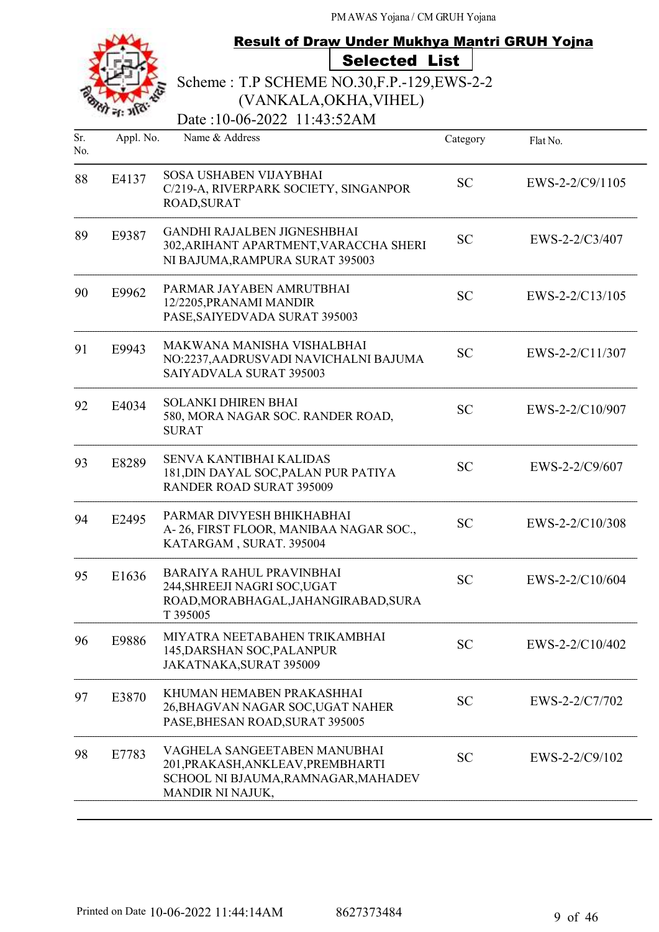# Result of Draw Under Mukhya Mantri GRUH Yojna Selected List

Scheme : T.P SCHEME NO.30,F.P.-129,EWS-2-2

(VANKALA,OKHA,VIHEL)

| Sr.<br>No. | Appl. No. | Name & Address                                                                                                               | Category  | Flat No.          |
|------------|-----------|------------------------------------------------------------------------------------------------------------------------------|-----------|-------------------|
| 88         | E4137     | SOSA USHABEN VIJAYBHAI<br>C/219-A, RIVERPARK SOCIETY, SINGANPOR<br>ROAD, SURAT                                               | <b>SC</b> | $EWS-2-2/C9/1105$ |
| 89         | E9387     | <b>GANDHI RAJALBEN JIGNESHBHAI</b><br>302, ARIHANT APARTMENT, VARACCHA SHERI<br>NI BAJUMA, RAMPURA SURAT 395003              | <b>SC</b> | EWS-2-2/C3/407    |
| 90         | E9962     | PARMAR JAYABEN AMRUTBHAI<br>12/2205, PRANAMI MANDIR<br>PASE, SAIYEDVADA SURAT 395003                                         | <b>SC</b> | EWS-2-2/C13/105   |
| 91         | E9943     | MAKWANA MANISHA VISHALBHAI<br>NO:2237, AADRUSVADI NAVICHALNI BAJUMA<br><b>SAIYADVALA SURAT 395003</b>                        | <b>SC</b> | EWS-2-2/C11/307   |
| 92         | E4034     | <b>SOLANKI DHIREN BHAI</b><br>580, MORA NAGAR SOC. RANDER ROAD,<br><b>SURAT</b>                                              | <b>SC</b> | EWS-2-2/C10/907   |
| 93         | E8289     | SENVA KANTIBHAI KALIDAS<br>181, DIN DAYAL SOC, PALAN PUR PATIYA<br><b>RANDER ROAD SURAT 395009</b>                           | <b>SC</b> | EWS-2-2/C9/607    |
| 94         | E2495     | PARMAR DIVYESH BHIKHABHAI<br>A-26, FIRST FLOOR, MANIBAA NAGAR SOC.,<br>KATARGAM, SURAT. 395004                               | <b>SC</b> | EWS-2-2/C10/308   |
| 95         | E1636     | <b>BARAIYA RAHUL PRAVINBHAI</b><br>244, SHREEJI NAGRI SOC, UGAT<br>ROAD, MORABHAGAL, JAHANGIRABAD, SURA<br>T 395005          | <b>SC</b> | EWS-2-2/C10/604   |
| 96         | E9886     | MIYATRA NEETABAHEN TRIKAMBHAI<br>145, DARSHAN SOC, PALANPUR<br>JAKATNAKA, SURAT 395009                                       | <b>SC</b> | EWS-2-2/C10/402   |
| 97         | E3870     | KHUMAN HEMABEN PRAKASHHAI<br>26, BHAGVAN NAGAR SOC, UGAT NAHER<br>PASE, BHESAN ROAD, SURAT 395005                            | <b>SC</b> | EWS-2-2/C7/702    |
| 98         | E7783     | VAGHELA SANGEETABEN MANUBHAI<br>201, PRAKASH, ANKLEAV, PREMBHARTI<br>SCHOOL NI BJAUMA, RAMNAGAR, MAHADEV<br>MANDIR NI NAJUK, | <b>SC</b> | EWS-2-2/C9/102    |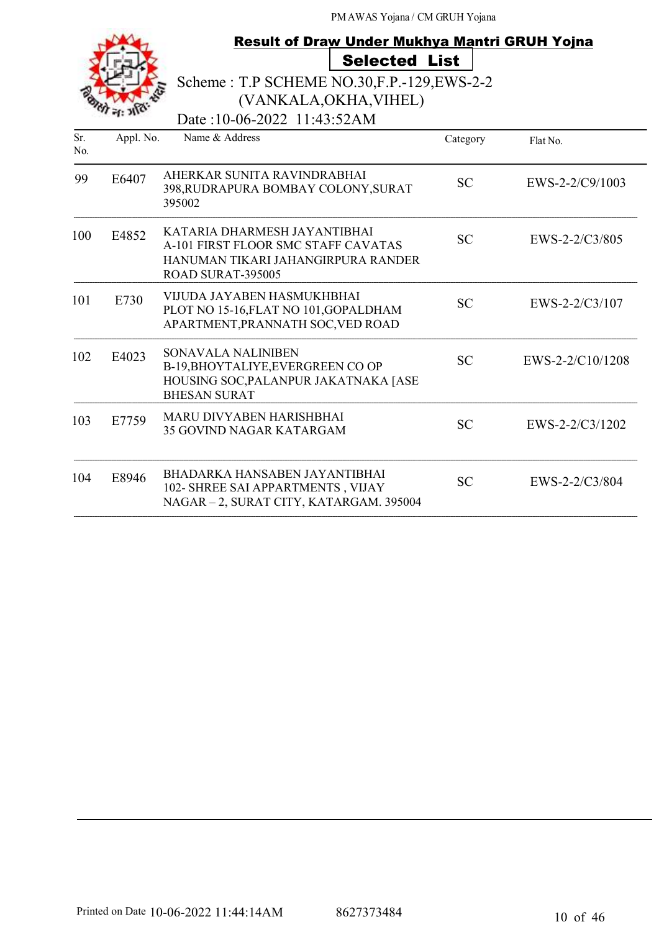| <b>Result of Draw Under Mukhya Mantri GRUH Yojna</b> |           |                                                                                                                                |           |                   |
|------------------------------------------------------|-----------|--------------------------------------------------------------------------------------------------------------------------------|-----------|-------------------|
|                                                      |           | <b>Selected List</b>                                                                                                           |           |                   |
|                                                      |           | Scheme: T.P SCHEME NO.30, F.P. - 129, EWS-2-2                                                                                  |           |                   |
|                                                      |           | (VANKALA, OKHA, VIHEL)                                                                                                         |           |                   |
|                                                      |           | Date:10-06-2022 11:43:52AM                                                                                                     |           |                   |
| Sr.<br>No.                                           | Appl. No. | Name & Address                                                                                                                 | Category  | Flat No.          |
| 99                                                   | E6407     | AHERKAR SUNITA RAVINDRABHAI<br>398, RUDRAPURA BOMBAY COLONY, SURAT<br>395002                                                   | <b>SC</b> | $EWS-2-2/C9/1003$ |
| 100                                                  | E4852     | KATARIA DHARMESH JAYANTIBHAI<br>A-101 FIRST FLOOR SMC STAFF CAVATAS<br>HANUMAN TIKARI JAHANGIRPURA RANDER<br>ROAD SURAT-395005 | <b>SC</b> | EWS-2-2/C3/805    |
| 101                                                  | E730      | VIJUDA JAYABEN HASMUKHBHAI<br>PLOT NO 15-16, FLAT NO 101, GOPALDHAM<br>APARTMENT, PRANNATH SOC, VED ROAD                       | <b>SC</b> | $EWS-2-2/C3/107$  |
| 102                                                  | E4023     | <b>SONAVALA NALINIBEN</b><br>B-19, BHOYTALIYE, EVERGREEN COOP<br>HOUSING SOC, PALANPUR JAKATNAKA [ASE<br><b>BHESAN SURAT</b>   | <b>SC</b> | EWS-2-2/C10/1208  |
| 103                                                  | E7759     | <b>MARU DIVYABEN HARISHBHAI</b><br><b>35 GOVIND NAGAR KATARGAM</b>                                                             | <b>SC</b> | EWS-2-2/C3/1202   |
| 104                                                  | E8946     | <b>BHADARKA HANSABEN JAYANTIBHAI</b><br>102- SHREE SAI APPARTMENTS, VIJAY<br>NAGAR - 2, SURAT CITY, KATARGAM. 395004           | <b>SC</b> | EWS-2-2/C3/804    |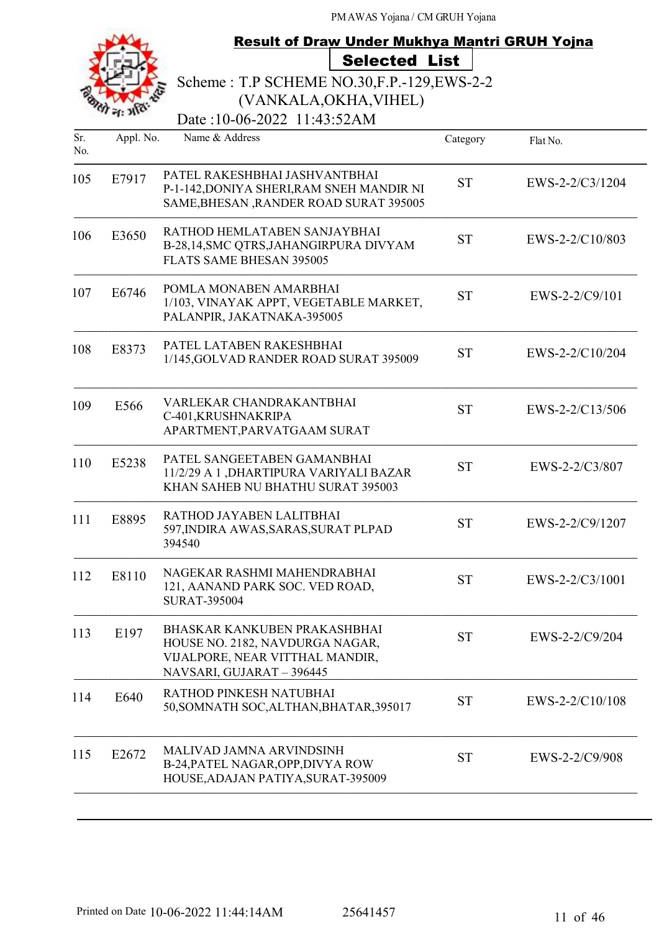|            |           | Result of Draw Under Mukhya Mantri GRUH Yojna                                                                                   |           |                 |
|------------|-----------|---------------------------------------------------------------------------------------------------------------------------------|-----------|-----------------|
|            |           | <b>Selected List</b>                                                                                                            |           |                 |
|            |           | Scheme: T.P SCHEME NO.30, F.P. - 129, EWS-2-2                                                                                   |           |                 |
|            |           | (VANKALA, OKHA, VIHEL)                                                                                                          |           |                 |
|            |           | Date:10-06-2022 11:43:52AM                                                                                                      |           |                 |
| Sr.<br>No. | Appl. No. | Name & Address                                                                                                                  | Category  | Flat No.        |
| 105        | E7917     | PATEL RAKESHBHAI JASHVANTBHAI<br>P-1-142, DONIYA SHERI, RAM SNEH MANDIR NI<br>SAME, BHESAN, RANDER ROAD SURAT 395005            | <b>ST</b> | EWS-2-2/C3/1204 |
| 106        | E3650     | RATHOD HEMLATABEN SANJAYBHAI<br>B-28,14, SMC QTRS, JAHANGIRPURA DIVYAM<br>FLATS SAME BHESAN 395005                              | <b>ST</b> | EWS-2-2/C10/803 |
| 107        | E6746     | POMLA MONABEN AMARBHAI<br>1/103, VINAYAK APPT, VEGETABLE MARKET,<br>PALANPIR, JAKATNAKA-395005                                  | <b>ST</b> | EWS-2-2/C9/101  |
| 108        | E8373     | PATEL LATABEN RAKESHBHAI<br>1/145, GOLVAD RANDER ROAD SURAT 395009                                                              | <b>ST</b> | EWS-2-2/C10/204 |
| 109        | E566      | VARLEKAR CHANDRAKANTBHAI<br>C-401, KRUSHNAKRIPA<br>APARTMENT, PARVATGAAM SURAT                                                  | <b>ST</b> | EWS-2-2/C13/506 |
| 110        | E5238     | PATEL SANGEETABEN GAMANBHAI<br>11/2/29 A 1 , DHARTIPURA VARIYALI BAZAR<br>KHAN SAHEB NU BHATHU SURAT 395003                     | <b>ST</b> | EWS-2-2/C3/807  |
| 111        | E8895     | RATHOD JAYABEN LALITBHAI<br>597, INDIRA AWAS, SARAS, SURAT PLPAD<br>394540                                                      | <b>ST</b> | EWS-2-2/C9/1207 |
| 112        | E8110     | NAGEKAR RASHMI MAHENDRABHAI<br>121, AANAND PARK SOC. VED ROAD,<br><b>SURAT-395004</b>                                           | <b>ST</b> | EWS-2-2/C3/1001 |
| 113        | E197      | BHASKAR KANKUBEN PRAKASHBHAI<br>HOUSE NO. 2182, NAVDURGA NAGAR,<br>VIJALPORE, NEAR VITTHAL MANDIR,<br>NAVSARI, GUJARAT - 396445 | <b>ST</b> | EWS-2-2/C9/204  |
| 114        | E640      | RATHOD PINKESH NATUBHAI<br>50, SOMNATH SOC, ALTHAN, BHATAR, 395017                                                              | <b>ST</b> | EWS-2-2/C10/108 |
| 115        | E2672     | MALIVAD JAMNA ARVINDSINH<br>B-24, PATEL NAGAR, OPP, DIVYA ROW<br>HOUSE, ADAJAN PATIYA, SURAT-395009                             | <b>ST</b> | EWS-2-2/C9/908  |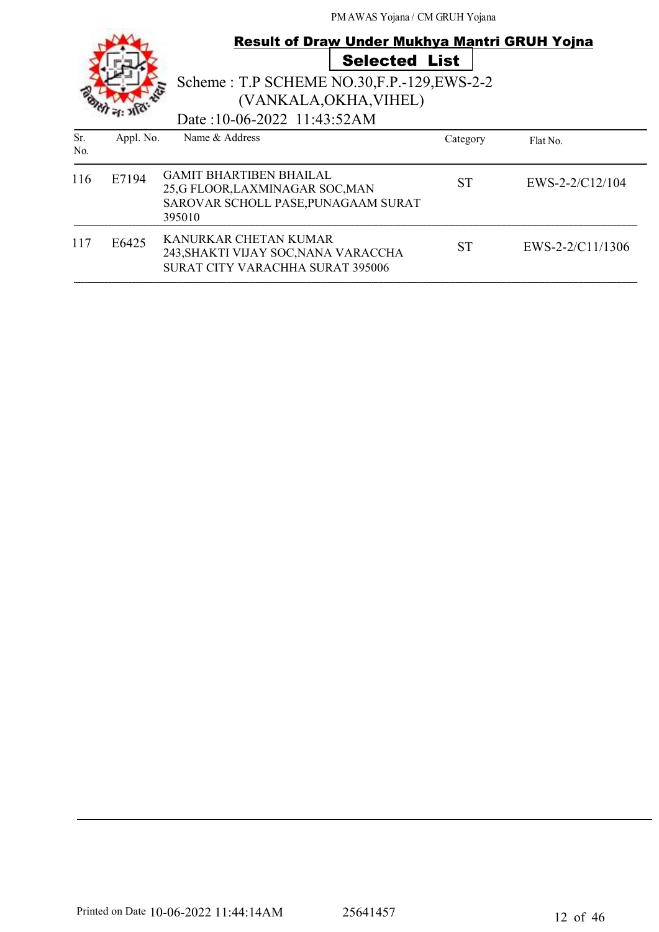|            |           | <b>Result of Draw Under Mukhya Mantri GRUH Yojna</b>                                                               | <b>Selected List</b> |                  |
|------------|-----------|--------------------------------------------------------------------------------------------------------------------|----------------------|------------------|
|            |           | Scheme: T.P SCHEME NO.30, F.P. - 129, EWS-2-2<br>(VANKALA, OKHA, VIHEL)<br>Date:10-06-2022 11:43:52AM              |                      |                  |
| Sr.<br>No. | Appl. No. | Name & Address                                                                                                     | Category             | Flat No.         |
| 116        | E7194     | <b>GAMIT BHARTIBEN BHAILAL</b><br>25,G FLOOR, LAXMINAGAR SOC, MAN<br>SAROVAR SCHOLL PASE, PUNAGAAM SURAT<br>395010 | <b>ST</b>            | EWS-2-2/C12/104  |
| 117        | E6425     | KANURKAR CHETAN KUMAR<br>243, SHAKTI VIJAY SOC, NANA VARACCHA<br>SURAT CITY VARACHHA SURAT 395006                  | <b>ST</b>            | EWS-2-2/C11/1306 |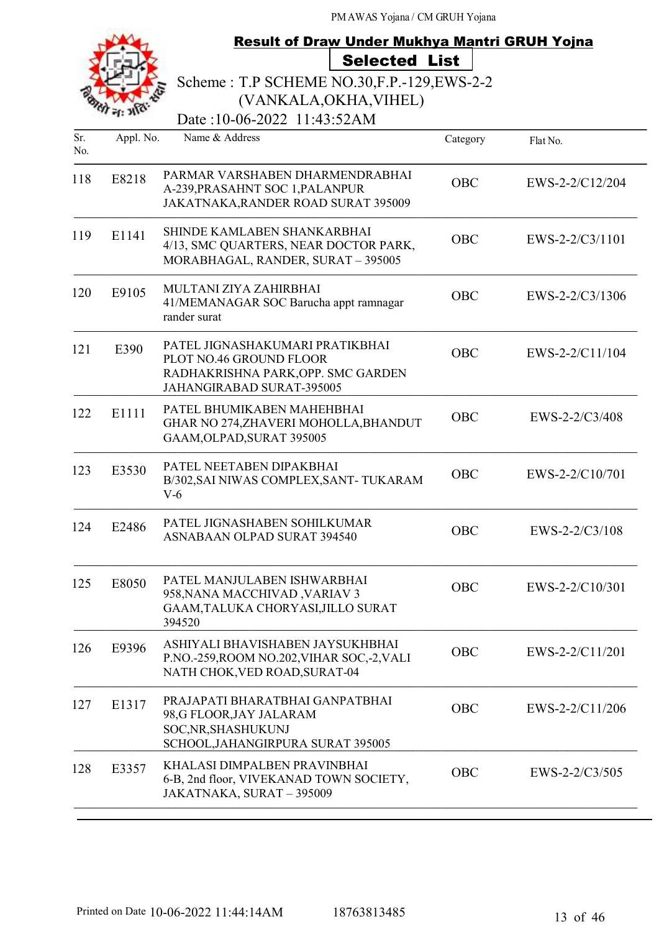|            |           | <b>Result of Draw Under Mukhya Mantri GRUH Yojna</b>                                                                          |            |                   |
|------------|-----------|-------------------------------------------------------------------------------------------------------------------------------|------------|-------------------|
|            |           | <b>Selected List</b>                                                                                                          |            |                   |
|            |           | Scheme: T.P SCHEME NO.30, F.P. - 129, EWS-2-2                                                                                 |            |                   |
|            |           | (VANKALA, OKHA, VIHEL)                                                                                                        |            |                   |
|            |           | Date:10-06-2022 11:43:52AM                                                                                                    |            |                   |
| Sr.<br>No. | Appl. No. | Name & Address                                                                                                                | Category   | Flat No.          |
| 118        | E8218     | PARMAR VARSHABEN DHARMENDRABHAI<br>A-239, PRASAHNT SOC 1, PALANPUR<br>JAKATNAKA, RANDER ROAD SURAT 395009                     | <b>OBC</b> | EWS-2-2/C12/204   |
| 119        | E1141     | <b>SHINDE KAMLABEN SHANKARBHAI</b><br>4/13, SMC QUARTERS, NEAR DOCTOR PARK,<br>MORABHAGAL, RANDER, SURAT - 395005             | <b>OBC</b> | $EWS-2-2/C3/1101$ |
| 120        | E9105     | MULTANI ZIYA ZAHIRBHAI<br>41/MEMANAGAR SOC Barucha appt ramnagar<br>rander surat                                              | <b>OBC</b> | EWS-2-2/C3/1306   |
| 121        | E390      | PATEL JIGNASHAKUMARI PRATIKBHAI<br>PLOT NO.46 GROUND FLOOR<br>RADHAKRISHNA PARK, OPP. SMC GARDEN<br>JAHANGIRABAD SURAT-395005 | <b>OBC</b> | EWS-2-2/C11/104   |
| 122        | E1111     | PATEL BHUMIKABEN MAHEHBHAI<br>GHAR NO 274, ZHAVERI MOHOLLA, BHANDUT<br>GAAM, OLPAD, SURAT 395005                              | <b>OBC</b> | $EWS-2-2/C3/408$  |
| 123        | E3530     | PATEL NEETABEN DIPAKBHAI<br>B/302, SAI NIWAS COMPLEX, SANT-TUKARAM<br>$V-6$                                                   | <b>OBC</b> | EWS-2-2/C10/701   |
| 124        | E2486     | PATEL JIGNASHABEN SOHILKUMAR<br><b>ASNABAAN OLPAD SURAT 394540</b>                                                            | OBC        | EWS-2-2/C3/108    |
| 125        | E8050     | PATEL MANJULABEN ISHWARBHAI<br>958, NANA MACCHIVAD, VARIAV 3<br>GAAM,TALUKA CHORYASI,JILLO SURAT<br>394520                    | OBC        | $EWS-2-2/C10/301$ |
| 126        | E9396     | ASHIYALI BHAVISHABEN JAYSUKHBHAI<br>P.NO.-259, ROOM NO.202, VIHAR SOC, -2, VALI<br>NATH CHOK, VED ROAD, SURAT-04              | OBC        | EWS-2-2/C11/201   |
| 127        | E1317     | PRAJAPATI BHARATBHAI GANPATBHAI<br>98,G FLOOR, JAY JALARAM<br>SOC, NR, SHASHUKUNJ<br>SCHOOL, JAHANGIRPURA SURAT 395005        | OBC        | EWS-2-2/C11/206   |
| 128        | E3357     | KHALASI DIMPALBEN PRAVINBHAI<br>6-B, 2nd floor, VIVEKANAD TOWN SOCIETY,<br>JAKATNAKA, SURAT - 395009                          | OBC        | EWS-2-2/C3/505    |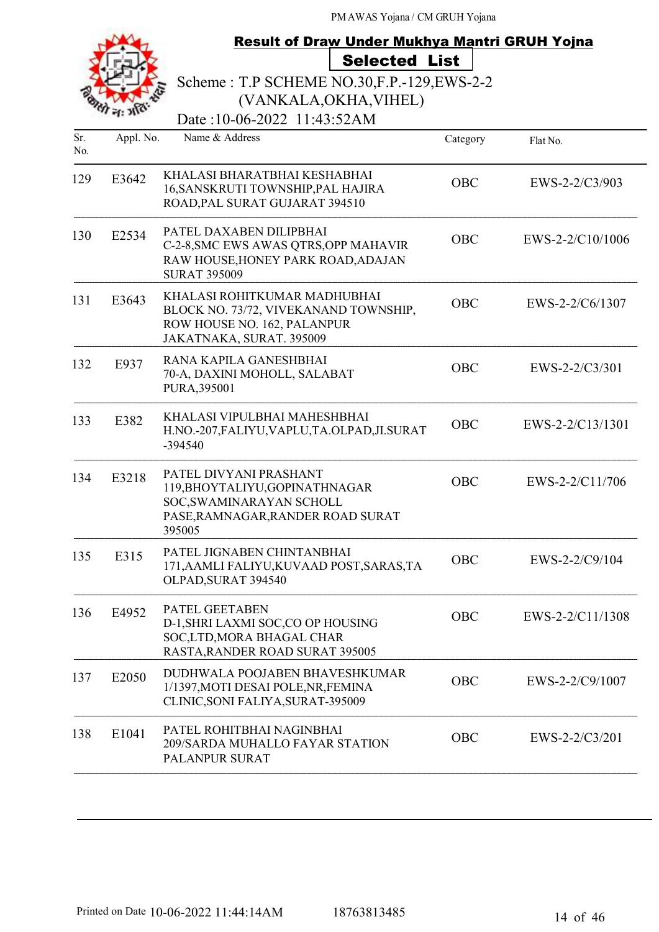|            |           | <b>Result of Draw Under Mukhya Mantri GRUH Yojna</b>                                                                                |            |                  |
|------------|-----------|-------------------------------------------------------------------------------------------------------------------------------------|------------|------------------|
|            |           | <b>Selected List</b>                                                                                                                |            |                  |
|            |           | Scheme: T.P SCHEME NO.30, F.P. - 129, EWS-2-2                                                                                       |            |                  |
|            |           | (VANKALA, OKHA, VIHEL)                                                                                                              |            |                  |
|            |           | Date:10-06-2022 11:43:52AM                                                                                                          |            |                  |
| Sr.<br>No. | Appl. No. | Name & Address                                                                                                                      | Category   | Flat No.         |
| 129        | E3642     | KHALASI BHARATBHAI KESHABHAI<br>16, SANSKRUTI TOWNSHIP, PAL HAJIRA<br>ROAD, PAL SURAT GUJARAT 394510                                | OBC        | EWS-2-2/C3/903   |
| 130        | E2534     | PATEL DAXABEN DILIPBHAI<br>C-2-8, SMC EWS AWAS QTRS, OPP MAHAVIR<br>RAW HOUSE, HONEY PARK ROAD, ADAJAN<br><b>SURAT 395009</b>       | <b>OBC</b> | EWS-2-2/C10/1006 |
| 131        | E3643     | KHALASI ROHITKUMAR MADHUBHAI<br>BLOCK NO. 73/72, VIVEKANAND TOWNSHIP,<br>ROW HOUSE NO. 162, PALANPUR<br>JAKATNAKA, SURAT. 395009    | <b>OBC</b> | EWS-2-2/C6/1307  |
| 132        | E937      | RANA KAPILA GANESHBHAI<br>70-A, DAXINI MOHOLL, SALABAT<br>PURA, 395001                                                              | <b>OBC</b> | EWS-2-2/C3/301   |
| 133        | E382      | KHALASI VIPULBHAI MAHESHBHAI<br>H.NO.-207, FALIYU, VAPLU, TA.OLPAD, JI.SURAT<br>-394540                                             | <b>OBC</b> | EWS-2-2/C13/1301 |
| 134        | E3218     | PATEL DIVYANI PRASHANT<br>119, BHOYTALIYU, GOPINATHNAGAR<br>SOC, SWAMINARAYAN SCHOLL<br>PASE, RAMNAGAR, RANDER ROAD SURAT<br>395005 | OBC        | EWS-2-2/C11/706  |
| 135        | E315      | PATEL JIGNABEN CHINTANBHAI<br>171, AAMLI FALIYU, KUVAAD POST, SARAS, TA<br>OLPAD, SURAT 394540                                      | OBC        | EWS-2-2/C9/104   |
| 136        | E4952     | PATEL GEETABEN<br>D-1, SHRI LAXMI SOC, CO OP HOUSING<br>SOC,LTD, MORA BHAGAL CHAR<br>RASTA, RANDER ROAD SURAT 395005                | <b>OBC</b> | EWS-2-2/C11/1308 |
| 137        | E2050     | DUDHWALA POOJABEN BHAVESHKUMAR<br>1/1397, MOTI DESAI POLE, NR, FEMINA<br>CLINIC, SONI FALIYA, SURAT-395009                          | OBC        | EWS-2-2/C9/1007  |
| 138        | E1041     | PATEL ROHITBHAI NAGINBHAI<br>209/SARDA MUHALLO FAYAR STATION<br>PALANPUR SURAT                                                      | <b>OBC</b> | EWS-2-2/C3/201   |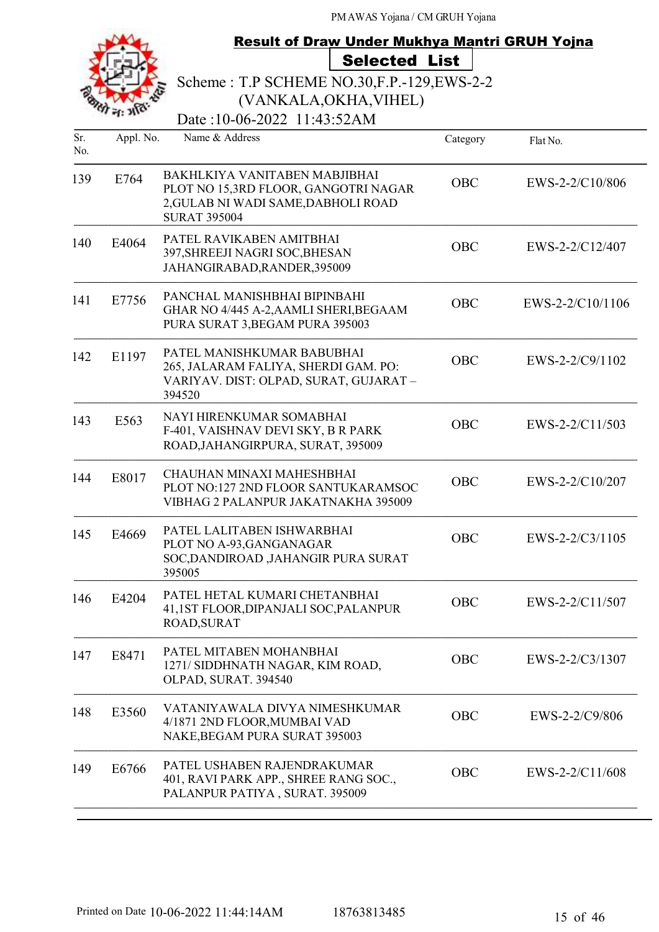|            |           | <b>Result of Draw Under Mukhya Mantri GRUH Yojna</b>                                                                                |            |                   |
|------------|-----------|-------------------------------------------------------------------------------------------------------------------------------------|------------|-------------------|
|            |           | <b>Selected List</b>                                                                                                                |            |                   |
|            |           | Scheme: T.P SCHEME NO.30, F.P. - 129, EWS-2-2                                                                                       |            |                   |
|            |           | (VANKALA, OKHA, VIHEL)                                                                                                              |            |                   |
|            |           | Date:10-06-2022 11:43:52AM                                                                                                          |            |                   |
| Sr.<br>No. | Appl. No. | Name & Address                                                                                                                      | Category   | Flat No.          |
| 139        | E764      | BAKHLKIYA VANITABEN MABJIBHAI<br>PLOT NO 15,3RD FLOOR, GANGOTRI NAGAR<br>2, GULAB NI WADI SAME, DABHOLI ROAD<br><b>SURAT 395004</b> | <b>OBC</b> | EWS-2-2/C10/806   |
| 140        | E4064     | PATEL RAVIKABEN AMITBHAI<br>397, SHREEJI NAGRI SOC, BHESAN<br>JAHANGIRABAD, RANDER, 395009                                          | <b>OBC</b> | EWS-2-2/C12/407   |
| 141        | E7756     | PANCHAL MANISHBHAI BIPINBAHI<br>GHAR NO 4/445 A-2, AAMLI SHERI, BEGAAM<br>PURA SURAT 3, BEGAM PURA 395003                           | <b>OBC</b> | EWS-2-2/C10/1106  |
| 142        | E1197     | PATEL MANISHKUMAR BABUBHAI<br>265, JALARAM FALIYA, SHERDI GAM. PO:<br>VARIYAV. DIST: OLPAD, SURAT, GUJARAT-<br>394520               | <b>OBC</b> | $EWS-2-2/C9/1102$ |
| 143        | E563      | NAYI HIRENKUMAR SOMABHAI<br>F-401, VAISHNAV DEVI SKY, B R PARK<br>ROAD, JAHANGIRPURA, SURAT, 395009                                 | <b>OBC</b> | EWS-2-2/C11/503   |
| 144        | E8017     | CHAUHAN MINAXI MAHESHBHAI<br>PLOT NO:127 2ND FLOOR SANTUKARAMSOC<br>VIBHAG 2 PALANPUR JAKATNAKHA 395009                             | <b>OBC</b> | EWS-2-2/C10/207   |
| 145        | E4669     | PATEL LALITABEN ISHWARBHAI<br>PLOT NO A-93, GANGANAGAR<br>SOC, DANDIROAD, JAHANGIR PURA SURAT<br>395005                             | OBC        | EWS-2-2/C3/1105   |
| 146        | E4204     | PATEL HETAL KUMARI CHETANBHAI<br>41,1ST FLOOR, DIPANJALI SOC, PALANPUR<br>ROAD, SURAT                                               | OBC        | EWS-2-2/C11/507   |
| 147        | E8471     | PATEL MITABEN MOHANBHAI<br>1271/ SIDDHNATH NAGAR, KIM ROAD,<br>OLPAD, SURAT. 394540                                                 | <b>OBC</b> | EWS-2-2/C3/1307   |
| 148        | E3560     | VATANIYAWALA DIVYA NIMESHKUMAR<br>4/1871 2ND FLOOR, MUMBAI VAD<br>NAKE, BEGAM PURA SURAT 395003                                     | OBC        | EWS-2-2/C9/806    |
| 149        | E6766     | PATEL USHABEN RAJENDRAKUMAR<br>401, RAVI PARK APP., SHREE RANG SOC.,<br>PALANPUR PATIYA, SURAT. 395009                              | <b>OBC</b> | EWS-2-2/C11/608   |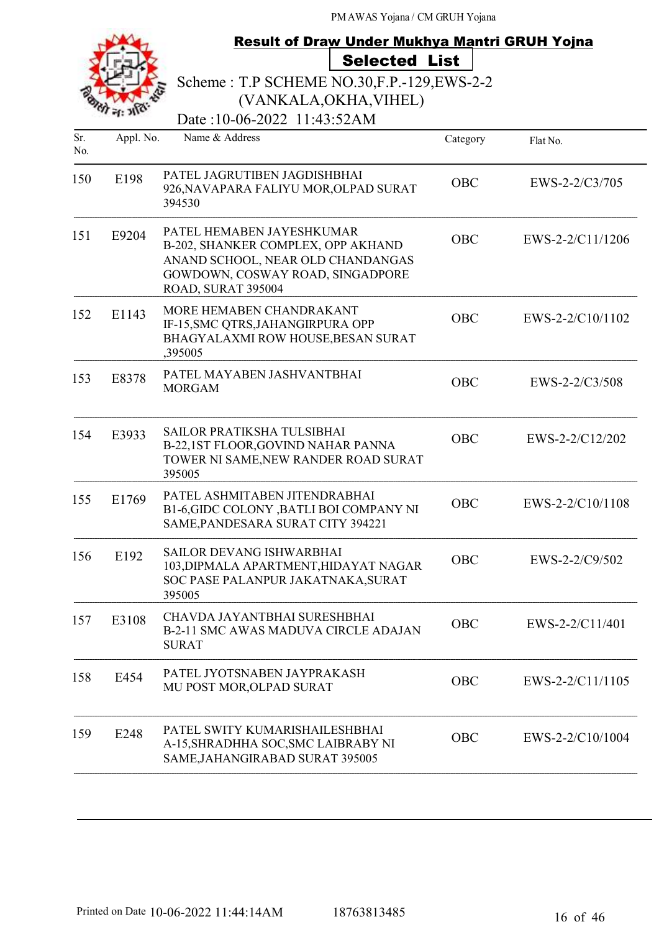|                                                                                                       |           | <b>Result of Draw Under Mukhya Mantri GRUH Yojna</b><br><b>Selected List</b>                                                                                   |            |                  |
|-------------------------------------------------------------------------------------------------------|-----------|----------------------------------------------------------------------------------------------------------------------------------------------------------------|------------|------------------|
| Scheme: T.P SCHEME NO.30, F.P. - 129, EWS-2-2<br>(VANKALA, OKHA, VIHEL)<br>Date:10-06-2022 11:43:52AM |           |                                                                                                                                                                |            |                  |
| Sr.<br>No.                                                                                            | Appl. No. | Name & Address                                                                                                                                                 | Category   | Flat No.         |
| 150                                                                                                   | E198      | PATEL JAGRUTIBEN JAGDISHBHAI<br>926, NAVAPARA FALIYU MOR, OLPAD SURAT<br>394530                                                                                | <b>OBC</b> | EWS-2-2/C3/705   |
| 151                                                                                                   | E9204     | PATEL HEMABEN JAYESHKUMAR<br>B-202, SHANKER COMPLEX, OPP AKHAND<br>ANAND SCHOOL, NEAR OLD CHANDANGAS<br>GOWDOWN, COSWAY ROAD, SINGADPORE<br>ROAD, SURAT 395004 | <b>OBC</b> | EWS-2-2/C11/1206 |
| 152                                                                                                   | E1143     | MORE HEMABEN CHANDRAKANT<br>IF-15, SMC QTRS, JAHANGIRPURA OPP<br>BHAGYALAXMI ROW HOUSE, BESAN SURAT<br>,395005                                                 | <b>OBC</b> | EWS-2-2/C10/1102 |
| 153                                                                                                   | E8378     | PATEL MAYABEN JASHVANTBHAI<br><b>MORGAM</b>                                                                                                                    | <b>OBC</b> | EWS-2-2/C3/508   |
| 154                                                                                                   | E3933     | SAILOR PRATIKSHA TULSIBHAI<br>B-22,1ST FLOOR, GOVIND NAHAR PANNA<br>TOWER NI SAME, NEW RANDER ROAD SURAT<br>395005                                             | <b>OBC</b> | EWS-2-2/C12/202  |
| 155                                                                                                   | E1769     | PATEL ASHMITABEN JITENDRABHAI<br>B1-6,GIDC COLONY ,BATLI BOI COMPANY NI<br>SAME, PANDESARA SURAT CITY 394221                                                   | OBC        | EWS-2-2/C10/1108 |
| 156                                                                                                   | E192      | <b>SAILOR DEVANG ISHWARBHAI</b><br>103, DIPMALA APARTMENT, HIDAYAT NAGAR<br>SOC PASE PALANPUR JAKATNAKA, SURAT<br>395005                                       | <b>OBC</b> | EWS-2-2/C9/502   |
| 157                                                                                                   | E3108     | CHAVDA JAYANTBHAI SURESHBHAI<br>B-2-11 SMC AWAS MADUVA CIRCLE ADAJAN<br><b>SURAT</b>                                                                           | OBC        | EWS-2-2/C11/401  |
| 158                                                                                                   | E454      | PATEL JYOTSNABEN JAYPRAKASH<br>MU POST MOR, OLPAD SURAT                                                                                                        | <b>OBC</b> | EWS-2-2/C11/1105 |
| 159                                                                                                   | E248      | PATEL SWITY KUMARISHAILESHBHAI<br>A-15, SHRADHHA SOC, SMC LAIBRABY NI<br>SAME, JAHANGIRABAD SURAT 395005                                                       | OBC        | EWS-2-2/C10/1004 |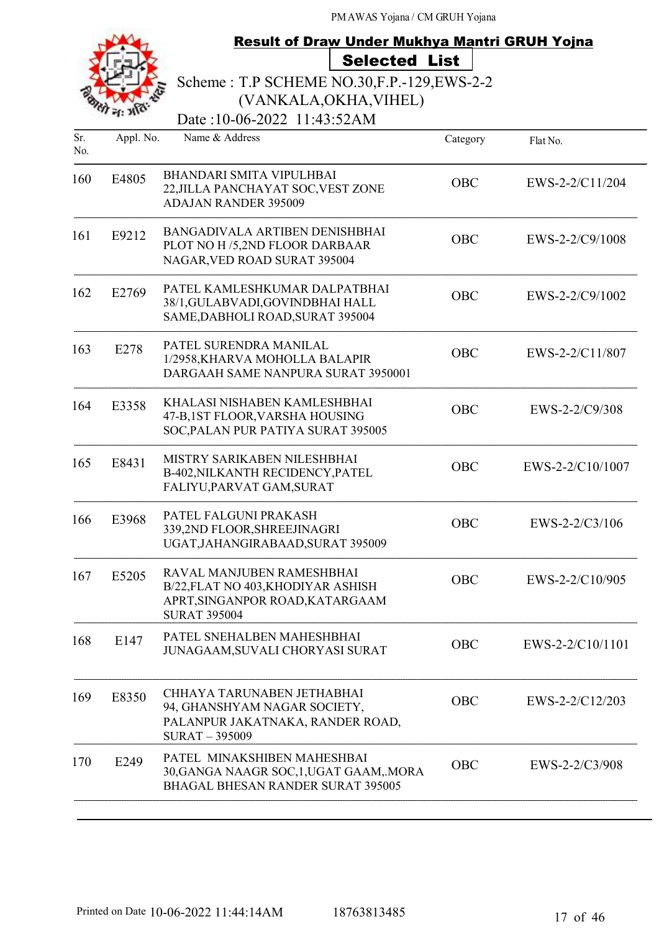# Result of Draw Under Mukhya Mantri GRUH Yojna Selected List

Scheme : T.P SCHEME NO.30,F.P.-129,EWS-2-2

Date:10-06-2022 11:43:52AM (VANKALA,OKHA,VIHEL)

| Sr.<br>No. | Appl. No. | Name & Address                                                                                                            | Category   | Flat No.         |
|------------|-----------|---------------------------------------------------------------------------------------------------------------------------|------------|------------------|
| 160        | E4805     | <b>BHANDARI SMITA VIPULHBAI</b><br>22, JILLA PANCHAYAT SOC, VEST ZONE<br><b>ADAJAN RANDER 395009</b>                      | <b>OBC</b> | EWS-2-2/C11/204  |
| 161        | E9212     | BANGADIVALA ARTIBEN DENISHBHAI<br>PLOT NO H /5,2ND FLOOR DARBAAR<br>NAGAR, VED ROAD SURAT 395004                          | <b>OBC</b> | EWS-2-2/C9/1008  |
| 162        | E2769     | PATEL KAMLESHKUMAR DALPATBHAI<br>38/1, GULABVADI, GOVINDBHAI HALL<br>SAME, DABHOLI ROAD, SURAT 395004                     | OBC        | EWS-2-2/C9/1002  |
| 163        | E278      | PATEL SURENDRA MANILAL<br>1/2958, KHARVA MOHOLLA BALAPIR<br>DARGAAH SAME NANPURA SURAT 3950001                            | <b>OBC</b> | EWS-2-2/C11/807  |
| 164        | E3358     | KHALASI NISHABEN KAMLESHBHAI<br>47-B,1ST FLOOR, VARSHA HOUSING<br>SOC, PALAN PUR PATIYA SURAT 395005                      | OBC        | EWS-2-2/C9/308   |
| 165        | E8431     | MISTRY SARIKABEN NILESHBHAI<br>B-402, NILKANTH RECIDENCY, PATEL<br>FALIYU, PARVAT GAM, SURAT                              | <b>OBC</b> | EWS-2-2/C10/1007 |
| 166        | E3968     | PATEL FALGUNI PRAKASH<br>339,2ND FLOOR, SHREEJINAGRI<br>UGAT, JAHANGIRABAAD, SURAT 395009                                 | <b>OBC</b> | EWS-2-2/C3/106   |
| 167        | E5205     | RAVAL MANJUBEN RAMESHBHAI<br>B/22, FLAT NO 403, KHODIYAR ASHISH<br>APRT, SINGANPOR ROAD, KATARGAAM<br><b>SURAT 395004</b> | <b>OBC</b> | EWS-2-2/C10/905  |
| 168        | E147      | PATEL SNEHALBEN MAHESHBHAI<br>JUNAGAAM, SUVALI CHORYASI SURAT                                                             | <b>OBC</b> | EWS-2-2/C10/1101 |
| 169        | E8350     | CHHAYA TARUNABEN JETHABHAI<br>94, GHANSHYAM NAGAR SOCIETY,<br>PALANPUR JAKATNAKA, RANDER ROAD,<br>SURAT-395009            | OBC        | EWS-2-2/C12/203  |
| 170        | E249      | PATEL MINAKSHIBEN MAHESHBAI<br>30, GANGA NAAGR SOC, 1, UGAT GAAM, MORA<br><b>BHAGAL BHESAN RANDER SURAT 395005</b>        | OBC        | EWS-2-2/C3/908   |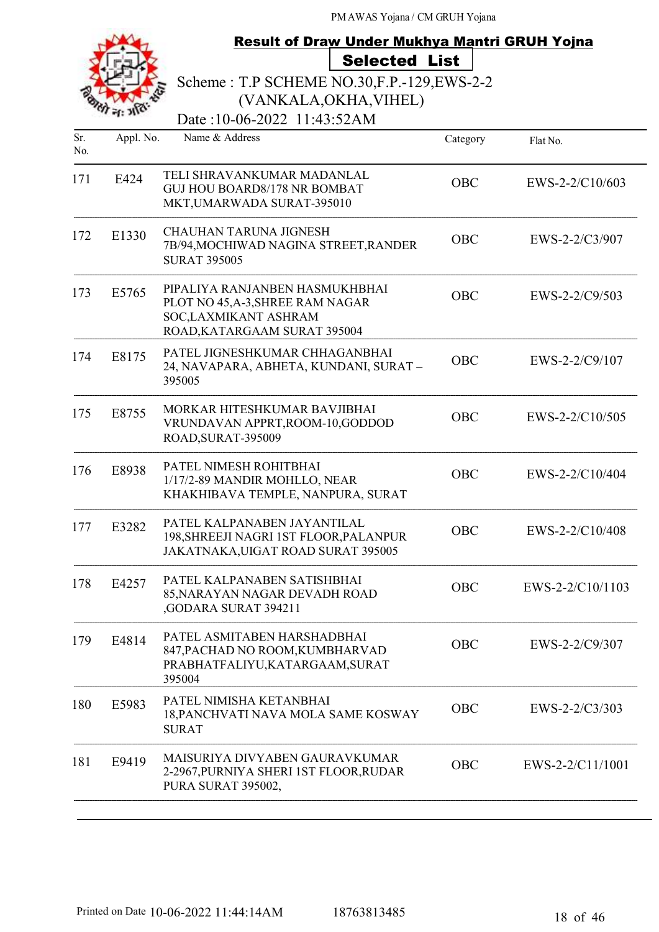|            |           | <b>Result of Draw Under Mukhya Mantri GRUH Yojna</b>                                                                        |            |                  |
|------------|-----------|-----------------------------------------------------------------------------------------------------------------------------|------------|------------------|
|            |           | <b>Selected List</b>                                                                                                        |            |                  |
|            |           | Scheme: T.P SCHEME NO.30, F.P. - 129, EWS-2-2                                                                               |            |                  |
|            |           | (VANKALA, OKHA, VIHEL)                                                                                                      |            |                  |
|            |           | Date:10-06-2022 11:43:52AM                                                                                                  |            |                  |
| Sr.<br>No. | Appl. No. | Name & Address                                                                                                              | Category   | Flat No.         |
| 171        | E424      | TELI SHRAVANKUMAR MADANLAL<br><b>GUJ HOU BOARD8/178 NR BOMBAT</b><br>MKT, UMARWADA SURAT-395010                             | <b>OBC</b> | EWS-2-2/C10/603  |
| 172        | E1330     | <b>CHAUHAN TARUNA JIGNESH</b><br>7B/94, MOCHIWAD NAGINA STREET, RANDER<br><b>SURAT 395005</b>                               | <b>OBC</b> | EWS-2-2/C3/907   |
| 173        | E5765     | PIPALIYA RANJANBEN HASMUKHBHAI<br>PLOT NO 45, A-3, SHREE RAM NAGAR<br>SOC, LAXMIKANT ASHRAM<br>ROAD, KATARGAAM SURAT 395004 | <b>OBC</b> | EWS-2-2/C9/503   |
| 174        | E8175     | PATEL JIGNESHKUMAR CHHAGANBHAI<br>24, NAVAPARA, ABHETA, KUNDANI, SURAT-<br>395005                                           | <b>OBC</b> | EWS-2-2/C9/107   |
| 175        | E8755     | MORKAR HITESHKUMAR BAVJIBHAI<br>VRUNDAVAN APPRT, ROOM-10, GODDOD<br>ROAD, SURAT-395009                                      | <b>OBC</b> | EWS-2-2/C10/505  |
| 176        | E8938     | PATEL NIMESH ROHITBHAI<br>1/17/2-89 MANDIR MOHLLO, NEAR<br>KHAKHIBAVA TEMPLE, NANPURA, SURAT                                | <b>OBC</b> | EWS-2-2/C10/404  |
| 177        | E3282     | PATEL KALPANABEN JAYANTILAL<br>198, SHREEJI NAGRI 1ST FLOOR, PALANPUR<br>JAKATNAKA, UIGAT ROAD SURAT 395005                 | OBC        | EWS-2-2/C10/408  |
| 178        | E4257     | PATEL KALPANABEN SATISHBHAI<br>85, NARAYAN NAGAR DEVADH ROAD<br>,GODARA SURAT 394211                                        | OBC        | EWS-2-2/C10/1103 |
| 179        | E4814     | PATEL ASMITABEN HARSHADBHAI<br>847, PACHAD NO ROOM, KUMBHARVAD<br>PRABHATFALIYU, KATARGAAM, SURAT<br>395004                 | OBC        | EWS-2-2/C9/307   |
| 180        | E5983     | PATEL NIMISHA KETANBHAI<br>18, PANCHVATI NAVA MOLA SAME KOSWAY<br><b>SURAT</b>                                              | <b>OBC</b> | EWS-2-2/C3/303   |
| 181        | E9419     | MAISURIYA DIVYABEN GAURAVKUMAR<br>2-2967, PURNIYA SHERI 1ST FLOOR, RUDAR<br>PURA SURAT 395002,                              | OBC        | EWS-2-2/C11/1001 |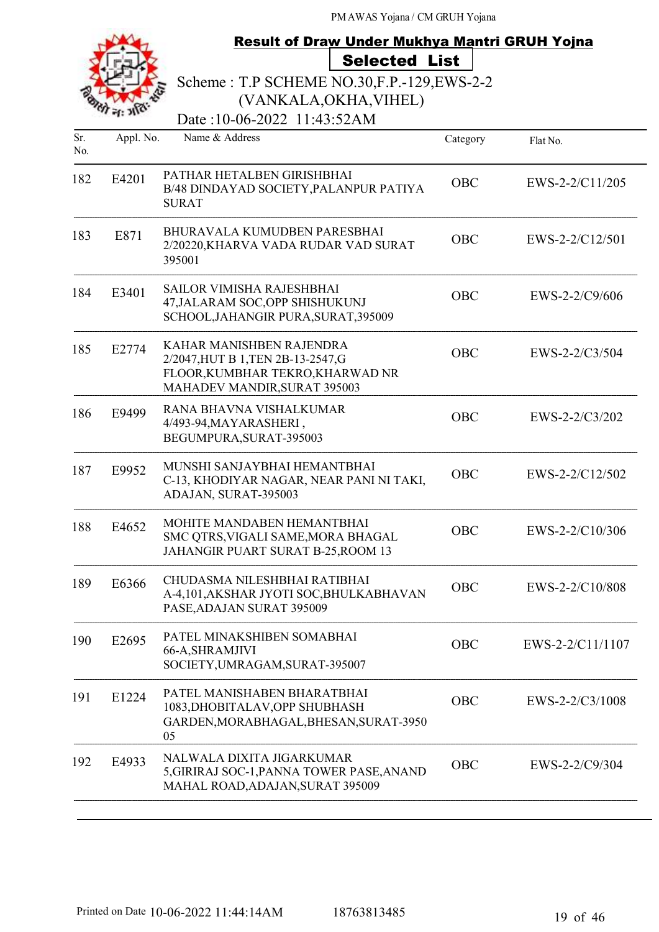|            |           | <b>Result of Draw Under Mukhya Mantri GRUH Yojna</b>                                                                               |            |                   |
|------------|-----------|------------------------------------------------------------------------------------------------------------------------------------|------------|-------------------|
|            |           | <b>Selected List</b>                                                                                                               |            |                   |
|            |           | Scheme: T.P SCHEME NO.30, F.P. - 129, EWS-2-2                                                                                      |            |                   |
|            |           | (VANKALA, OKHA, VIHEL)                                                                                                             |            |                   |
|            |           | Date:10-06-2022 11:43:52AM                                                                                                         |            |                   |
| Sr.<br>No. | Appl. No. | Name & Address                                                                                                                     | Category   | Flat No.          |
| 182        | E4201     | PATHAR HETALBEN GIRISHBHAI<br>B/48 DINDAYAD SOCIETY, PALANPUR PATIYA<br><b>SURAT</b>                                               | <b>OBC</b> | EWS-2-2/C11/205   |
| 183        | E871      | BHURAVALA KUMUDBEN PARESBHAI<br>2/20220, KHARVA VADA RUDAR VAD SURAT<br>395001                                                     | <b>OBC</b> | $EWS-2-2/C12/501$ |
| 184        | E3401     | <b>SAILOR VIMISHA RAJESHBHAI</b><br>47, JALARAM SOC, OPP SHISHUKUNJ<br>SCHOOL, JAHANGIR PURA, SURAT, 395009                        | <b>OBC</b> | EWS-2-2/C9/606    |
| 185        | E2774     | KAHAR MANISHBEN RAJENDRA<br>2/2047, HUT B 1, TEN 2B-13-2547, G<br>FLOOR, KUMBHAR TEKRO, KHARWAD NR<br>MAHADEV MANDIR, SURAT 395003 | <b>OBC</b> | EWS-2-2/C3/504    |
| 186        | E9499     | RANA BHAVNA VISHALKUMAR<br>4/493-94, MAYARASHERI,<br>BEGUMPURA, SURAT-395003                                                       | <b>OBC</b> | EWS-2-2/C3/202    |
| 187        | E9952     | MUNSHI SANJAYBHAI HEMANTBHAI<br>C-13, KHODIYAR NAGAR, NEAR PANI NI TAKI,<br>ADAJAN, SURAT-395003                                   | <b>OBC</b> | EWS-2-2/C12/502   |
| 188        | E4652     | MOHITE MANDABEN HEMANTBHAI<br>SMC QTRS, VIGALI SAME, MORA BHAGAL<br>JAHANGIR PUART SURAT B-25, ROOM 13                             | OBC        | EWS-2-2/C10/306   |
| 189        | E6366     | CHUDASMA NILESHBHAI RATIBHAI<br>A-4,101, AKSHAR JYOTI SOC, BHULKABHAVAN<br>PASE, ADAJAN SURAT 395009                               | OBC        | EWS-2-2/C10/808   |
| 190        | E2695     | PATEL MINAKSHIBEN SOMABHAI<br>66-A, SHRAMJIVI<br>SOCIETY, UMRAGAM, SURAT-395007                                                    | OBC        | EWS-2-2/C11/1107  |
| 191        | E1224     | PATEL MANISHABEN BHARATBHAI<br>1083, DHOBITALAV, OPP SHUBHASH<br>GARDEN, MORABHAGAL, BHESAN, SURAT-3950<br>05                      | OBC        | EWS-2-2/C3/1008   |
| 192        | E4933     | NALWALA DIXITA JIGARKUMAR<br>5, GIRIRAJ SOC-1, PANNA TOWER PASE, ANAND<br>MAHAL ROAD, ADAJAN, SURAT 395009                         | OBC        | EWS-2-2/C9/304    |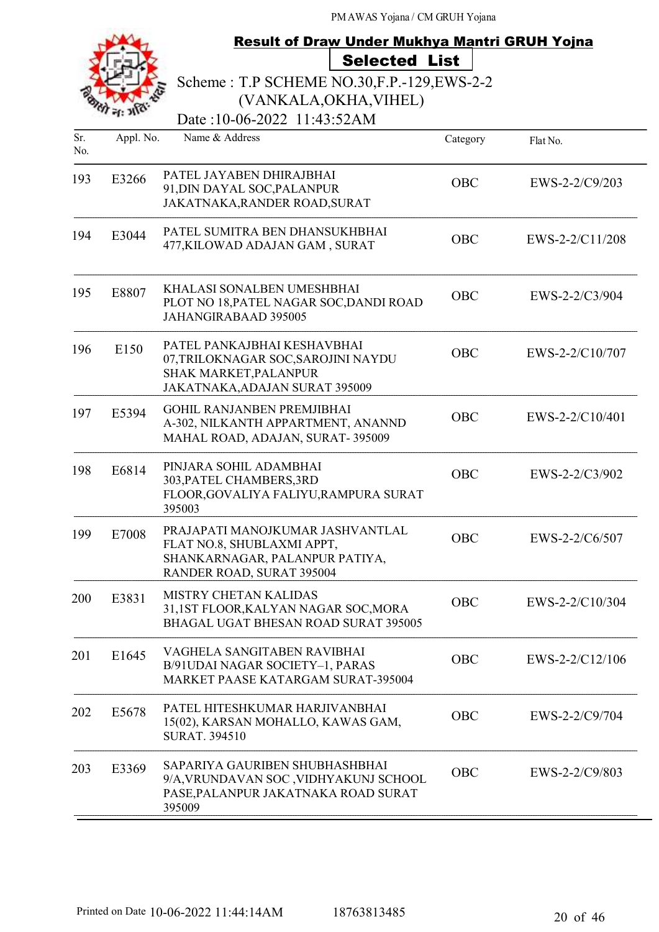|            | <b>Result of Draw Under Mukhya Mantri GRUH Yojna</b><br><b>Selected List</b><br>Scheme: T.P SCHEME NO.30, F.P. - 129, EWS-2-2<br>(VANKALA, OKHA, VIHEL)<br>Date:10-06-2022 11:43:52AM |                                                                                                                               |            |                   |  |
|------------|---------------------------------------------------------------------------------------------------------------------------------------------------------------------------------------|-------------------------------------------------------------------------------------------------------------------------------|------------|-------------------|--|
|            |                                                                                                                                                                                       |                                                                                                                               |            |                   |  |
| Sr.<br>No. | Appl. No.                                                                                                                                                                             | Name & Address                                                                                                                | Category   | Flat No.          |  |
| 193        | E3266                                                                                                                                                                                 | PATEL JAYABEN DHIRAJBHAI<br>91, DIN DAYAL SOC, PALANPUR<br>JAKATNAKA, RANDER ROAD, SURAT                                      | <b>OBC</b> | $EWS-2-2/C9/203$  |  |
| 194        | E3044                                                                                                                                                                                 | PATEL SUMITRA BEN DHANSUKHBHAI<br>477, KILOWAD ADAJAN GAM, SURAT                                                              | <b>OBC</b> | EWS-2-2/C11/208   |  |
| 195        | E8807                                                                                                                                                                                 | KHALASI SONALBEN UMESHBHAI<br>PLOT NO 18, PATEL NAGAR SOC, DANDI ROAD<br><b>JAHANGIRABAAD 395005</b>                          | <b>OBC</b> | $EWS-2-2/C3/904$  |  |
| 196        | E150                                                                                                                                                                                  | PATEL PANKAJBHAI KESHAVBHAI<br>07,TRILOKNAGAR SOC,SAROJINI NAYDU<br>SHAK MARKET, PALANPUR<br>JAKATNAKA, ADAJAN SURAT 395009   | <b>OBC</b> | EWS-2-2/C10/707   |  |
| 197        | E5394                                                                                                                                                                                 | <b>GOHIL RANJANBEN PREMJIBHAI</b><br>A-302, NILKANTH APPARTMENT, ANANND<br>MAHAL ROAD, ADAJAN, SURAT-395009                   | <b>OBC</b> | $EWS-2-2/C10/401$ |  |
| 198        | E6814                                                                                                                                                                                 | PINJARA SOHIL ADAMBHAI<br>303, PATEL CHAMBERS, 3RD<br>FLOOR, GOVALIYA FALIYU, RAMPURA SURAT<br>395003                         | <b>OBC</b> | EWS-2-2/C3/902    |  |
| 199        | E7008                                                                                                                                                                                 | PRAJAPATI MANOJKUMAR JASHVANTLAL<br>FLAT NO.8, SHUBLAXMI APPT,<br>SHANKARNAGAR, PALANPUR PATIYA,<br>RANDER ROAD, SURAT 395004 | <b>OBC</b> | $EWS-2-2/C6/507$  |  |
| 200        | E3831                                                                                                                                                                                 | MISTRY CHETAN KALIDAS<br>31,1ST FLOOR, KALYAN NAGAR SOC, MORA<br>BHAGAL UGAT BHESAN ROAD SURAT 395005                         | OBC        | EWS-2-2/C10/304   |  |
| 201        | E1645                                                                                                                                                                                 | VAGHELA SANGITABEN RAVIBHAI<br>B/91UDAI NAGAR SOCIETY-1, PARAS<br>MARKET PAASE KATARGAM SURAT-395004                          | <b>OBC</b> | EWS-2-2/C12/106   |  |
| 202        | E5678                                                                                                                                                                                 | PATEL HITESHKUMAR HARJIVANBHAI<br>15(02), KARSAN MOHALLO, KAWAS GAM,<br><b>SURAT. 394510</b>                                  | OBC        | EWS-2-2/C9/704    |  |
| 203        | E3369                                                                                                                                                                                 | SAPARIYA GAURIBEN SHUBHASHBHAI<br>9/A, VRUNDAVAN SOC, VIDHYAKUNJ SCHOOL<br>PASE, PALANPUR JAKATNAKA ROAD SURAT<br>395009      | <b>OBC</b> | EWS-2-2/C9/803    |  |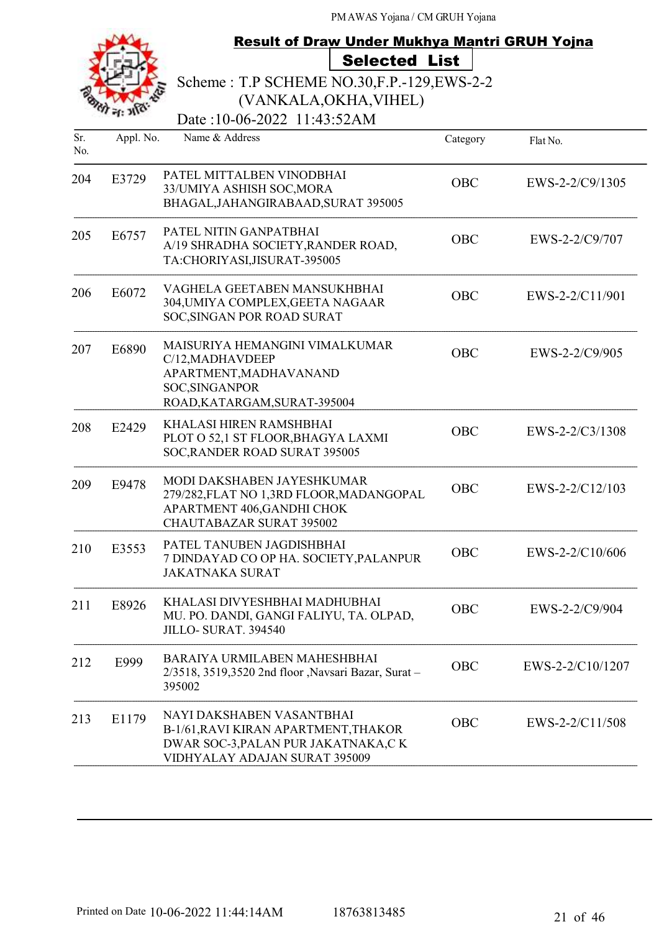|            |           | <b>Result of Draw Under Mukhya Mantri GRUH Yojna</b>                                                                                      |            |                  |
|------------|-----------|-------------------------------------------------------------------------------------------------------------------------------------------|------------|------------------|
|            |           | <b>Selected List</b>                                                                                                                      |            |                  |
|            |           | Scheme: T.P SCHEME NO.30, F.P. - 129, EWS-2-2                                                                                             |            |                  |
|            |           | (VANKALA, OKHA, VIHEL)                                                                                                                    |            |                  |
|            |           | Date: 10-06-2022 11:43:52AM                                                                                                               |            |                  |
| Sr.<br>No. | Appl. No. | Name & Address                                                                                                                            | Category   | Flat No.         |
| 204        | E3729     | PATEL MITTALBEN VINODBHAI<br>33/UMIYA ASHISH SOC, MORA<br>BHAGAL, JAHANGIRABAAD, SURAT 395005                                             | OBC        | EWS-2-2/C9/1305  |
| 205        | E6757     | PATEL NITIN GANPATBHAI<br>A/19 SHRADHA SOCIETY, RANDER ROAD,<br>TA:CHORIYASI, JISURAT-395005                                              | <b>OBC</b> | EWS-2-2/C9/707   |
| 206        | E6072     | VAGHELA GEETABEN MANSUKHBHAI<br>304, UMIYA COMPLEX, GEETA NAGAAR<br>SOC, SINGAN POR ROAD SURAT                                            | <b>OBC</b> | EWS-2-2/C11/901  |
| 207        | E6890     | MAISURIYA HEMANGINI VIMALKUMAR<br>C/12, MADHAVDEEP<br>APARTMENT, MADHAVANAND<br>SOC, SINGANPOR<br>ROAD, KATARGAM, SURAT-395004            | <b>OBC</b> | EWS-2-2/C9/905   |
| 208        | E2429     | KHALASI HIREN RAMSHBHAI<br>PLOT O 52,1 ST FLOOR, BHAGYA LAXMI<br>SOC, RANDER ROAD SURAT 395005                                            | <b>OBC</b> | EWS-2-2/C3/1308  |
| 209        | E9478     | MODI DAKSHABEN JAYESHKUMAR<br>279/282, FLAT NO 1,3RD FLOOR, MADANGOPAL<br>APARTMENT 406, GANDHI CHOK<br>CHAUTABAZAR SURAT 395002          | OBC        | EWS-2-2/C12/103  |
| 210        | E3553     | PATEL TANUBEN JAGDISHBHAI<br>7 DINDAYAD CO OP HA. SOCIETY, PALANPUR<br><b>JAKATNAKA SURAT</b>                                             | OBC        | EWS-2-2/C10/606  |
| 211        | E8926     | KHALASI DIVYESHBHAI MADHUBHAI<br>MU. PO. DANDI, GANGI FALIYU, TA. OLPAD,<br>JILLO-SURAT. 394540                                           | OBC        | EWS-2-2/C9/904   |
| 212        | E999      | BARAIYA URMILABEN MAHESHBHAI<br>2/3518, 3519,3520 2nd floor , Navsari Bazar, Surat -<br>395002                                            | OBC        | EWS-2-2/C10/1207 |
| 213        | E1179     | NAYI DAKSHABEN VASANTBHAI<br>B-1/61, RAVI KIRAN APARTMENT, THAKOR<br>DWAR SOC-3, PALAN PUR JAKATNAKA, CK<br>VIDHYALAY ADAJAN SURAT 395009 | <b>OBC</b> | EWS-2-2/C11/508  |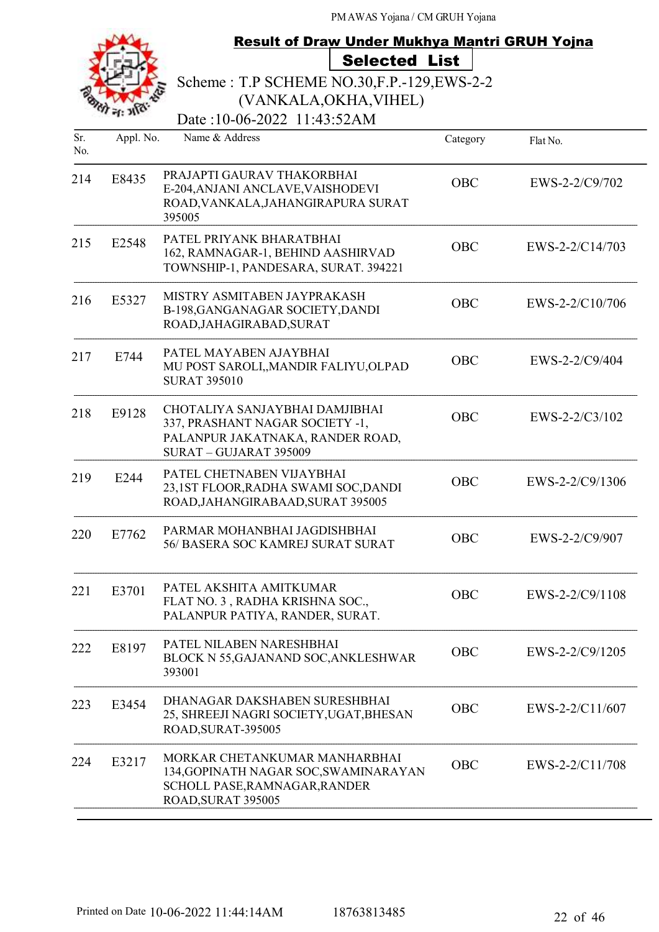| <b>Result of Draw Under Mukhya Mantri GRUH Yojna</b> |           |                                                                                                                                 |            |                   |
|------------------------------------------------------|-----------|---------------------------------------------------------------------------------------------------------------------------------|------------|-------------------|
|                                                      |           | <b>Selected List</b>                                                                                                            |            |                   |
|                                                      |           | Scheme: T.P SCHEME NO.30, F.P. - 129, EWS-2-2                                                                                   |            |                   |
|                                                      |           | (VANKALA, OKHA, VIHEL)                                                                                                          |            |                   |
|                                                      |           | Date:10-06-2022 11:43:52AM                                                                                                      |            |                   |
| Sr.<br>No.                                           | Appl. No. | Name & Address                                                                                                                  | Category   | Flat No.          |
| 214                                                  | E8435     | PRAJAPTI GAURAV THAKORBHAI<br>E-204, ANJANI ANCLAVE, VAISHODEVI<br>ROAD, VANKALA, JAHANGIRAPURA SURAT<br>395005                 | <b>OBC</b> | EWS-2-2/C9/702    |
| 215                                                  | E2548     | PATEL PRIYANK BHARATBHAI<br>162, RAMNAGAR-1, BEHIND AASHIRVAD<br>TOWNSHIP-1, PANDESARA, SURAT. 394221                           | <b>OBC</b> | $EWS-2-2/C14/703$ |
| 216                                                  | E5327     | MISTRY ASMITABEN JAYPRAKASH<br>B-198, GANGANAGAR SOCIETY, DANDI<br>ROAD, JAHAGIRABAD, SURAT                                     | <b>OBC</b> | EWS-2-2/C10/706   |
| 217                                                  | E744      | PATEL MAYABEN AJAYBHAI<br>MU POST SAROLI,, MANDIR FALIYU, OLPAD<br><b>SURAT 395010</b>                                          | <b>OBC</b> | $EWS-2-2/C9/404$  |
| 218                                                  | E9128     | CHOTALIYA SANJAYBHAI DAMJIBHAI<br>337, PRASHANT NAGAR SOCIETY -1,<br>PALANPUR JAKATNAKA, RANDER ROAD,<br>SURAT - GUJARAT 395009 | <b>OBC</b> | EWS-2-2/C3/102    |
| 219                                                  | E244      | PATEL CHETNABEN VIJAYBHAI<br>23,1ST FLOOR, RADHA SWAMI SOC, DANDI<br>ROAD, JAHANGIRABAAD, SURAT 395005                          | <b>OBC</b> | EWS-2-2/C9/1306   |
| 220                                                  | E7762     | PARMAR MOHANBHAI JAGDISHBHAI<br>56/ BASERA SOC KAMREJ SURAT SURAT                                                               | OBC        | EWS-2-2/C9/907    |
| 221                                                  | E3701     | PATEL AKSHITA AMITKUMAR<br>FLAT NO. 3, RADHA KRISHNA SOC.,<br>PALANPUR PATIYA, RANDER, SURAT.                                   | <b>OBC</b> | EWS-2-2/C9/1108   |
| 222                                                  | E8197     | PATEL NILABEN NARESHBHAI<br>BLOCK N 55, GAJANAND SOC, ANKLESHWAR<br>393001                                                      | <b>OBC</b> | EWS-2-2/C9/1205   |
| 223                                                  | E3454     | DHANAGAR DAKSHABEN SURESHBHAI<br>25, SHREEJI NAGRI SOCIETY, UGAT, BHESAN<br>ROAD, SURAT-395005                                  | <b>OBC</b> | EWS-2-2/C11/607   |
| 224                                                  | E3217     | MORKAR CHETANKUMAR MANHARBHAI<br>134, GOPINATH NAGAR SOC, SWAMINARAYAN<br>SCHOLL PASE, RAMNAGAR, RANDER<br>ROAD, SURAT 395005   | OBC        | EWS-2-2/C11/708   |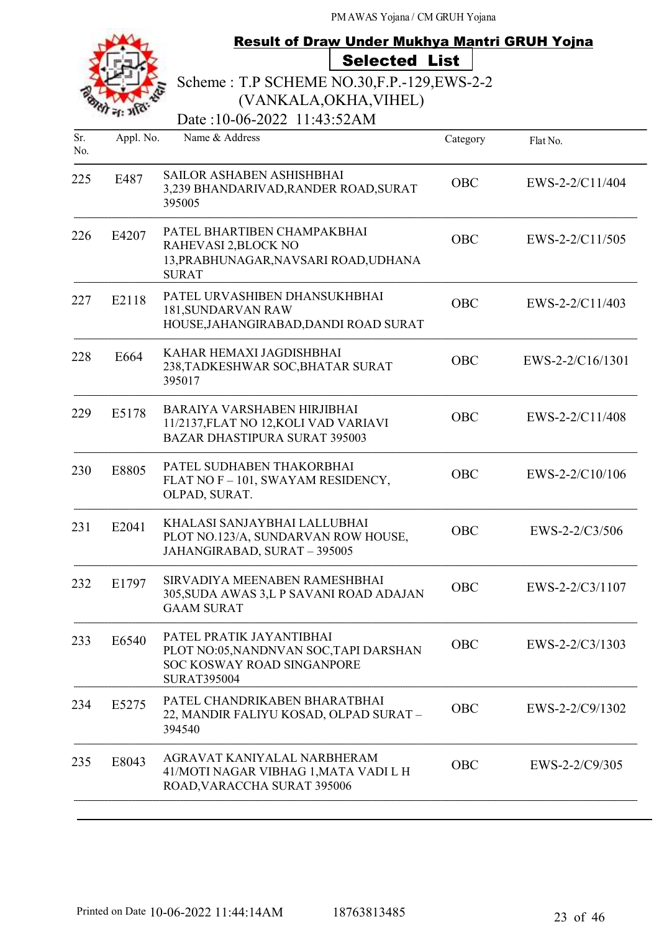

### Result of Draw Under Mukhya Mantri GRUH Yojna Selected List

Scheme : T.P SCHEME NO.30,F.P.-129,EWS-2-2 (VANKALA,OKHA,VIHEL)

Date:10-06-2022 11:43:52AM

| Sr.<br>No. | Appl. No. | Name & Address                                                                                                         | Category   | Flat No.          |
|------------|-----------|------------------------------------------------------------------------------------------------------------------------|------------|-------------------|
| 225        | E487      | SAILOR ASHABEN ASHISHBHAI<br>3,239 BHANDARIVAD, RANDER ROAD, SURAT<br>395005                                           | <b>OBC</b> | EWS-2-2/C11/404   |
| 226        | E4207     | PATEL BHARTIBEN CHAMPAKBHAI<br>RAHEVASI 2, BLOCK NO<br>13, PRABHUNAGAR, NAVSARI ROAD, UDHANA<br><b>SURAT</b>           | OBC        | EWS-2-2/C11/505   |
| 227        | E2118     | PATEL URVASHIBEN DHANSUKHBHAI<br>181, SUNDARVAN RAW<br>HOUSE, JAHANGIRABAD, DANDI ROAD SURAT                           | <b>OBC</b> | EWS-2-2/C11/403   |
| 228        | E664      | KAHAR HEMAXI JAGDISHBHAI<br>238, TADKESHWAR SOC, BHATAR SURAT<br>395017                                                | <b>OBC</b> | EWS-2-2/C16/1301  |
| 229        | E5178     | BARAIYA VARSHABEN HIRJIBHAI<br>11/2137, FLAT NO 12, KOLI VAD VARIAVI<br><b>BAZAR DHASTIPURA SURAT 395003</b>           | <b>OBC</b> | EWS-2-2/C11/408   |
| 230        | E8805     | PATEL SUDHABEN THAKORBHAI<br>FLAT NO F - 101, SWAYAM RESIDENCY,<br>OLPAD, SURAT.                                       | <b>OBC</b> | EWS-2-2/C10/106   |
| 231        | E2041     | KHALASI SANJAYBHAI LALLUBHAI<br>PLOT NO.123/A, SUNDARVAN ROW HOUSE,<br>JAHANGIRABAD, SURAT - 395005                    | <b>OBC</b> | EWS-2-2/C3/506    |
| 232        | E1797     | SIRVADIYA MEENABEN RAMESHBHAI<br>305, SUDA AWAS 3, L P SAVANI ROAD ADAJAN<br><b>GAAM SURAT</b>                         | <b>OBC</b> | EWS-2-2/C3/1107   |
| 233        | E6540     | PATEL PRATIK JAYANTIBHAI<br>PLOT NO:05, NANDNVAN SOC, TAPI DARSHAN<br>SOC KOSWAY ROAD SINGANPORE<br><b>SURAT395004</b> | OBC        | $EWS-2-2/C3/1303$ |
| 234        | E5275     | PATEL CHANDRIKABEN BHARATBHAI<br>22, MANDIR FALIYU KOSAD, OLPAD SURAT-<br>394540                                       | OBC        | EWS-2-2/C9/1302   |
| 235        | E8043     | AGRAVAT KANIYALAL NARBHERAM<br>41/MOTI NAGAR VIBHAG 1, MATA VADI L H<br>ROAD, VARACCHA SURAT 395006                    | OBC        | EWS-2-2/C9/305    |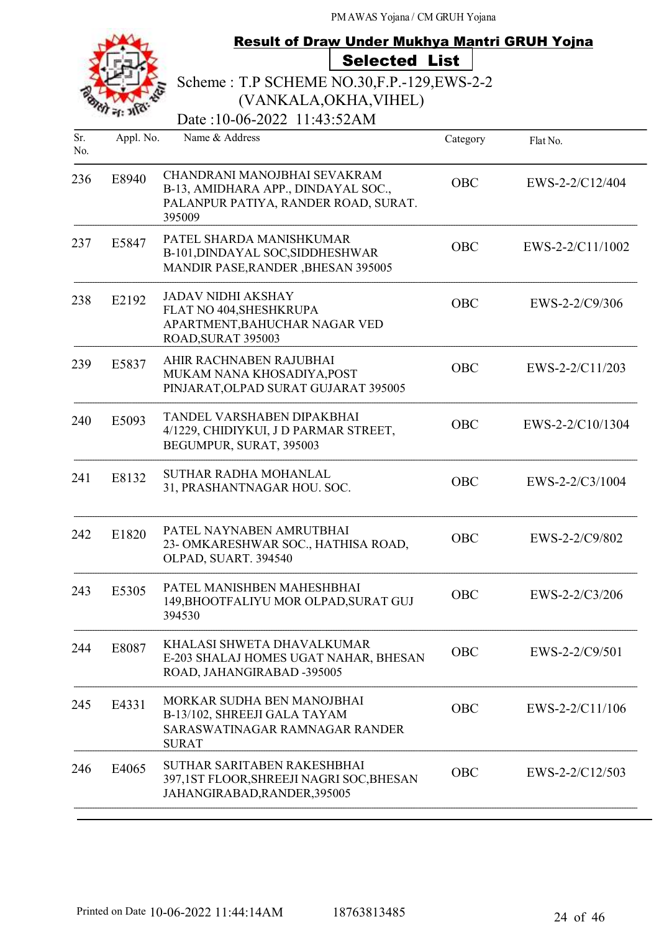|            | <b>Result of Draw Under Mukhya Mantri GRUH Yojna</b> |                                                                                                                       |            |                  |
|------------|------------------------------------------------------|-----------------------------------------------------------------------------------------------------------------------|------------|------------------|
|            |                                                      | <b>Selected List</b>                                                                                                  |            |                  |
|            |                                                      | Scheme: T.P SCHEME NO.30, F.P. - 129, EWS-2-2                                                                         |            |                  |
|            |                                                      | (VANKALA, OKHA, VIHEL)                                                                                                |            |                  |
|            |                                                      | Date:10-06-2022 11:43:52AM                                                                                            |            |                  |
| Sr.<br>No. | Appl. No.                                            | Name & Address                                                                                                        | Category   | Flat No.         |
| 236        | E8940                                                | CHANDRANI MANOJBHAI SEVAKRAM<br>B-13, AMIDHARA APP., DINDAYAL SOC.,<br>PALANPUR PATIYA, RANDER ROAD, SURAT.<br>395009 | <b>OBC</b> | EWS-2-2/C12/404  |
| 237        | E5847                                                | PATEL SHARDA MANISHKUMAR<br>B-101, DINDAYAL SOC, SIDDHESHWAR<br>MANDIR PASE, RANDER, BHESAN 395005                    | <b>OBC</b> | EWS-2-2/C11/1002 |
| 238        | E2192                                                | <b>JADAV NIDHI AKSHAY</b><br>FLAT NO 404, SHESHKRUPA<br>APARTMENT, BAHUCHAR NAGAR VED<br>ROAD, SURAT 395003           | <b>OBC</b> | EWS-2-2/C9/306   |
| 239        | E5837                                                | AHIR RACHNABEN RAJUBHAI<br>MUKAM NANA KHOSADIYA, POST<br>PINJARAT, OLPAD SURAT GUJARAT 395005                         | <b>OBC</b> | EWS-2-2/C11/203  |
| 240        | E5093                                                | TANDEL VARSHABEN DIPAKBHAI<br>4/1229, CHIDIYKUI, J D PARMAR STREET,<br>BEGUMPUR, SURAT, 395003                        | <b>OBC</b> | EWS-2-2/C10/1304 |
| 241        | E8132                                                | SUTHAR RADHA MOHANLAL<br>31, PRASHANTNAGAR HOU. SOC.                                                                  | <b>OBC</b> | EWS-2-2/C3/1004  |
| 242        | E1820                                                | PATEL NAYNABEN AMRUTBHAI<br>23-OMKARESHWAR SOC., HATHISA ROAD,<br>OLPAD, SUART. 394540                                | <b>OBC</b> | EWS-2-2/C9/802   |
| 243        | E5305                                                | PATEL MANISHBEN MAHESHBHAI<br>149, BHOOTFALIYU MOR OLPAD, SURAT GUJ<br>394530                                         | <b>OBC</b> | EWS-2-2/C3/206   |
| 244        | E8087                                                | KHALASI SHWETA DHAVALKUMAR<br>E-203 SHALAJ HOMES UGAT NAHAR, BHESAN<br>ROAD, JAHANGIRABAD -395005                     | <b>OBC</b> | EWS-2-2/C9/501   |
| 245        | E4331                                                | MORKAR SUDHA BEN MANOJBHAI<br>B-13/102, SHREEJI GALA TAYAM<br>SARASWATINAGAR RAMNAGAR RANDER<br><b>SURAT</b>          | <b>OBC</b> | EWS-2-2/C11/106  |
| 246        | E4065                                                | SUTHAR SARITABEN RAKESHBHAI<br>397,1ST FLOOR, SHREEJI NAGRI SOC, BHESAN<br>JAHANGIRABAD, RANDER, 395005               | <b>OBC</b> | EWS-2-2/C12/503  |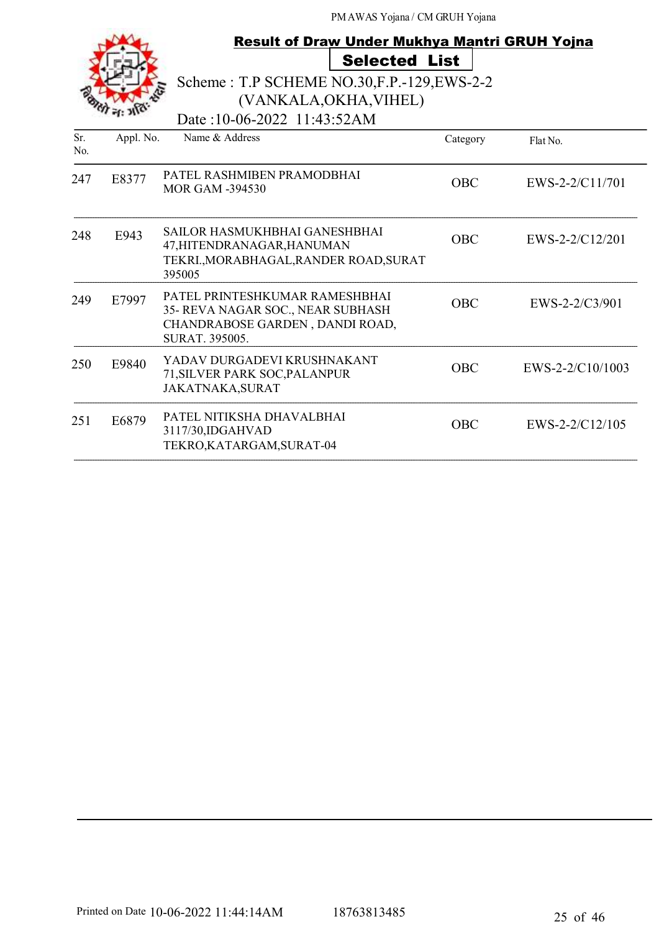|            |           | <b>Result of Draw Under Mukhya Mantri GRUH Yojna</b><br><b>Selected List</b><br>Scheme: T.P SCHEME NO.30, F.P. - 129, EWS-2-2<br>(VANKALA, OKHA, VIHEL)<br>Date:10-06-2022 11:43:52AM |            |                    |
|------------|-----------|---------------------------------------------------------------------------------------------------------------------------------------------------------------------------------------|------------|--------------------|
| Sr.<br>No. | Appl. No. | Name & Address                                                                                                                                                                        | Category   | Flat No.           |
| 247        | E8377     | PATEL RASHMIBEN PRAMODBHAI<br><b>MOR GAM -394530</b>                                                                                                                                  | <b>OBC</b> | EWS-2-2/C11/701    |
| 248        | E943      | SAILOR HASMUKHBHAI GANESHBHAI<br>47, HITENDRANAGAR, HANUMAN<br>TEKRI., MORABHAGAL, RANDER ROAD, SURAT<br>395005                                                                       | <b>OBC</b> | EWS-2-2/C12/201    |
| 249        | E7997     | PATEL PRINTESHKUMAR RAMESHBHAI<br>35- REVA NAGAR SOC., NEAR SUBHASH<br>CHANDRABOSE GARDEN, DANDI ROAD,<br>SURAT. 395005.                                                              | <b>OBC</b> | EWS-2-2/C3/901     |
| 250        | E9840     | YADAV DURGADEVI KRUSHNAKANT<br>71, SILVER PARK SOC, PALANPUR<br><b>JAKATNAKA, SURAT</b>                                                                                               | <b>OBC</b> | $EWS-2-2/C10/1003$ |
| 251        | E6879     | PATEL NITIKSHA DHAVALBHAI<br>3117/30, IDGAHVAD<br>TEKRO, KATARGAM, SURAT-04                                                                                                           | <b>OBC</b> | $EWS-2-2/C12/105$  |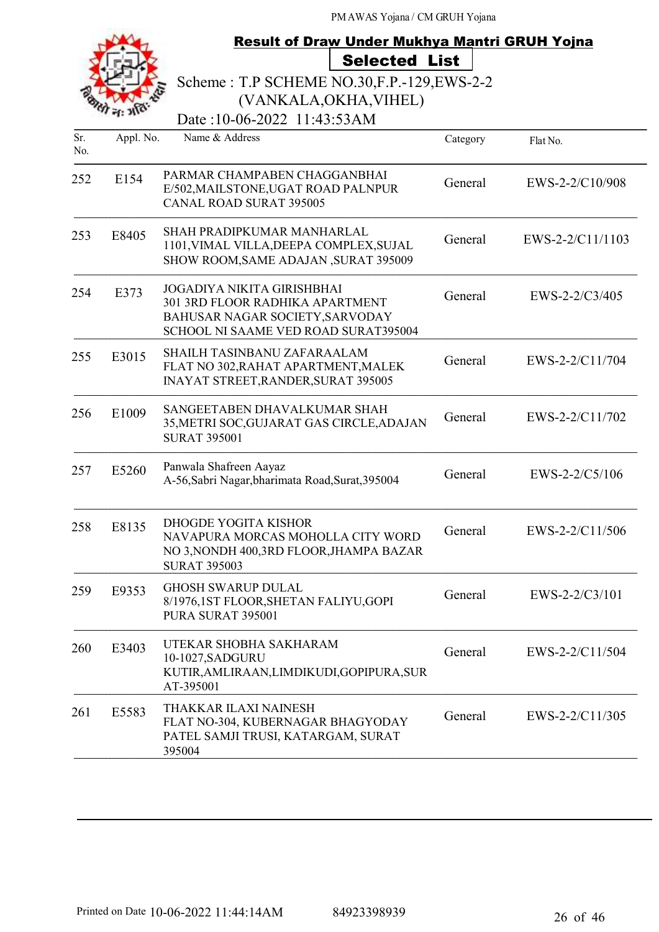|            |           | <b>Result of Draw Under Mukhya Mantri GRUH Yojna</b>                                                                                            |          |                  |
|------------|-----------|-------------------------------------------------------------------------------------------------------------------------------------------------|----------|------------------|
|            |           | <b>Selected List</b>                                                                                                                            |          |                  |
|            |           | Scheme: T.P SCHEME NO.30, F.P. - 129, EWS-2-2                                                                                                   |          |                  |
|            |           | (VANKALA, OKHA, VIHEL)                                                                                                                          |          |                  |
|            |           | Date:10-06-2022 11:43:53AM                                                                                                                      |          |                  |
| Sr.<br>No. | Appl. No. | Name & Address                                                                                                                                  | Category | Flat No.         |
| 252        | E154      | PARMAR CHAMPABEN CHAGGANBHAI<br>E/502, MAILSTONE, UGAT ROAD PALNPUR<br><b>CANAL ROAD SURAT 395005</b>                                           | General  | EWS-2-2/C10/908  |
| 253        | E8405     | SHAH PRADIPKUMAR MANHARLAL<br>1101, VIMAL VILLA, DEEPA COMPLEX, SUJAL<br>SHOW ROOM, SAME ADAJAN, SURAT 395009                                   | General  | EWS-2-2/C11/1103 |
| 254        | E373      | <b>JOGADIYA NIKITA GIRISHBHAI</b><br>301 3RD FLOOR RADHIKA APARTMENT<br>BAHUSAR NAGAR SOCIETY, SARVODAY<br>SCHOOL NI SAAME VED ROAD SURAT395004 | General  | EWS-2-2/C3/405   |
| 255        | E3015     | SHAILH TASINBANU ZAFARAALAM<br>FLAT NO 302, RAHAT APARTMENT, MALEK<br><b>INAYAT STREET, RANDER, SURAT 395005</b>                                | General  | EWS-2-2/C11/704  |
| 256        | E1009     | SANGEETABEN DHAVALKUMAR SHAH<br>35, METRI SOC, GUJARAT GAS CIRCLE, ADAJAN<br><b>SURAT 395001</b>                                                | General  | EWS-2-2/C11/702  |
| 257        | E5260     | Panwala Shafreen Aayaz<br>A-56, Sabri Nagar, bharimata Road, Surat, 395004                                                                      | General  | EWS-2-2/C5/106   |
| 258        | E8135     | DHOGDE YOGITA KISHOR<br>NAVAPURA MORCAS MOHOLLA CITY WORD<br>NO 3, NONDH 400, 3RD FLOOR, JHAMPA BAZAR<br><b>SURAT 395003</b>                    | General  | EWS-2-2/C11/506  |
| 259        | E9353     | <b>GHOSH SWARUP DULAL</b><br>8/1976,1ST FLOOR, SHETAN FALIYU, GOPI<br>PURA SURAT 395001                                                         | General  | EWS-2-2/C3/101   |
| 260        | E3403     | UTEKAR SHOBHA SAKHARAM<br>10-1027, SADGURU<br>KUTIR, AMLIRAAN, LIMDIKUDI, GOPIPURA, SUR<br>AT-395001                                            | General  | EWS-2-2/C11/504  |
| 261        | E5583     | THAKKAR ILAXI NAINESH<br>FLAT NO-304, KUBERNAGAR BHAGYODAY<br>PATEL SAMJI TRUSI, KATARGAM, SURAT<br>395004                                      | General  | EWS-2-2/C11/305  |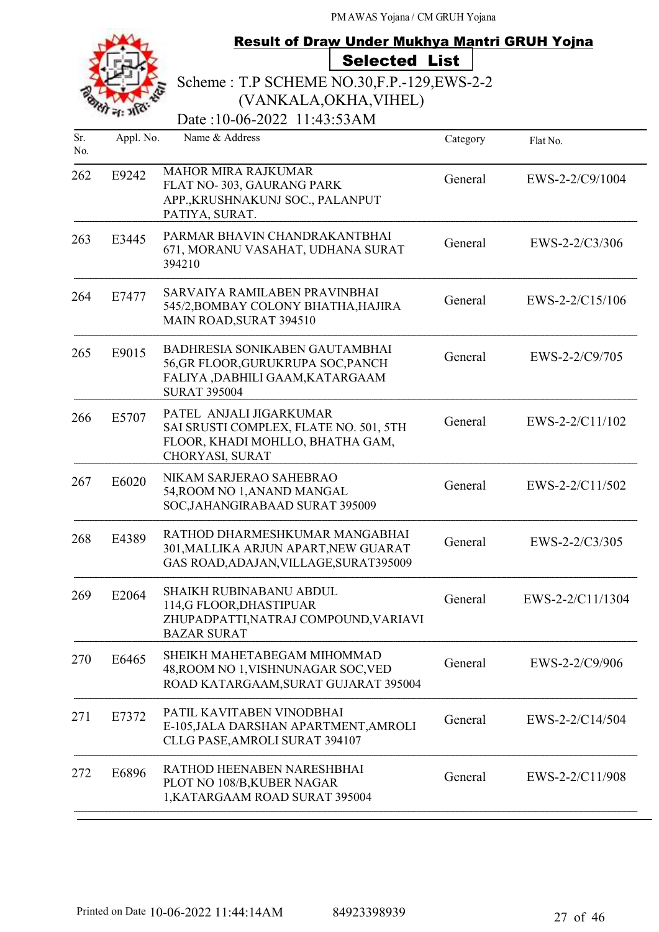|            |           | Result of Draw Under Mukhya Mantri GRUH Yojna                                                                                 |          |                   |
|------------|-----------|-------------------------------------------------------------------------------------------------------------------------------|----------|-------------------|
|            |           | <b>Selected List</b>                                                                                                          |          |                   |
|            |           | Scheme: T.P SCHEME NO.30, F.P.-129, EWS-2-2                                                                                   |          |                   |
|            |           | (VANKALA, OKHA, VIHEL)                                                                                                        |          |                   |
|            |           | Date:10-06-2022 11:43:53AM                                                                                                    |          |                   |
| Sr.<br>No. | Appl. No. | Name & Address                                                                                                                | Category | Flat No.          |
| 262        | E9242     | <b>MAHOR MIRA RAJKUMAR</b><br>FLAT NO-303, GAURANG PARK<br>APP., KRUSHNAKUNJ SOC., PALANPUT<br>PATIYA, SURAT.                 | General  | EWS-2-2/C9/1004   |
| 263        | E3445     | PARMAR BHAVIN CHANDRAKANTBHAI<br>671, MORANU VASAHAT, UDHANA SURAT<br>394210                                                  | General  | $EWS-2-2/C3/306$  |
| 264        | E7477     | SARVAIYA RAMILABEN PRAVINBHAI<br>545/2, BOMBAY COLONY BHATHA, HAJIRA<br>MAIN ROAD, SURAT 394510                               | General  | EWS-2-2/C15/106   |
| 265        | E9015     | BADHRESIA SONIKABEN GAUTAMBHAI<br>56, GR FLOOR, GURUKRUPA SOC, PANCH<br>FALIYA ,DABHILI GAAM,KATARGAAM<br><b>SURAT 395004</b> | General  | EWS-2-2/C9/705    |
| 266        | E5707     | PATEL ANJALI JIGARKUMAR<br>SAI SRUSTI COMPLEX, FLATE NO. 501, 5TH<br>FLOOR, KHADI MOHLLO, BHATHA GAM,<br>CHORYASI, SURAT      | General  | EWS-2-2/C11/102   |
| 267        | E6020     | NIKAM SARJERAO SAHEBRAO<br>54, ROOM NO 1, ANAND MANGAL<br>SOC, JAHANGIRABAAD SURAT 395009                                     | General  | $EWS-2-2/C11/502$ |
| 268        | E4389     | RATHOD DHARMESHKUMAR MANGABHAI<br>301, MALLIKA ARJUN APART, NEW GUARAT<br>GAS ROAD, ADAJAN, VILLAGE, SURAT395009              | General  | $EWS-2-2/C3/305$  |
| 269        | E2064     | <b>SHAIKH RUBINABANU ABDUL</b><br>114,G FLOOR, DHASTIPUAR<br>ZHUPADPATTI, NATRAJ COMPOUND, VARIAVI<br><b>BAZAR SURAT</b>      | General  | EWS-2-2/C11/1304  |
| 270        | E6465     | SHEIKH MAHETABEGAM MIHOMMAD<br>48, ROOM NO 1, VISHNUNAGAR SOC, VED<br>ROAD KATARGAAM, SURAT GUJARAT 395004                    | General  | EWS-2-2/C9/906    |
| 271        | E7372     | PATIL KAVITABEN VINODBHAI<br>E-105, JALA DARSHAN APARTMENT, AMROLI<br>CLLG PASE, AMROLI SURAT 394107                          | General  | EWS-2-2/C14/504   |
| 272        | E6896     | RATHOD HEENABEN NARESHBHAI<br>PLOT NO 108/B, KUBER NAGAR<br>1, KATARGAAM ROAD SURAT 395004                                    | General  | EWS-2-2/C11/908   |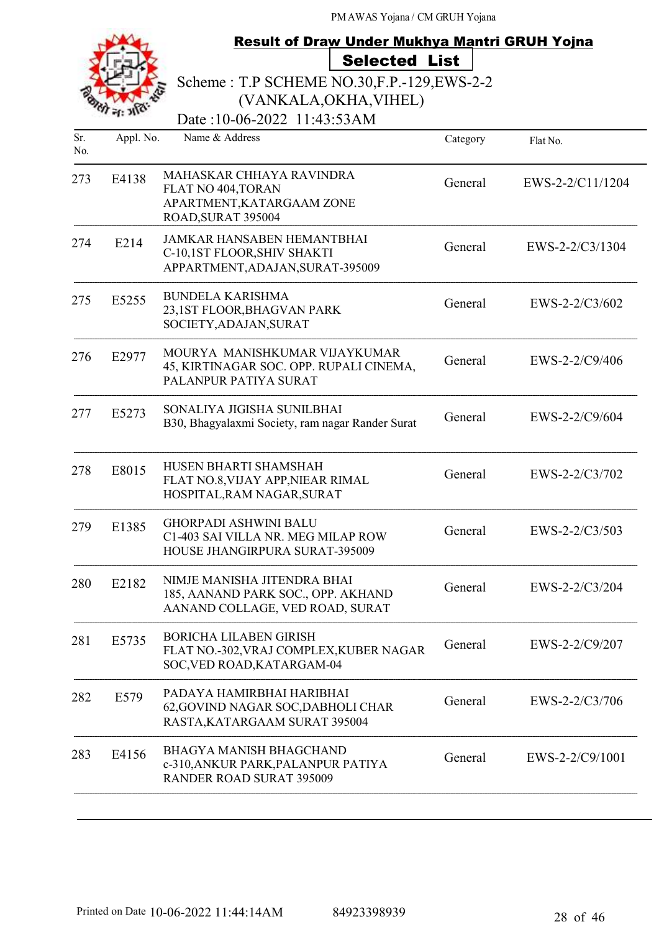|            |           | <b>Result of Draw Under Mukhya Mantri GRUH Yojna</b>                                                    |          |                  |
|------------|-----------|---------------------------------------------------------------------------------------------------------|----------|------------------|
|            |           | <b>Selected List</b>                                                                                    |          |                  |
|            |           | Scheme: T.P SCHEME NO.30, F.P. - 129, EWS-2-2                                                           |          |                  |
|            |           | (VANKALA, OKHA, VIHEL)                                                                                  |          |                  |
|            |           | Date:10-06-2022 11:43:53AM                                                                              |          |                  |
| Sr.<br>No. | Appl. No. | Name & Address                                                                                          | Category | Flat No.         |
| 273        | E4138     | MAHASKAR CHHAYA RAVINDRA<br>FLAT NO 404, TORAN<br>APARTMENT, KATARGAAM ZONE                             | General  | EWS-2-2/C11/1204 |
|            |           | ROAD, SURAT 395004                                                                                      |          |                  |
| 274        | E214      | <b>JAMKAR HANSABEN HEMANTBHAI</b><br>C-10,1ST FLOOR, SHIV SHAKTI<br>APPARTMENT, ADAJAN, SURAT-395009    | General  | EWS-2-2/C3/1304  |
| 275        | E5255     | <b>BUNDELA KARISHMA</b><br>23,1ST FLOOR, BHAGVAN PARK<br>SOCIETY, ADAJAN, SURAT                         | General  | EWS-2-2/C3/602   |
| 276        | E2977     | MOURYA MANISHKUMAR VIJAYKUMAR<br>45, KIRTINAGAR SOC. OPP. RUPALI CINEMA,<br>PALANPUR PATIYA SURAT       | General  | EWS-2-2/C9/406   |
| 277        | E5273     | SONALIYA JIGISHA SUNILBHAI<br>B30, Bhagyalaxmi Society, ram nagar Rander Surat                          | General  | EWS-2-2/C9/604   |
| 278        | E8015     | HUSEN BHARTI SHAMSHAH<br>FLAT NO.8, VIJAY APP, NIEAR RIMAL<br>HOSPITAL, RAM NAGAR, SURAT                | General  | EWS-2-2/C3/702   |
| 279        | E1385     | <b>GHORPADI ASHWINI BALU</b><br>C1-403 SAI VILLA NR. MEG MILAP ROW<br>HOUSE JHANGIRPURA SURAT-395009    | General  | EWS-2-2/C3/503   |
| 280        | E2182     | NIMJE MANISHA JITENDRA BHAI<br>185, AANAND PARK SOC., OPP. AKHAND<br>AANAND COLLAGE, VED ROAD, SURAT    | General  | EWS-2-2/C3/204   |
| 281        | E5735     | <b>BORICHA LILABEN GIRISH</b><br>FLAT NO.-302, VRAJ COMPLEX, KUBER NAGAR<br>SOC, VED ROAD, KATARGAM-04  | General  | EWS-2-2/C9/207   |
| 282        | E579      | PADAYA HAMIRBHAI HARIBHAI<br>62, GOVIND NAGAR SOC, DABHOLI CHAR<br>RASTA, KATARGAAM SURAT 395004        | General  | EWS-2-2/C3/706   |
| 283        | E4156     | <b>BHAGYA MANISH BHAGCHAND</b><br>c-310, ANKUR PARK, PALANPUR PATIYA<br><b>RANDER ROAD SURAT 395009</b> | General  | EWS-2-2/C9/1001  |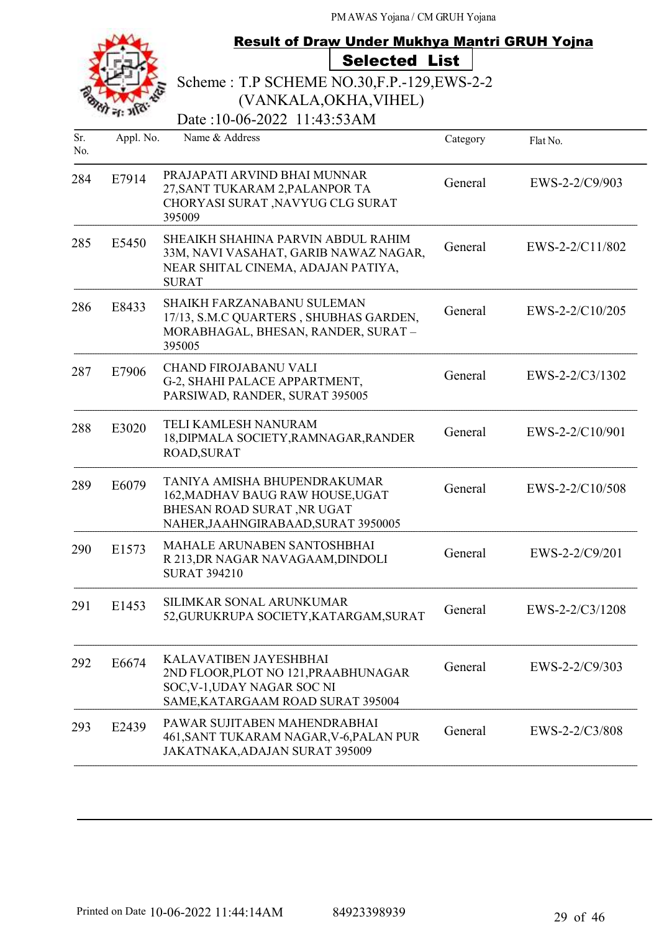|            |           | <b>Result of Draw Under Mukhya Mantri GRUH Yojna</b>                                                                                  |          |                 |
|------------|-----------|---------------------------------------------------------------------------------------------------------------------------------------|----------|-----------------|
|            |           | <b>Selected List</b>                                                                                                                  |          |                 |
|            |           | Scheme: T.P SCHEME NO.30, F.P. - 129, EWS-2-2                                                                                         |          |                 |
|            |           | (VANKALA, OKHA, VIHEL)<br>Date:10-06-2022 11:43:53AM                                                                                  |          |                 |
| Sr.<br>No. | Appl. No. | Name & Address                                                                                                                        | Category | Flat No.        |
| 284        | E7914     | PRAJAPATI ARVIND BHAI MUNNAR<br>27, SANT TUKARAM 2, PALANPOR TA<br>CHORYASI SURAT , NAVYUG CLG SURAT<br>395009                        | General  | EWS-2-2/C9/903  |
| 285        | E5450     | SHEAIKH SHAHINA PARVIN ABDUL RAHIM<br>33M, NAVI VASAHAT, GARIB NAWAZ NAGAR,<br>NEAR SHITAL CINEMA, ADAJAN PATIYA,<br><b>SURAT</b>     | General  | EWS-2-2/C11/802 |
| 286        | E8433     | <b>SHAIKH FARZANABANU SULEMAN</b><br>17/13, S.M.C QUARTERS, SHUBHAS GARDEN,<br>MORABHAGAL, BHESAN, RANDER, SURAT-<br>395005           | General  | EWS-2-2/C10/205 |
| 287        | E7906     | CHAND FIROJABANU VALI<br>G-2, SHAHI PALACE APPARTMENT,<br>PARSIWAD, RANDER, SURAT 395005                                              | General  | EWS-2-2/C3/1302 |
| 288        | E3020     | TELI KAMLESH NANURAM<br>18, DIPMALA SOCIETY, RAMNAGAR, RANDER<br><b>ROAD, SURAT</b>                                                   | General  | EWS-2-2/C10/901 |
| 289        | E6079     | TANIYA AMISHA BHUPENDRAKUMAR<br>162, MADHAV BAUG RAW HOUSE, UGAT<br>BHESAN ROAD SURAT, NR UGAT<br>NAHER, JAAHNGIRABAAD, SURAT 3950005 | General  | EWS-2-2/C10/508 |
| 290        | E1573     | MAHALE ARUNABEN SANTOSHBHAI<br>R 213, DR NAGAR NAVAGAAM, DINDOLI<br><b>SURAT 394210</b>                                               | General  | EWS-2-2/C9/201  |
| 291        | E1453     | SILIMKAR SONAL ARUNKUMAR<br>52, GURUKRUPA SOCIETY, KATARGAM, SURAT                                                                    | General  | EWS-2-2/C3/1208 |
| 292        | E6674     | KALAVATIBEN JAYESHBHAI<br>2ND FLOOR, PLOT NO 121, PRAABHUNAGAR<br>SOC, V-1, UDAY NAGAR SOC NI<br>SAME, KATARGAAM ROAD SURAT 395004    | General  | EWS-2-2/C9/303  |
| 293        | E2439     | PAWAR SUJITABEN MAHENDRABHAI<br>461, SANT TUKARAM NAGAR, V-6, PALAN PUR<br>JAKATNAKA, ADAJAN SURAT 395009                             | General  | EWS-2-2/C3/808  |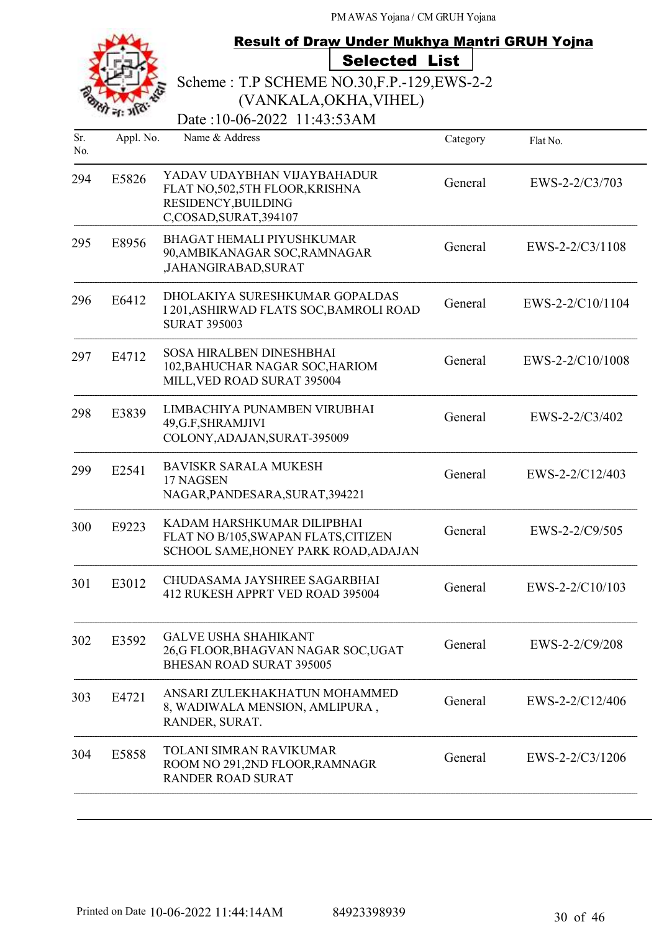|            |           | <b>Result of Draw Under Mukhya Mantri GRUH Yojna</b>                                                             |          |                  |
|------------|-----------|------------------------------------------------------------------------------------------------------------------|----------|------------------|
|            |           | <b>Selected List</b>                                                                                             |          |                  |
|            |           | Scheme: T.P SCHEME NO.30, F.P. - 129, EWS-2-2                                                                    |          |                  |
|            |           | (VANKALA, OKHA, VIHEL)                                                                                           |          |                  |
|            |           | Date:10-06-2022 11:43:53AM                                                                                       |          |                  |
| Sr.<br>No. | Appl. No. | Name & Address                                                                                                   | Category | Flat No.         |
| 294        | E5826     | YADAV UDAYBHAN VIJAYBAHADUR<br>FLAT NO, 502, 5TH FLOOR, KRISHNA<br>RESIDENCY, BUILDING<br>C,COSAD, SURAT, 394107 | General  | EWS-2-2/C3/703   |
| 295        | E8956     | <b>BHAGAT HEMALI PIYUSHKUMAR</b><br>90, AMBIKANAGAR SOC, RAMNAGAR<br>,JAHANGIRABAD,SURAT                         | General  | EWS-2-2/C3/1108  |
| 296        | E6412     | DHOLAKIYA SURESHKUMAR GOPALDAS<br>I 201, ASHIRWAD FLATS SOC, BAMROLI ROAD<br><b>SURAT 395003</b>                 | General  | EWS-2-2/C10/1104 |
| 297        | E4712     | <b>SOSA HIRALBEN DINESHBHAI</b><br>102, BAHUCHAR NAGAR SOC, HARIOM<br>MILL, VED ROAD SURAT 395004                | General  | EWS-2-2/C10/1008 |
| 298        | E3839     | LIMBACHIYA PUNAMBEN VIRUBHAI<br>49, G.F, SHRAMJIVI<br>COLONY, ADAJAN, SURAT-395009                               | General  | EWS-2-2/C3/402   |
| 299        | E2541     | <b>BAVISKR SARALA MUKESH</b><br>17 NAGSEN<br>NAGAR, PANDESARA, SURAT, 394221                                     | General  | EWS-2-2/C12/403  |
| 300        | E9223     | KADAM HARSHKUMAR DILIPBHAI<br>FLAT NO B/105, SWAPAN FLATS, CITIZEN<br>SCHOOL SAME, HONEY PARK ROAD, ADAJAN       | General  | EWS-2-2/C9/505   |
| 301        | E3012     | CHUDASAMA JAYSHREE SAGARBHAI<br>412 RUKESH APPRT VED ROAD 395004                                                 | General  | EWS-2-2/C10/103  |
| 302        | E3592     | <b>GALVE USHA SHAHIKANT</b><br>26,G FLOOR, BHAGVAN NAGAR SOC, UGAT<br><b>BHESAN ROAD SURAT 395005</b>            | General  | EWS-2-2/C9/208   |
| 303        | E4721     | ANSARI ZULEKHAKHATUN MOHAMMED<br>8, WADIWALA MENSION, AMLIPURA,<br>RANDER, SURAT.                                | General  | EWS-2-2/C12/406  |
| 304        | E5858     | TOLANI SIMRAN RAVIKUMAR<br>ROOM NO 291,2ND FLOOR, RAMNAGR<br><b>RANDER ROAD SURAT</b>                            | General  | EWS-2-2/C3/1206  |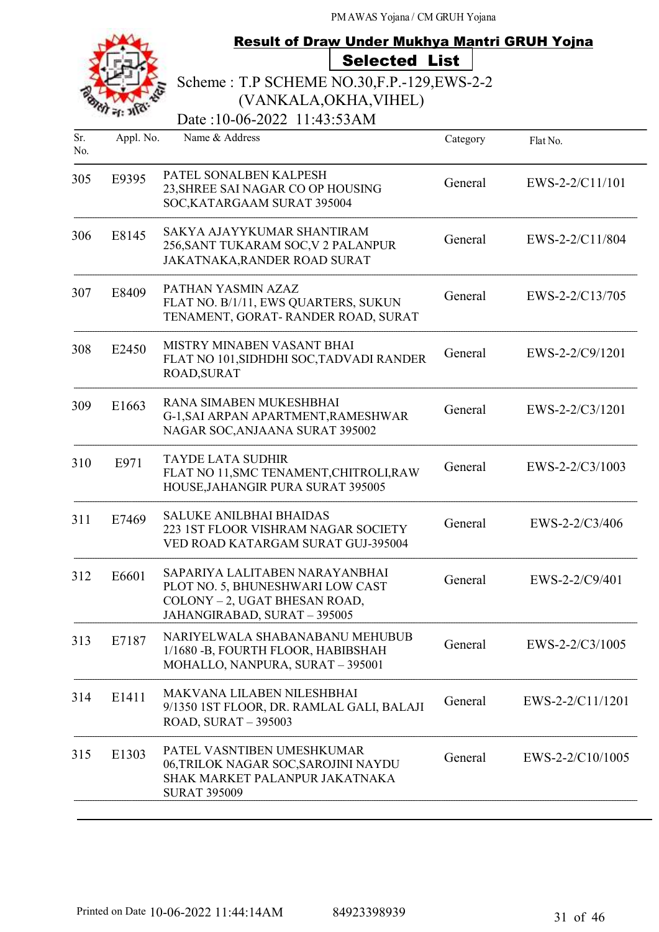|            |           | <b>Result of Draw Under Mukhya Mantri GRUH Yojna</b>                                                                                |          |                  |
|------------|-----------|-------------------------------------------------------------------------------------------------------------------------------------|----------|------------------|
|            |           | <b>Selected List</b>                                                                                                                |          |                  |
|            |           | Scheme: T.P SCHEME NO.30, F.P. - 129, EWS-2-2                                                                                       |          |                  |
|            |           | (VANKALA, OKHA, VIHEL)                                                                                                              |          |                  |
|            |           | Date:10-06-2022 11:43:53AM                                                                                                          |          |                  |
| Sr.<br>No. | Appl. No. | Name & Address                                                                                                                      | Category | Flat No.         |
| 305        | E9395     | PATEL SONALBEN KALPESH<br>23, SHREE SAI NAGAR CO OP HOUSING<br>SOC, KATARGAAM SURAT 395004                                          | General  | EWS-2-2/C11/101  |
| 306        | E8145     | SAKYA AJAYYKUMAR SHANTIRAM<br>256, SANT TUKARAM SOC, V 2 PALANPUR<br>JAKATNAKA, RANDER ROAD SURAT                                   | General  | EWS-2-2/C11/804  |
| 307        | E8409     | PATHAN YASMIN AZAZ<br>FLAT NO. B/1/11, EWS QUARTERS, SUKUN<br>TENAMENT, GORAT-RANDER ROAD, SURAT                                    | General  | EWS-2-2/C13/705  |
| 308        | E2450     | MISTRY MINABEN VASANT BHAI<br>FLAT NO 101, SIDHDHI SOC, TADVADI RANDER<br>ROAD, SURAT                                               | General  | EWS-2-2/C9/1201  |
| 309        | E1663     | RANA SIMABEN MUKESHBHAI<br>G-1, SAI ARPAN APARTMENT, RAMESHWAR<br>NAGAR SOC, ANJAANA SURAT 395002                                   | General  | EWS-2-2/C3/1201  |
| 310        | E971      | <b>TAYDE LATA SUDHIR</b><br>FLAT NO 11, SMC TENAMENT, CHITROLI, RAW<br>HOUSE, JAHANGIR PURA SURAT 395005                            | General  | EWS-2-2/C3/1003  |
| 311        | E7469     | <b>SALUKE ANILBHAI BHAIDAS</b><br>223 IST FLOOR VISHRAM NAGAR SOCIETY<br>VED ROAD KATARGAM SURAT GUJ-395004                         | General  | EWS-2-2/C3/406   |
| 312        | E6601     | SAPARIYA LALITABEN NARAYANBHAI<br>PLOT NO. 5, BHUNESHWARI LOW CAST<br>COLONY - 2, UGAT BHESAN ROAD,<br>JAHANGIRABAD, SURAT - 395005 | General  | EWS-2-2/C9/401   |
| 313        | E7187     | NARIYELWALA SHABANABANU MEHUBUB<br>1/1680 - B, FOURTH FLOOR, HABIBSHAH<br>MOHALLO, NANPURA, SURAT - 395001                          | General  | EWS-2-2/C3/1005  |
| 314        | E1411     | MAKVANA LILABEN NILESHBHAI<br>9/1350 IST FLOOR, DR. RAMLAL GALI, BALAJI<br><b>ROAD, SURAT - 395003</b>                              | General  | EWS-2-2/C11/1201 |
| 315        | E1303     | PATEL VASNTIBEN UMESHKUMAR<br>06,TRILOK NAGAR SOC,SAROJINI NAYDU<br>SHAK MARKET PALANPUR JAKATNAKA<br><b>SURAT 395009</b>           | General  | EWS-2-2/C10/1005 |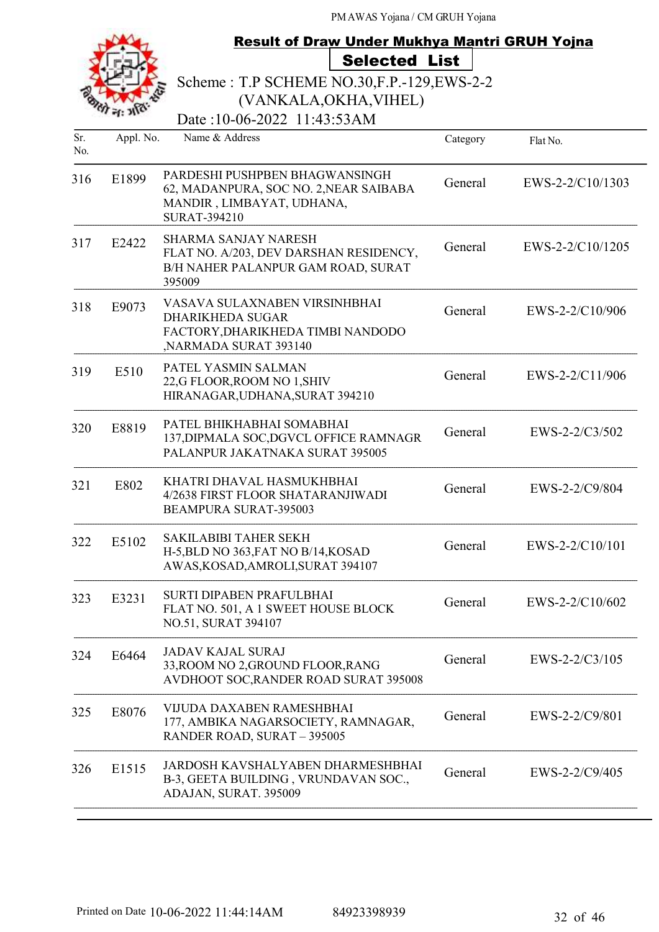|            |           | <b>Result of Draw Under Mukhya Mantri GRUH Yojna</b>                                                                         |          |                  |
|------------|-----------|------------------------------------------------------------------------------------------------------------------------------|----------|------------------|
|            |           | <b>Selected List</b>                                                                                                         |          |                  |
|            |           | Scheme: T.P SCHEME NO.30, F.P.-129, EWS-2-2                                                                                  |          |                  |
|            |           | (VANKALA, OKHA, VIHEL)                                                                                                       |          |                  |
|            |           | Date:10-06-2022 11:43:53AM                                                                                                   |          |                  |
| Sr.<br>No. | Appl. No. | Name & Address                                                                                                               | Category | Flat No.         |
| 316        | E1899     | PARDESHI PUSHPBEN BHAGWANSINGH<br>62, MADANPURA, SOC NO. 2, NEAR SAIBABA<br>MANDIR, LIMBAYAT, UDHANA,<br><b>SURAT-394210</b> | General  | EWS-2-2/C10/1303 |
| 317        | E2422     | <b>SHARMA SANJAY NARESH</b><br>FLAT NO. A/203, DEV DARSHAN RESIDENCY,<br>B/H NAHER PALANPUR GAM ROAD, SURAT<br>395009        | General  | EWS-2-2/C10/1205 |
| 318        | E9073     | VASAVA SULAXNABEN VIRSINHBHAI<br><b>DHARIKHEDA SUGAR</b><br>FACTORY, DHARIKHEDA TIMBI NANDODO<br>,NARMADA SURAT 393140       | General  | EWS-2-2/C10/906  |
| 319        | E510      | PATEL YASMIN SALMAN<br>22,G FLOOR, ROOM NO 1, SHIV<br>HIRANAGAR, UDHANA, SURAT 394210                                        | General  | EWS-2-2/C11/906  |
| 320        | E8819     | PATEL BHIKHABHAI SOMABHAI<br>137, DIPMALA SOC, DGVCL OFFICE RAMNAGR<br>PALANPUR JAKATNAKA SURAT 395005                       | General  | EWS-2-2/C3/502   |
| 321        | E802      | KHATRI DHAVAL HASMUKHBHAI<br>4/2638 FIRST FLOOR SHATARANJIWADI<br><b>BEAMPURA SURAT-395003</b>                               | General  | EWS-2-2/C9/804   |
| 322        | E5102     | <b>SAKILABIBI TAHER SEKH</b><br>H-5, BLD NO 363, FAT NO B/14, KOSAD<br>AWAS, KOSAD, AMROLI, SURAT 394107                     | General  | EWS-2-2/C10/101  |
| 323        | E3231     | <b>SURTI DIPABEN PRAFULBHAI</b><br>FLAT NO. 501, A 1 SWEET HOUSE BLOCK<br>NO.51, SURAT 394107                                | General  | EWS-2-2/C10/602  |
| 324        | E6464     | <b>JADAV KAJAL SURAJ</b><br>33, ROOM NO 2, GROUND FLOOR, RANG<br>AVDHOOT SOC, RANDER ROAD SURAT 395008                       | General  | $EWS-2-2/C3/105$ |
| 325        | E8076     | VIJUDA DAXABEN RAMESHBHAI<br>177, AMBIKA NAGARSOCIETY, RAMNAGAR,<br>RANDER ROAD, SURAT - 395005                              | General  | EWS-2-2/C9/801   |
| 326        | E1515     | JARDOSH KAVSHALYABEN DHARMESHBHAI<br>B-3, GEETA BUILDING, VRUNDAVAN SOC.,<br>ADAJAN, SURAT. 395009                           | General  | EWS-2-2/C9/405   |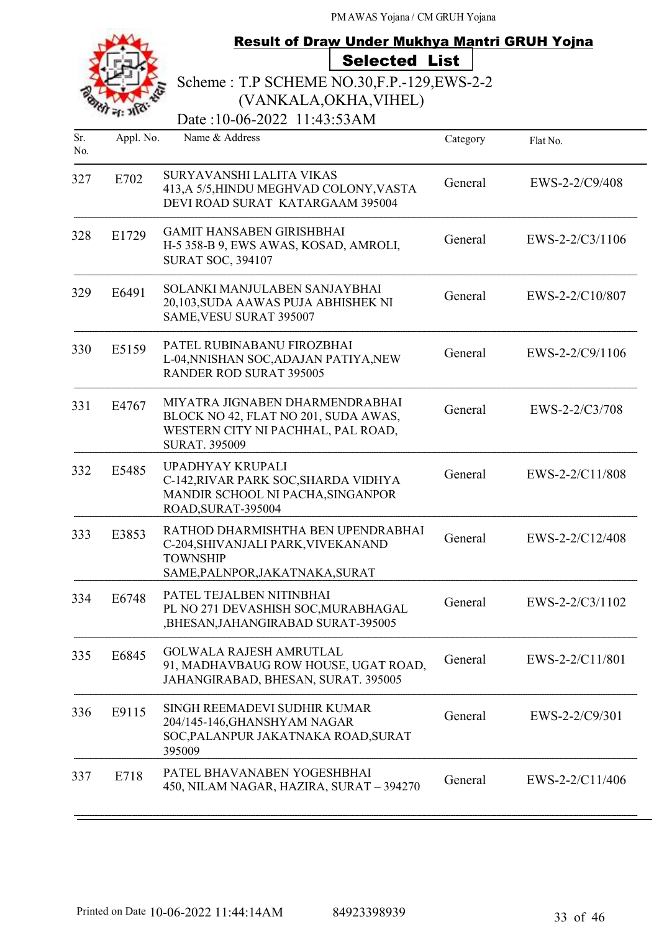|            |           | <b>Result of Draw Under Mukhya Mantri GRUH Yojna</b>                                                                                  |          |                   |
|------------|-----------|---------------------------------------------------------------------------------------------------------------------------------------|----------|-------------------|
|            |           | <b>Selected List</b>                                                                                                                  |          |                   |
|            |           | Scheme: T.P SCHEME NO.30, F.P.-129, EWS-2-2                                                                                           |          |                   |
|            |           | (VANKALA, OKHA, VIHEL)                                                                                                                |          |                   |
|            |           | Date:10-06-2022 11:43:53AM                                                                                                            |          |                   |
| Sr.<br>No. | Appl. No. | Name & Address                                                                                                                        | Category | Flat No.          |
| 327        | E702      | SURYAVANSHI LALITA VIKAS<br>413, A 5/5, HINDU MEGHVAD COLONY, VASTA<br>DEVI ROAD SURAT KATARGAAM 395004                               | General  | $EWS-2-2/C9/408$  |
| 328        | E1729     | <b>GAMIT HANSABEN GIRISHBHAI</b><br>H-5 358-B 9, EWS AWAS, KOSAD, AMROLI,<br><b>SURAT SOC, 394107</b>                                 | General  | $EWS-2-2/C3/1106$ |
| 329        | E6491     | SOLANKI MANJULABEN SANJAYBHAI<br>20,103, SUDA AAWAS PUJA ABHISHEK NI<br>SAME, VESU SURAT 395007                                       | General  | EWS-2-2/C10/807   |
| 330        | E5159     | PATEL RUBINABANU FIROZBHAI<br>L-04, NNISHAN SOC, ADAJAN PATIYA, NEW<br><b>RANDER ROD SURAT 395005</b>                                 | General  | EWS-2-2/C9/1106   |
| 331        | E4767     | MIYATRA JIGNABEN DHARMENDRABHAI<br>BLOCK NO 42, FLAT NO 201, SUDA AWAS,<br>WESTERN CITY NI PACHHAL, PAL ROAD,<br><b>SURAT. 395009</b> | General  | EWS-2-2/C3/708    |
| 332        | E5485     | UPADHYAY KRUPALI<br>C-142, RIVAR PARK SOC, SHARDA VIDHYA<br>MANDIR SCHOOL NI PACHA, SINGANPOR<br>ROAD, SURAT-395004                   | General  | EWS-2-2/C11/808   |
| 333        | E3853     | RATHOD DHARMISHTHA BEN UPENDRABHAI<br>C-204, SHIVANJALI PARK, VIVEKANAND<br><b>TOWNSHIP</b><br>SAME, PALNPOR, JAKATNAKA, SURAT        | General  | EWS-2-2/C12/408   |
| 334        | E6748     | PATEL TEJALBEN NITINBHAI<br>PL NO 271 DEVASHISH SOC, MURABHAGAL<br>,BHESAN, JAHANGIRABAD SURAT-395005                                 | General  | EWS-2-2/C3/1102   |
| 335        | E6845     | <b>GOLWALA RAJESH AMRUTLAL</b><br>91, MADHAVBAUG ROW HOUSE, UGAT ROAD,<br>JAHANGIRABAD, BHESAN, SURAT. 395005                         | General  | EWS-2-2/C11/801   |
| 336        | E9115     | SINGH REEMADEVI SUDHIR KUMAR<br>204/145-146, GHANSHYAM NAGAR<br>SOC, PALANPUR JAKATNAKA ROAD, SURAT<br>395009                         | General  | EWS-2-2/C9/301    |
| 337        | E718      | PATEL BHAVANABEN YOGESHBHAI<br>450, NILAM NAGAR, HAZIRA, SURAT - 394270                                                               | General  | EWS-2-2/C11/406   |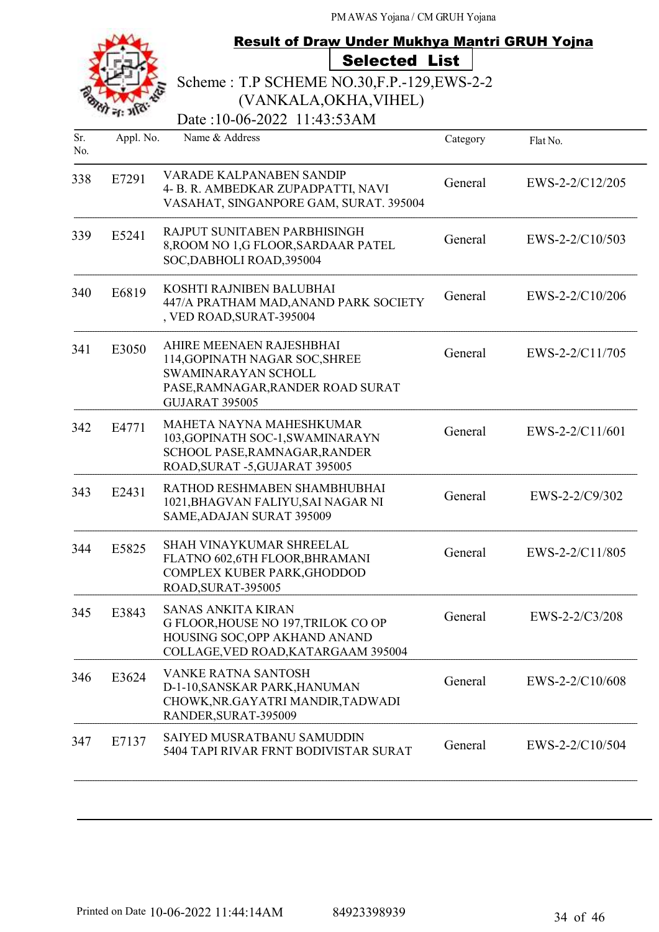|            |           | Result of Draw Under Mukhya Mantri GRUH Yojna                                                                                                   |          |                   |
|------------|-----------|-------------------------------------------------------------------------------------------------------------------------------------------------|----------|-------------------|
|            |           | <b>Selected List</b>                                                                                                                            |          |                   |
|            |           | Scheme: T.P SCHEME NO.30, F.P.-129, EWS-2-2                                                                                                     |          |                   |
|            |           | (VANKALA, OKHA, VIHEL)                                                                                                                          |          |                   |
|            |           | Date: 10-06-2022 11:43:53AM                                                                                                                     |          |                   |
| Sr.<br>No. | Appl. No. | Name & Address                                                                                                                                  | Category | Flat No.          |
| 338        | E7291     | <b>VARADE KALPANABEN SANDIP</b><br>4- B. R. AMBEDKAR ZUPADPATTI, NAVI<br>VASAHAT, SINGANPORE GAM, SURAT. 395004                                 | General  | EWS-2-2/C12/205   |
| 339        | E5241     | RAJPUT SUNITABEN PARBHISINGH<br>8, ROOM NO 1,G FLOOR, SARDAAR PATEL<br>SOC, DABHOLI ROAD, 395004                                                | General  | EWS-2-2/C10/503   |
| 340        | E6819     | KOSHTI RAJNIBEN BALUBHAI<br>447/A PRATHAM MAD, ANAND PARK SOCIETY<br>, VED ROAD, SURAT-395004                                                   | General  | EWS-2-2/C10/206   |
| 341        | E3050     | AHIRE MEENAEN RAJESHBHAI<br>114, GOPINATH NAGAR SOC, SHREE<br>SWAMINARAYAN SCHOLL<br>PASE, RAMNAGAR, RANDER ROAD SURAT<br><b>GUJARAT 395005</b> | General  | EWS-2-2/C11/705   |
| 342        | E4771     | MAHETA NAYNA MAHESHKUMAR<br>103, GOPINATH SOC-1, SWAMINARAYN<br>SCHOOL PASE, RAMNAGAR, RANDER<br>ROAD, SURAT -5, GUJARAT 395005                 | General  | EWS-2-2/C11/601   |
| 343        | E2431     | RATHOD RESHMABEN SHAMBHUBHAI<br>1021, BHAGVAN FALIYU, SAI NAGAR NI<br>SAME, ADAJAN SURAT 395009                                                 | General  | EWS-2-2/C9/302    |
| 344        | E5825     | <b>SHAH VINAYKUMAR SHREELAL</b><br>FLATNO 602,6TH FLOOR, BHRAMANI<br>COMPLEX KUBER PARK, GHODDOD<br>ROAD, SURAT-395005                          | General  | EWS-2-2/C11/805   |
| 345        | E3843     | <b>SANAS ANKITA KIRAN</b><br>G FLOOR, HOUSE NO 197, TRILOK CO OP<br>HOUSING SOC, OPP AKHAND ANAND<br>COLLAGE, VED ROAD, KATARGAAM 395004        | General  | EWS-2-2/C3/208    |
| 346        | E3624     | <b>VANKE RATNA SANTOSH</b><br>D-1-10, SANSKAR PARK, HANUMAN<br>CHOWK, NR.GAYATRI MANDIR, TADWADI<br>RANDER, SURAT-395009                        | General  | EWS-2-2/C10/608   |
| 347        | E7137     | SAIYED MUSRATBANU SAMUDDIN<br>5404 TAPI RIVAR FRNT BODIVISTAR SURAT                                                                             | General  | $EWS-2-2/C10/504$ |
|            |           |                                                                                                                                                 |          |                   |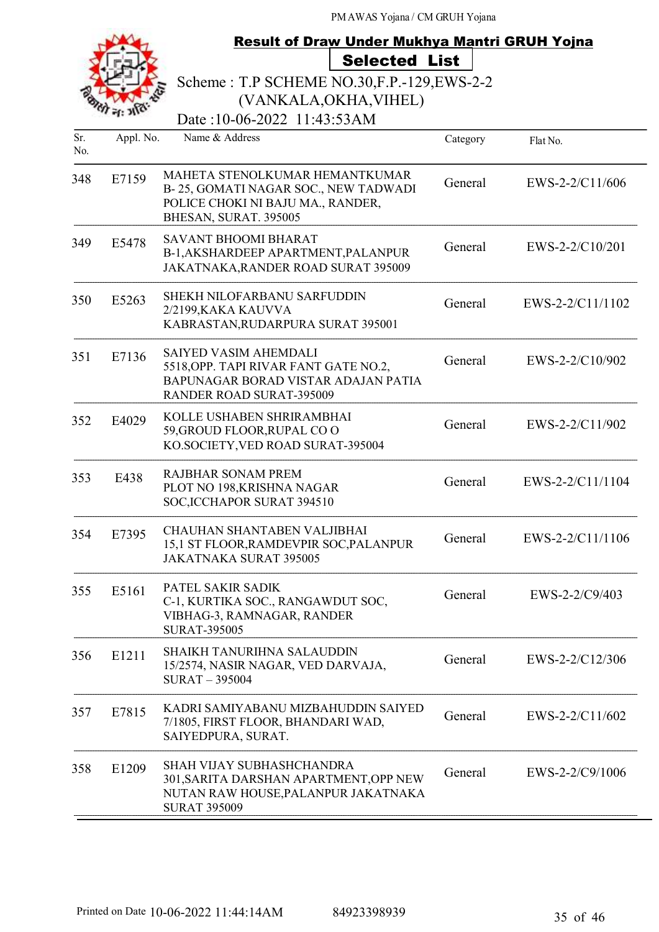| <b>Result of Draw Under Mukhya Mantri GRUH Yojna</b> |           |                                                                                                                                                 |          |                  |
|------------------------------------------------------|-----------|-------------------------------------------------------------------------------------------------------------------------------------------------|----------|------------------|
|                                                      |           | <b>Selected List</b>                                                                                                                            |          |                  |
|                                                      |           | Scheme: T.P SCHEME NO.30, F.P. - 129, EWS-2-2                                                                                                   |          |                  |
|                                                      |           | (VANKALA, OKHA, VIHEL)                                                                                                                          |          |                  |
|                                                      |           | Date:10-06-2022 11:43:53AM                                                                                                                      |          |                  |
| Sr.<br>No.                                           | Appl. No. | Name & Address                                                                                                                                  | Category | Flat No.         |
| 348                                                  | E7159     | MAHETA STENOLKUMAR HEMANTKUMAR<br>B-25, GOMATI NAGAR SOC., NEW TADWADI<br>POLICE CHOKI NI BAJU MA., RANDER,<br>BHESAN, SURAT. 395005            | General  | EWS-2-2/C11/606  |
| 349                                                  | E5478     | <b>SAVANT BHOOMI BHARAT</b><br>B-1, AKSHARDEEP APARTMENT, PALANPUR<br>JAKATNAKA, RANDER ROAD SURAT 395009                                       | General  | EWS-2-2/C10/201  |
| 350                                                  | E5263     | <b>SHEKH NILOFARBANU SARFUDDIN</b><br>2/2199, KAKA KAUVVA<br>KABRASTAN, RUDARPURA SURAT 395001                                                  | General  | EWS-2-2/C11/1102 |
| 351                                                  | E7136     | <b>SAIYED VASIM AHEMDALI</b><br>5518, OPP. TAPI RIVAR FANT GATE NO.2,<br>BAPUNAGAR BORAD VISTAR ADAJAN PATIA<br><b>RANDER ROAD SURAT-395009</b> | General  | EWS-2-2/C10/902  |
| 352                                                  | E4029     | KOLLE USHABEN SHRIRAMBHAI<br>59, GROUD FLOOR, RUPAL COO<br>KO.SOCIETY, VED ROAD SURAT-395004                                                    | General  | EWS-2-2/C11/902  |
| 353                                                  | E438      | <b>RAJBHAR SONAM PREM</b><br>PLOT NO 198, KRISHNA NAGAR<br>SOC, ICCHAPOR SURAT 394510                                                           | General  | EWS-2-2/C11/1104 |
| 354                                                  | E7395     | CHAUHAN SHANTABEN VALJIBHAI<br>15,1 ST FLOOR, RAMDEVPIR SOC, PALANPUR<br><b>JAKATNAKA SURAT 395005</b>                                          | General  | EWS-2-2/C11/1106 |
| 355                                                  | E5161     | PATEL SAKIR SADIK<br>C-1, KURTIKA SOC., RANGAWDUT SOC,<br>VIBHAG-3, RAMNAGAR, RANDER<br><b>SURAT-395005</b>                                     | General  | EWS-2-2/C9/403   |
| 356                                                  | E1211     | <b>SHAIKH TANURIHNA SALAUDDIN</b><br>15/2574, NASIR NAGAR, VED DARVAJA,<br><b>SURAT-395004</b>                                                  | General  | EWS-2-2/C12/306  |
| 357                                                  | E7815     | KADRI SAMIYABANU MIZBAHUDDIN SAIYED<br>7/1805, FIRST FLOOR, BHANDARI WAD,<br>SAIYEDPURA, SURAT.                                                 | General  | EWS-2-2/C11/602  |
| 358                                                  | E1209     | <b>SHAH VIJAY SUBHASHCHANDRA</b><br>301, SARITA DARSHAN APARTMENT, OPP NEW<br>NUTAN RAW HOUSE, PALANPUR JAKATNAKA<br><b>SURAT 395009</b>        | General  | EWS-2-2/C9/1006  |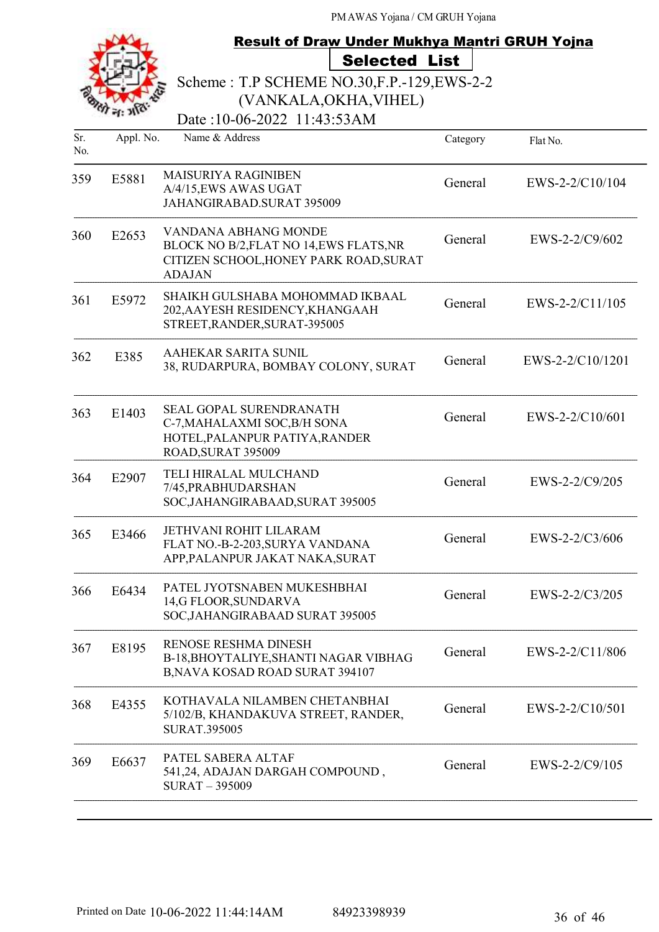|            | <b>Result of Draw Under Mukhya Mantri GRUH Yojna</b> |                                                                                                                            |          |                  |
|------------|------------------------------------------------------|----------------------------------------------------------------------------------------------------------------------------|----------|------------------|
|            |                                                      | <b>Selected List</b>                                                                                                       |          |                  |
|            |                                                      | Scheme: T.P SCHEME NO.30, F.P. - 129, EWS-2-2<br>(VANKALA, OKHA, VIHEL)                                                    |          |                  |
|            |                                                      | Date:10-06-2022 11:43:53AM                                                                                                 |          |                  |
| Sr.<br>No. | Appl. No.                                            | Name & Address                                                                                                             | Category | Flat No.         |
| 359        | E5881                                                | <b>MAISURIYA RAGINIBEN</b><br>A/4/15, EWS AWAS UGAT<br>JAHANGIRABAD.SURAT 395009                                           | General  | EWS-2-2/C10/104  |
| 360        | E2653                                                | VANDANA ABHANG MONDE<br>BLOCK NO B/2, FLAT NO 14, EWS FLATS, NR<br>CITIZEN SCHOOL, HONEY PARK ROAD, SURAT<br><b>ADAJAN</b> | General  | EWS-2-2/C9/602   |
| 361        | E5972                                                | SHAIKH GULSHABA MOHOMMAD IKBAAL<br>202, AAYESH RESIDENCY, KHANGAAH<br>STREET, RANDER, SURAT-395005                         | General  | EWS-2-2/C11/105  |
| 362        | E385                                                 | AAHEKAR SARITA SUNIL<br>38, RUDARPURA, BOMBAY COLONY, SURAT                                                                | General  | EWS-2-2/C10/1201 |
| 363        | E1403                                                | SEAL GOPAL SURENDRANATH<br>C-7, MAHALAXMI SOC, B/H SONA<br>HOTEL, PALANPUR PATIYA, RANDER<br>ROAD, SURAT 395009            | General  | EWS-2-2/C10/601  |
| 364        | E2907                                                | TELI HIRALAL MULCHAND<br>7/45, PRABHUDARSHAN<br>SOC, JAHANGIRABAAD, SURAT 395005                                           | General  | EWS-2-2/C9/205   |
| 365        | E3466                                                | <b>JETHVANI ROHIT LILARAM</b><br>FLAT NO.-B-2-203, SURYA VANDANA<br>APP, PALANPUR JAKAT NAKA, SURAT                        | General  | EWS-2-2/C3/606   |
| 366        | E6434                                                | PATEL JYOTSNABEN MUKESHBHAI<br>14,G FLOOR, SUNDARVA<br>SOC, JAHANGIRABAAD SURAT 395005                                     | General  | EWS-2-2/C3/205   |
| 367        | E8195                                                | RENOSE RESHMA DINESH<br>B-18, BHOYTALIYE, SHANTI NAGAR VIBHAG<br>B, NAVA KOSAD ROAD SURAT 394107                           | General  | EWS-2-2/C11/806  |
| 368        | E4355                                                | KOTHAVALA NILAMBEN CHETANBHAI<br>5/102/B, KHANDAKUVA STREET, RANDER,<br><b>SURAT.395005</b>                                | General  | EWS-2-2/C10/501  |
| 369        | E6637                                                | PATEL SABERA ALTAF<br>541,24, ADAJAN DARGAH COMPOUND,<br>$SURAT - 395009$                                                  | General  | EWS-2-2/C9/105   |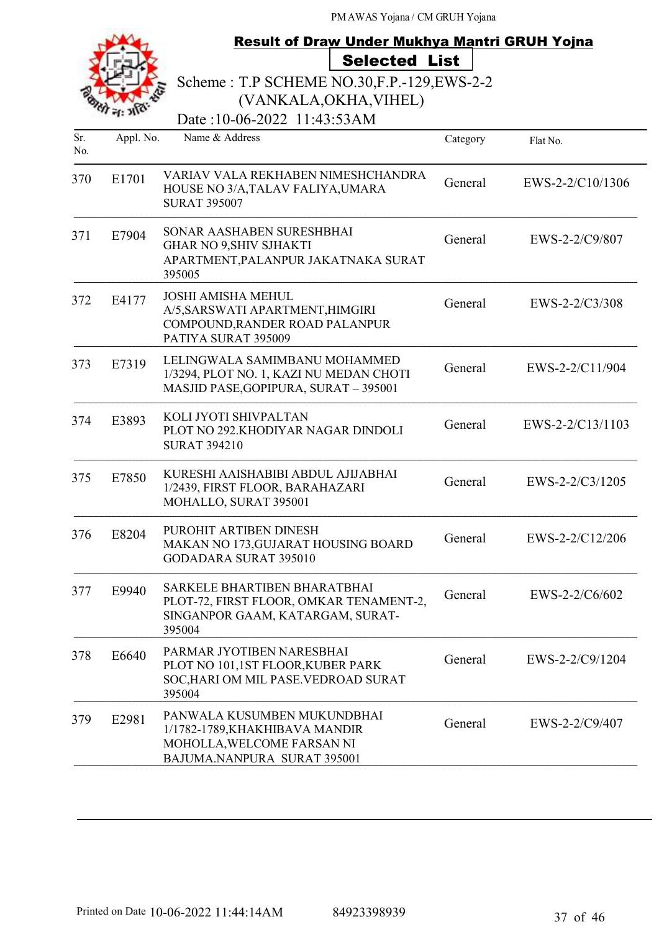|            |           | <b>Result of Draw Under Mukhya Mantri GRUH Yojna</b>                                                                       |          |                    |  |  |
|------------|-----------|----------------------------------------------------------------------------------------------------------------------------|----------|--------------------|--|--|
|            |           | <b>Selected List</b>                                                                                                       |          |                    |  |  |
|            |           | Scheme: T.P SCHEME NO.30, F.P. - 129, EWS-2-2                                                                              |          |                    |  |  |
|            |           | (VANKALA, OKHA, VIHEL)                                                                                                     |          |                    |  |  |
|            |           | Date:10-06-2022 11:43:53AM                                                                                                 |          |                    |  |  |
| Sr.<br>No. | Appl. No. | Name & Address                                                                                                             | Category | Flat No.           |  |  |
| 370        | E1701     | VARIAV VALA REKHABEN NIMESHCHANDRA<br>HOUSE NO 3/A, TALAV FALIYA, UMARA<br><b>SURAT 395007</b>                             | General  | EWS-2-2/C10/1306   |  |  |
| 371        | E7904     | SONAR AASHABEN SURESHBHAI<br><b>GHAR NO 9, SHIV SJHAKTI</b><br>APARTMENT, PALANPUR JAKATNAKA SURAT<br>395005               | General  | EWS-2-2/C9/807     |  |  |
| 372        | E4177     | <b>JOSHI AMISHA MEHUL</b><br>A/5, SARSWATI APARTMENT, HIMGIRI<br>COMPOUND, RANDER ROAD PALANPUR<br>PATIYA SURAT 395009     | General  | EWS-2-2/C3/308     |  |  |
| 373        | E7319     | LELINGWALA SAMIMBANU MOHAMMED<br>1/3294, PLOT NO. 1, KAZI NU MEDAN CHOTI<br>MASJID PASE, GOPIPURA, SURAT - 395001          | General  | EWS-2-2/C11/904    |  |  |
| 374        | E3893     | KOLI JYOTI SHIVPALTAN<br>PLOT NO 292.KHODIYAR NAGAR DINDOLI<br><b>SURAT 394210</b>                                         | General  | $EWS-2-2/C13/1103$ |  |  |
| 375        | E7850     | KURESHI AAISHABIBI ABDUL AJIJABHAI<br>1/2439, FIRST FLOOR, BARAHAZARI<br>MOHALLO, SURAT 395001                             | General  | EWS-2-2/C3/1205    |  |  |
| 376        | E8204     | PUROHIT ARTIBEN DINESH<br>MAKAN NO 173, GUJARAT HOUSING BOARD<br><b>GODADARA SURAT 395010</b>                              | General  | EWS-2-2/C12/206    |  |  |
| 377        | E9940     | SARKELE BHARTIBEN BHARATBHAI<br>PLOT-72, FIRST FLOOR, OMKAR TENAMENT-2,<br>SINGANPOR GAAM, KATARGAM, SURAT-<br>395004      | General  | EWS-2-2/C6/602     |  |  |
| 378        | E6640     | PARMAR JYOTIBEN NARESBHAI<br>PLOT NO 101,1ST FLOOR, KUBER PARK<br>SOC, HARI OM MIL PASE. VEDROAD SURAT<br>395004           | General  | EWS-2-2/C9/1204    |  |  |
| 379        | E2981     | PANWALA KUSUMBEN MUKUNDBHAI<br>1/1782-1789, KHAKHIBAVA MANDIR<br>MOHOLLA, WELCOME FARSAN NI<br>BAJUMA.NANPURA SURAT 395001 | General  | EWS-2-2/C9/407     |  |  |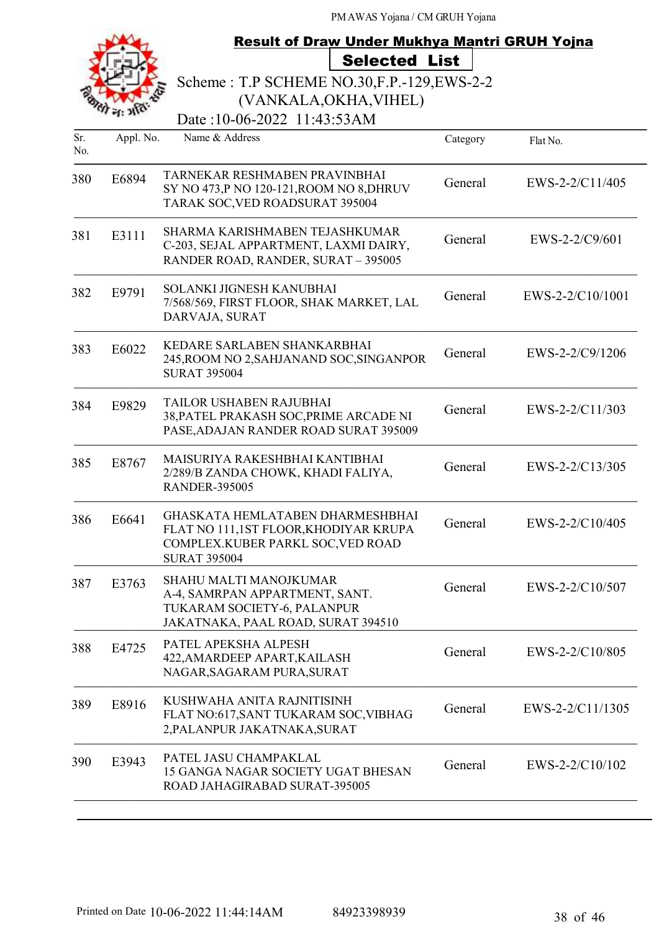|            |           | <b>Result of Draw Under Mukhya Mantri GRUH Yojna</b>                                                                                  |          |                  |
|------------|-----------|---------------------------------------------------------------------------------------------------------------------------------------|----------|------------------|
|            |           | <b>Selected List</b>                                                                                                                  |          |                  |
|            |           | Scheme: T.P SCHEME NO.30, F.P. - 129, EWS-2-2                                                                                         |          |                  |
|            |           | (VANKALA, OKHA, VIHEL)                                                                                                                |          |                  |
|            |           | Date:10-06-2022 11:43:53AM                                                                                                            |          |                  |
| Sr.<br>No. | Appl. No. | Name & Address                                                                                                                        | Category | Flat No.         |
| 380        | E6894     | TARNEKAR RESHMABEN PRAVINBHAI<br>SY NO 473,P NO 120-121, ROOM NO 8, DHRUV<br>TARAK SOC, VED ROADSURAT 395004                          | General  | EWS-2-2/C11/405  |
| 381        | E3111     | SHARMA KARISHMABEN TEJASHKUMAR<br>C-203, SEJAL APPARTMENT, LAXMI DAIRY,<br>RANDER ROAD, RANDER, SURAT - 395005                        | General  | $EWS-2-2/C9/601$ |
| 382        | E9791     | SOLANKI JIGNESH KANUBHAI<br>7/568/569, FIRST FLOOR, SHAK MARKET, LAL<br>DARVAJA, SURAT                                                | General  | EWS-2-2/C10/1001 |
| 383        | E6022     | KEDARE SARLABEN SHANKARBHAI<br>245, ROOM NO 2, SAHJANAND SOC, SINGANPOR<br><b>SURAT 395004</b>                                        | General  | EWS-2-2/C9/1206  |
| 384        | E9829     | TAILOR USHABEN RAJUBHAI<br>38, PATEL PRAKASH SOC, PRIME ARCADE NI<br>PASE, ADAJAN RANDER ROAD SURAT 395009                            | General  | EWS-2-2/C11/303  |
| 385        | E8767     | MAISURIYA RAKESHBHAI KANTIBHAI<br>2/289/B ZANDA CHOWK, KHADI FALIYA,<br><b>RANDER-395005</b>                                          | General  | EWS-2-2/C13/305  |
| 386        | E6641     | GHASKATA HEMLATABEN DHARMESHBHAI<br>FLAT NO 111,1ST FLOOR, KHODIYAR KRUPA<br>COMPLEX.KUBER PARKL SOC, VED ROAD<br><b>SURAT 395004</b> | General  | EWS-2-2/C10/405  |
| 387        | E3763     | SHAHU MALTI MANOJKUMAR<br>A-4, SAMRPAN APPARTMENT, SANT.<br>TUKARAM SOCIETY-6, PALANPUR<br>JAKATNAKA, PAAL ROAD, SURAT 394510         | General  | EWS-2-2/C10/507  |
| 388        | E4725     | PATEL APEKSHA ALPESH<br>422, AMARDEEP APART, KAILASH<br>NAGAR, SAGARAM PURA, SURAT                                                    | General  | EWS-2-2/C10/805  |
| 389        | E8916     | KUSHWAHA ANITA RAJNITISINH<br>FLAT NO:617, SANT TUKARAM SOC, VIBHAG<br>2, PALANPUR JAKATNAKA, SURAT                                   | General  | EWS-2-2/C11/1305 |
| 390        | E3943     | PATEL JASU CHAMPAKLAL<br>15 GANGA NAGAR SOCIETY UGAT BHESAN<br>ROAD JAHAGIRABAD SURAT-395005                                          | General  | EWS-2-2/C10/102  |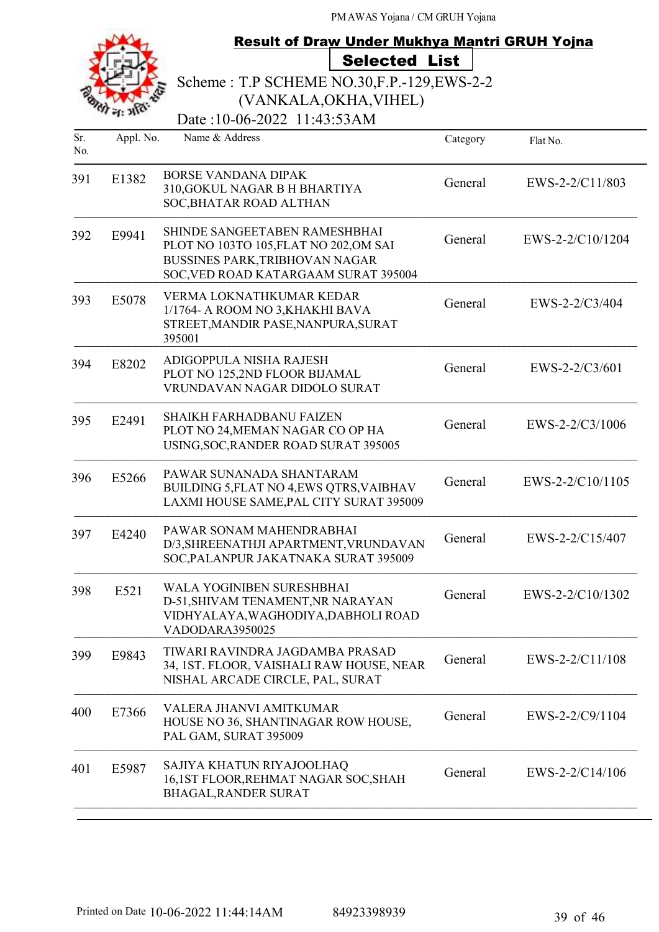|            |           | Result of Draw Under Mukhya Mantri GRUH Yojna                                                                                                     |          |                  |
|------------|-----------|---------------------------------------------------------------------------------------------------------------------------------------------------|----------|------------------|
|            |           | <b>Selected List</b>                                                                                                                              |          |                  |
|            |           | Scheme: T.P SCHEME NO.30, F.P. - 129, EWS-2-2                                                                                                     |          |                  |
|            |           | (VANKALA, OKHA, VIHEL)                                                                                                                            |          |                  |
|            |           | Date:10-06-2022 11:43:53AM                                                                                                                        |          |                  |
| Sr.<br>No. | Appl. No. | Name & Address                                                                                                                                    | Category | Flat No.         |
| 391        | E1382     | BORSE VANDANA DIPAK<br>310, GOKUL NAGAR B H BHARTIYA<br>SOC, BHATAR ROAD ALTHAN                                                                   | General  | EWS-2-2/C11/803  |
| 392        | E9941     | SHINDE SANGEETABEN RAMESHBHAI<br>PLOT NO 103TO 105, FLAT NO 202, OM SAI<br>BUSSINES PARK, TRIBHOVAN NAGAR<br>SOC, VED ROAD KATARGAAM SURAT 395004 | General  | EWS-2-2/C10/1204 |
| 393        | E5078     | VERMA LOKNATHKUMAR KEDAR<br>1/1764- A ROOM NO 3, KHAKHI BAVA<br>STREET, MANDIR PASE, NANPURA, SURAT<br>395001                                     | General  | EWS-2-2/C3/404   |
| 394        | E8202     | ADIGOPPULA NISHA RAJESH<br>PLOT NO 125,2ND FLOOR BIJAMAL<br>VRUNDAVAN NAGAR DIDOLO SURAT                                                          | General  | $EWS-2-2/C3/601$ |
| 395        | E2491     | <b>SHAIKH FARHADBANU FAIZEN</b><br>PLOT NO 24, MEMAN NAGAR CO OP HA<br>USING, SOC, RANDER ROAD SURAT 395005                                       | General  | EWS-2-2/C3/1006  |
| 396        | E5266     | PAWAR SUNANADA SHANTARAM<br>BUILDING 5, FLAT NO 4, EWS QTRS, VAIBHAV<br>LAXMI HOUSE SAME, PAL CITY SURAT 395009                                   | General  | EWS-2-2/C10/1105 |
| 397        | E4240     | PAWAR SONAM MAHENDRABHAI<br>D/3, SHREENATHJI APARTMENT, VRUNDAVAN<br>SOC, PALANPUR JAKATNAKA SURAT 395009                                         | General  | EWS-2-2/C15/407  |
| 398        | E521      | WALA YOGINIBEN SURESHBHAI<br>D-51, SHIVAM TENAMENT, NR NARAYAN<br>VIDHYALAYA, WAGHODIYA, DABHOLI ROAD<br>VADODARA3950025                          | General  | EWS-2-2/C10/1302 |
| 399        | E9843     | TIWARI RAVINDRA JAGDAMBA PRASAD<br>34, 1ST. FLOOR, VAISHALI RAW HOUSE, NEAR<br>NISHAL ARCADE CIRCLE, PAL, SURAT                                   | General  | EWS-2-2/C11/108  |
| 400        | E7366     | VALERA JHANVI AMITKUMAR<br>HOUSE NO 36, SHANTINAGAR ROW HOUSE,<br>PAL GAM, SURAT 395009                                                           | General  | EWS-2-2/C9/1104  |
| 401        | E5987     | SAJIYA KHATUN RIYAJOOLHAQ<br>16,1ST FLOOR, REHMAT NAGAR SOC, SHAH<br><b>BHAGAL, RANDER SURAT</b>                                                  | General  | EWS-2-2/C14/106  |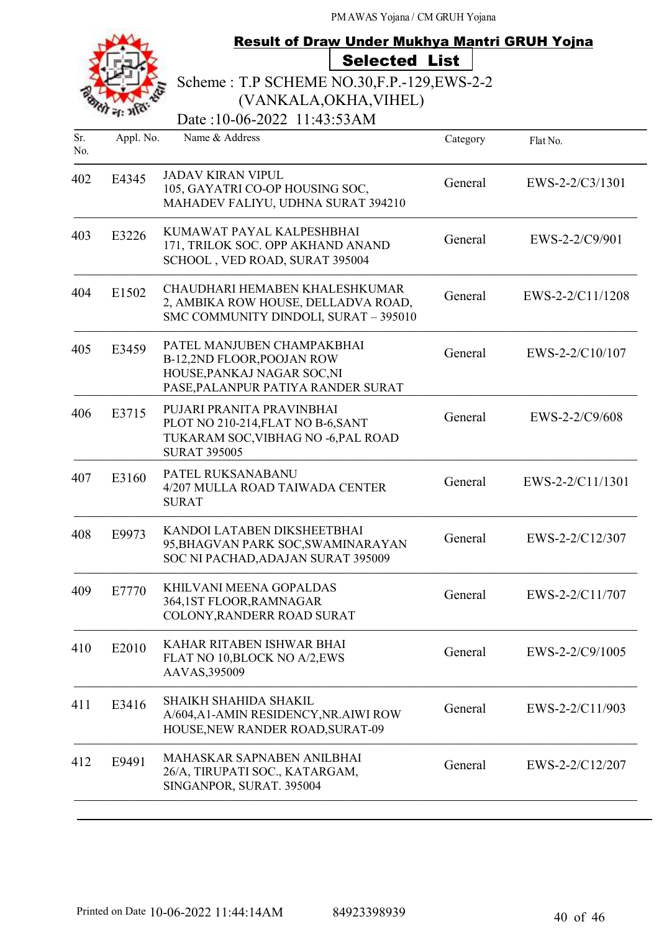|                      |           | <b>Result of Draw Under Mukhya Mantri GRUH Yojna</b>                                                                          |          |                   |
|----------------------|-----------|-------------------------------------------------------------------------------------------------------------------------------|----------|-------------------|
| <b>Selected List</b> |           |                                                                                                                               |          |                   |
|                      |           | Scheme: T.P SCHEME NO.30, F.P. - 129, EWS-2-2                                                                                 |          |                   |
|                      |           | (VANKALA, OKHA, VIHEL)                                                                                                        |          |                   |
|                      |           | Date:10-06-2022 11:43:53AM                                                                                                    |          |                   |
| Sr.<br>No.           | Appl. No. | Name & Address                                                                                                                | Category | Flat No.          |
| 402                  | E4345     | <b>JADAV KIRAN VIPUL</b><br>105, GAYATRI CO-OP HOUSING SOC,<br>MAHADEV FALIYU, UDHNA SURAT 394210                             | General  | $EWS-2-2/C3/1301$ |
| 403                  | E3226     | KUMAWAT PAYAL KALPESHBHAI<br>171, TRILOK SOC. OPP AKHAND ANAND<br>SCHOOL, VED ROAD, SURAT 395004                              | General  | EWS-2-2/C9/901    |
| 404                  | E1502     | CHAUDHARI HEMABEN KHALESHKUMAR<br>2, AMBIKA ROW HOUSE, DELLADVA ROAD,<br>SMC COMMUNITY DINDOLI, SURAT - 395010                | General  | EWS-2-2/C11/1208  |
| 405                  | E3459     | PATEL MANJUBEN CHAMPAKBHAI<br>B-12,2ND FLOOR, POOJAN ROW<br>HOUSE, PANKAJ NAGAR SOC, NI<br>PASE, PALANPUR PATIYA RANDER SURAT | General  | EWS-2-2/C10/107   |
| 406                  | E3715     | PUJARI PRANITA PRAVINBHAI<br>PLOT NO 210-214, FLAT NO B-6, SANT<br>TUKARAM SOC, VIBHAG NO -6, PAL ROAD<br><b>SURAT 395005</b> | General  | EWS-2-2/C9/608    |
| 407                  | E3160     | PATEL RUKSANABANU<br>4/207 MULLA ROAD TAIWADA CENTER<br><b>SURAT</b>                                                          | General  | EWS-2-2/C11/1301  |
| 408                  | E9973     | KANDOI LATABEN DIKSHEETBHAI<br>95, BHAGVAN PARK SOC, SWAMINARAYAN<br>SOC NI PACHAD, ADAJAN SURAT 395009                       | General  | EWS-2-2/C12/307   |
| 409                  | E7770     | KHILVANI MEENA GOPALDAS<br>364,1ST FLOOR, RAMNAGAR<br>COLONY, RANDERR ROAD SURAT                                              | General  | EWS-2-2/C11/707   |
| 410                  | E2010     | KAHAR RITABEN ISHWAR BHAI<br>FLAT NO 10, BLOCK NO A/2, EWS<br>AAVAS, 395009                                                   | General  | EWS-2-2/C9/1005   |
| 411                  | E3416     | <b>SHAIKH SHAHIDA SHAKIL</b><br>A/604, A1-AMIN RESIDENCY, NR. AIWI ROW<br>HOUSE, NEW RANDER ROAD, SURAT-09                    | General  | EWS-2-2/C11/903   |
| 412                  | E9491     | MAHASKAR SAPNABEN ANILBHAI<br>26/A, TIRUPATI SOC., KATARGAM,<br>SINGANPOR, SURAT. 395004                                      | General  | EWS-2-2/C12/207   |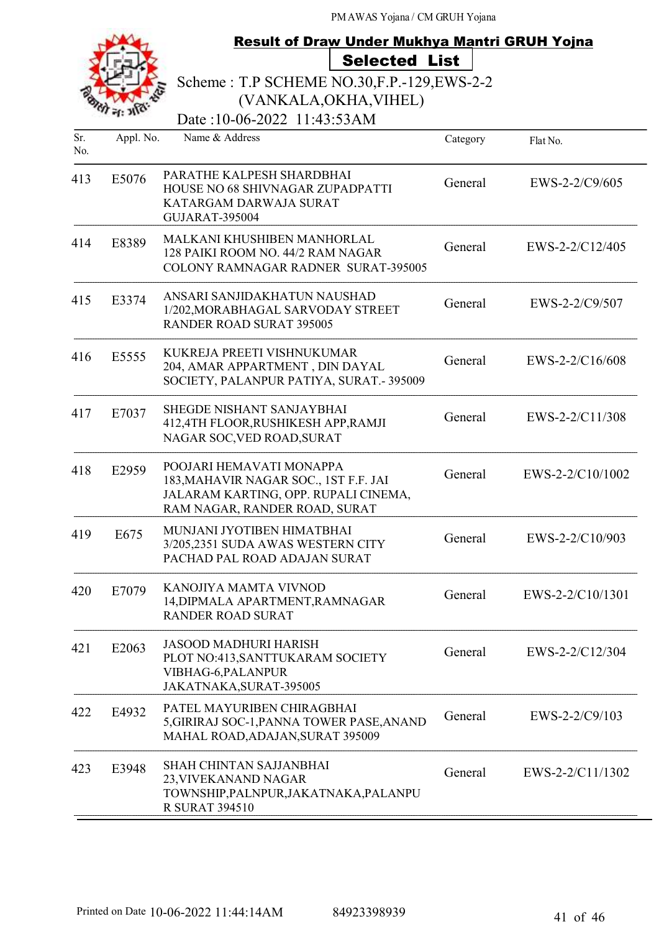|            |           | <b>Result of Draw Under Mukhya Mantri GRUH Yojna</b>                                                                                       |                      |          |                   |
|------------|-----------|--------------------------------------------------------------------------------------------------------------------------------------------|----------------------|----------|-------------------|
|            |           |                                                                                                                                            | <b>Selected List</b> |          |                   |
|            |           | Scheme: T.P SCHEME NO.30, F.P. - 129, EWS-2-2                                                                                              |                      |          |                   |
|            |           | (VANKALA, OKHA, VIHEL)                                                                                                                     |                      |          |                   |
|            |           | Date:10-06-2022 11:43:53AM                                                                                                                 |                      |          |                   |
| Sr.<br>No. | Appl. No. | Name & Address                                                                                                                             |                      | Category | Flat No.          |
| 413        | E5076     | PARATHE KALPESH SHARDBHAI<br>HOUSE NO 68 SHIVNAGAR ZUPADPATTI<br>KATARGAM DARWAJA SURAT<br><b>GUJARAT-395004</b>                           |                      | General  | EWS-2-2/C9/605    |
| 414        | E8389     | MALKANI KHUSHIBEN MANHORLAL<br>128 PAIKI ROOM NO. 44/2 RAM NAGAR<br><b>COLONY RAMNAGAR RADNER SURAT-395005</b>                             |                      | General  | $EWS-2-2/C12/405$ |
| 415        | E3374     | ANSARI SANJIDAKHATUN NAUSHAD<br>1/202, MORABHAGAL SARVODAY STREET<br><b>RANDER ROAD SURAT 395005</b>                                       |                      | General  | EWS-2-2/C9/507    |
| 416        | E5555     | KUKREJA PREETI VISHNUKUMAR<br>204, AMAR APPARTMENT, DIN DAYAL<br>SOCIETY, PALANPUR PATIYA, SURAT.-395009                                   |                      | General  | $EWS-2-2/C16/608$ |
| 417        | E7037     | <b>SHEGDE NISHANT SANJAYBHAI</b><br>412,4TH FLOOR, RUSHIKESH APP, RAMJI<br>NAGAR SOC, VED ROAD, SURAT                                      |                      | General  | EWS-2-2/C11/308   |
| 418        | E2959     | POOJARI HEMAVATI MONAPPA<br>183, MAHAVIR NAGAR SOC., 1ST F.F. JAI<br>JALARAM KARTING, OPP. RUPALI CINEMA,<br>RAM NAGAR, RANDER ROAD, SURAT |                      | General  | EWS-2-2/C10/1002  |
| 419        | E675      | MUNJANI JYOTIBEN HIMATBHAI<br>3/205,2351 SUDA AWAS WESTERN CITY<br>PACHAD PAL ROAD ADAJAN SURAT                                            |                      | General  | EWS-2-2/C10/903   |
| 420        | E7079     | KANOJIYA MAMTA VIVNOD<br>14, DIPMALA APARTMENT, RAMNAGAR<br><b>RANDER ROAD SURAT</b>                                                       |                      | General  | EWS-2-2/C10/1301  |
| 421        | E2063     | <b>JASOOD MADHURI HARISH</b><br>PLOT NO:413, SANTTUKARAM SOCIETY<br>VIBHAG-6, PALANPUR<br>JAKATNAKA, SURAT-395005                          |                      | General  | EWS-2-2/C12/304   |
| 422        | E4932     | PATEL MAYURIBEN CHIRAGBHAI<br>5, GIRIRAJ SOC-1, PANNA TOWER PASE, ANAND<br>MAHAL ROAD, ADAJAN, SURAT 395009                                |                      | General  | EWS-2-2/C9/103    |
| 423        | E3948     | SHAH CHINTAN SAJJANBHAI<br>23, VIVEKANAND NAGAR<br>TOWNSHIP, PALNPUR, JAKATNAKA, PALANPU<br><b>R SURAT 394510</b>                          |                      | General  | EWS-2-2/C11/1302  |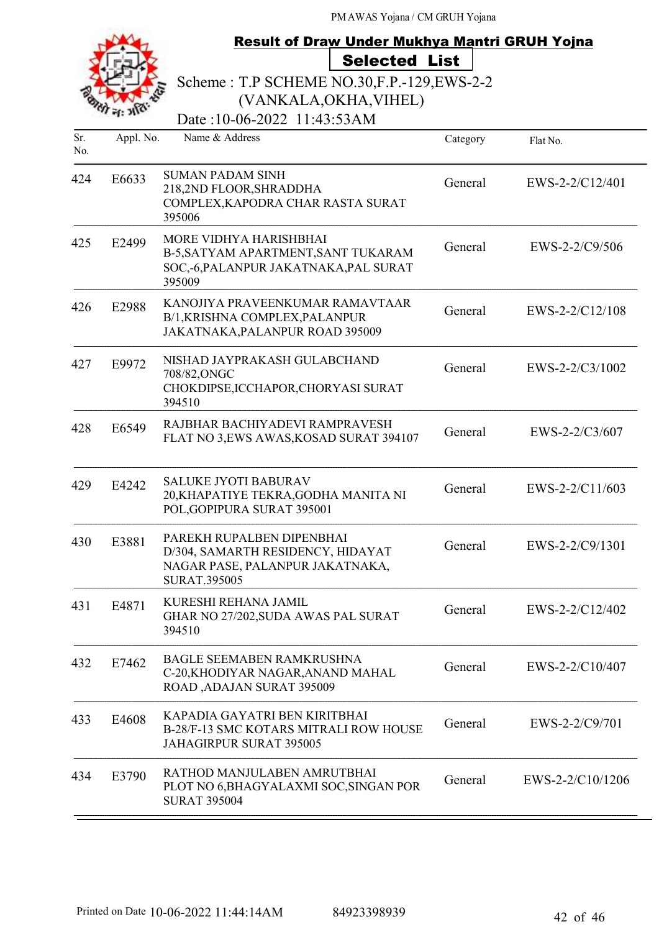|     | <b>Result of Draw Under Mukhya Mantri GRUH Yojna</b> |                                                                                                                          |          |                  |
|-----|------------------------------------------------------|--------------------------------------------------------------------------------------------------------------------------|----------|------------------|
|     |                                                      | <b>Selected List</b>                                                                                                     |          |                  |
|     |                                                      | Scheme: T.P SCHEME NO.30, F.P. - 129, EWS-2-2                                                                            |          |                  |
|     |                                                      | (VANKALA, OKHA, VIHEL)                                                                                                   |          |                  |
| Sr. |                                                      | Date:10-06-2022 11:43:53AM<br>Name & Address                                                                             |          |                  |
| No. | Appl. No.                                            |                                                                                                                          | Category | Flat No.         |
| 424 | E6633                                                | <b>SUMAN PADAM SINH</b><br>218,2ND FLOOR, SHRADDHA<br>COMPLEX, KAPODRA CHAR RASTA SURAT<br>395006                        | General  | EWS-2-2/C12/401  |
| 425 | E2499                                                | <b>MORE VIDHYA HARISHBHAI</b><br>B-5, SATYAM APARTMENT, SANT TUKARAM<br>SOC,-6, PALANPUR JAKATNAKA, PAL SURAT<br>395009  | General  | EWS-2-2/C9/506   |
| 426 | E2988                                                | KANOJIYA PRAVEENKUMAR RAMAVTAAR<br>B/1, KRISHNA COMPLEX, PALANPUR<br>JAKATNAKA, PALANPUR ROAD 395009                     | General  | EWS-2-2/C12/108  |
| 427 | E9972                                                | NISHAD JAYPRAKASH GULABCHAND<br>708/82, ONGC<br>CHOKDIPSE, ICCHAPOR, CHORYASI SURAT<br>394510                            | General  | EWS-2-2/C3/1002  |
| 428 | E6549                                                | RAJBHAR BACHIYADEVI RAMPRAVESH<br>FLAT NO 3, EWS AWAS, KOSAD SURAT 394107                                                | General  | EWS-2-2/C3/607   |
| 429 | E4242                                                | <b>SALUKE JYOTI BABURAV</b><br>20, KHAPATIYE TEKRA, GODHA MANITA NI<br>POL, GOPIPURA SURAT 395001                        | General  | EWS-2-2/C11/603  |
| 430 | E3881                                                | PAREKH RUPALBEN DIPENBHAI<br>D/304, SAMARTH RESIDENCY, HIDAYAT<br>NAGAR PASE, PALANPUR JAKATNAKA,<br><b>SURAT.395005</b> | General  | EWS-2-2/C9/1301  |
| 431 | E4871                                                | KURESHI REHANA JAMIL<br>GHAR NO 27/202, SUDA AWAS PAL SURAT<br>394510                                                    | General  | EWS-2-2/C12/402  |
| 432 | E7462                                                | <b>BAGLE SEEMABEN RAMKRUSHNA</b><br>C-20, KHODIYAR NAGAR, ANAND MAHAL<br>ROAD, ADAJAN SURAT 395009                       | General  | EWS-2-2/C10/407  |
| 433 | E4608                                                | KAPADIA GAYATRI BEN KIRITBHAI<br>B-28/F-13 SMC KOTARS MITRALI ROW HOUSE<br>JAHAGIRPUR SURAT 395005                       | General  | EWS-2-2/C9/701   |
| 434 | E3790                                                | RATHOD MANJULABEN AMRUTBHAI<br>PLOT NO 6, BHAGYALAXMI SOC, SINGAN POR<br><b>SURAT 395004</b>                             | General  | EWS-2-2/C10/1206 |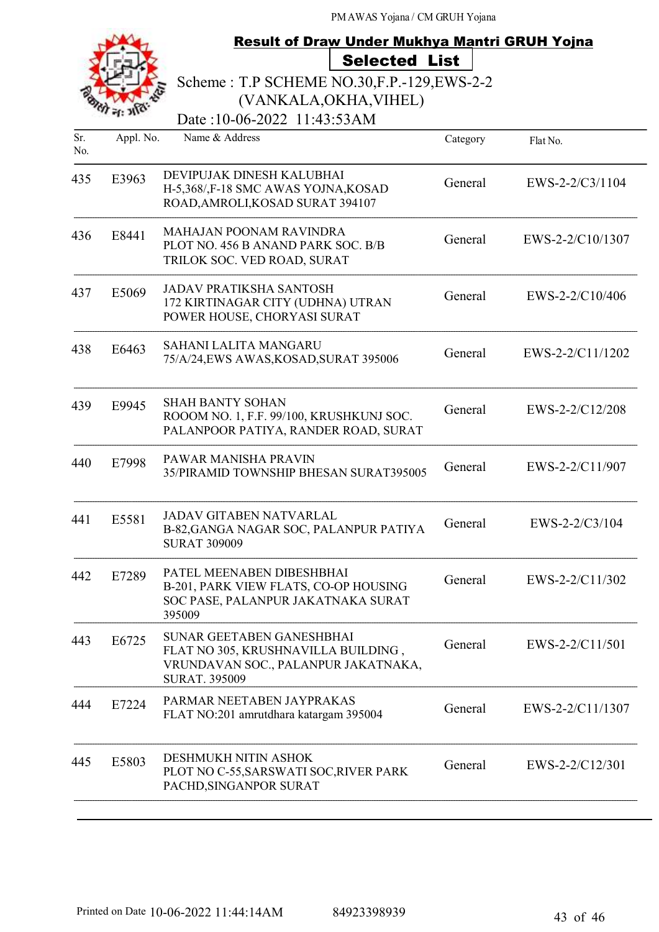|     |           | <b>Result of Draw Under Mukhya Mantri GRUH Yojna</b>                                                                            |          |                  |  |
|-----|-----------|---------------------------------------------------------------------------------------------------------------------------------|----------|------------------|--|
|     |           | <b>Selected List</b>                                                                                                            |          |                  |  |
|     |           | Scheme: T.P SCHEME NO.30, F.P. - 129, EWS-2-2                                                                                   |          |                  |  |
|     |           | (VANKALA, OKHA, VIHEL)<br>Date:10-06-2022 11:43:53AM                                                                            |          |                  |  |
| Sr. | Appl. No. | Name & Address                                                                                                                  |          |                  |  |
| No. |           |                                                                                                                                 | Category | Flat No.         |  |
| 435 | E3963     | DEVIPUJAK DINESH KALUBHAI<br>H-5,368/,F-18 SMC AWAS YOJNA, KOSAD<br>ROAD, AMROLI, KOSAD SURAT 394107                            | General  | EWS-2-2/C3/1104  |  |
| 436 | E8441     | <b>MAHAJAN POONAM RAVINDRA</b><br>PLOT NO. 456 B ANAND PARK SOC. B/B<br>TRILOK SOC. VED ROAD, SURAT                             | General  | EWS-2-2/C10/1307 |  |
| 437 | E5069     | <b>JADAV PRATIKSHA SANTOSH</b><br>172 KIRTINAGAR CITY (UDHNA) UTRAN<br>POWER HOUSE, CHORYASI SURAT                              | General  | EWS-2-2/C10/406  |  |
| 438 | E6463     | <b>SAHANI LALITA MANGARU</b><br>75/A/24,EWS AWAS,KOSAD,SURAT 395006                                                             | General  | EWS-2-2/C11/1202 |  |
| 439 | E9945     | <b>SHAH BANTY SOHAN</b><br>ROOOM NO. 1, F.F. 99/100, KRUSHKUNJ SOC.<br>PALANPOOR PATIYA, RANDER ROAD, SURAT                     | General  | EWS-2-2/C12/208  |  |
| 440 | E7998     | PAWAR MANISHA PRAVIN<br>35/PIRAMID TOWNSHIP BHESAN SURAT395005                                                                  | General  | EWS-2-2/C11/907  |  |
| 441 | E5581     | <b>JADAV GITABEN NATVARLAL</b><br>B-82, GANGA NAGAR SOC, PALANPUR PATIYA<br><b>SURAT 309009</b>                                 | General  | EWS-2-2/C3/104   |  |
| 442 | E7289     | PATEL MEENABEN DIBESHBHAI<br>B-201, PARK VIEW FLATS, CO-OP HOUSING<br>SOC PASE, PALANPUR JAKATNAKA SURAT<br>395009              | General  | EWS-2-2/C11/302  |  |
| 443 | E6725     | SUNAR GEETABEN GANESHBHAI<br>FLAT NO 305, KRUSHNAVILLA BUILDING,<br>VRUNDAVAN SOC., PALANPUR JAKATNAKA,<br><b>SURAT. 395009</b> | General  | EWS-2-2/C11/501  |  |
| 444 | E7224     | PARMAR NEETABEN JAYPRAKAS<br>FLAT NO:201 amrutdhara katargam 395004                                                             | General  | EWS-2-2/C11/1307 |  |
| 445 | E5803     | DESHMUKH NITIN ASHOK<br>PLOT NO C-55, SARSWATI SOC, RIVER PARK<br>PACHD, SINGANPOR SURAT                                        | General  | EWS-2-2/C12/301  |  |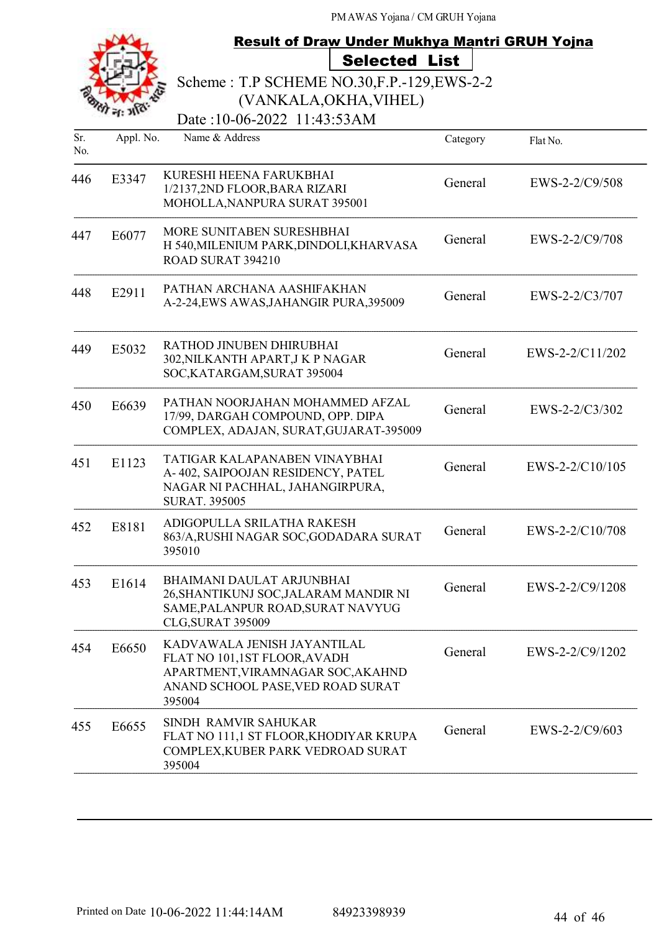|     |           |                                                                                                                                                 | <b>Result of Draw Under Mukhya Mantri GRUH Yojna</b> |                   |  |  |  |  |
|-----|-----------|-------------------------------------------------------------------------------------------------------------------------------------------------|------------------------------------------------------|-------------------|--|--|--|--|
|     |           | <b>Selected List</b>                                                                                                                            |                                                      |                   |  |  |  |  |
|     |           | Scheme: T.P SCHEME NO.30, F.P. - 129, EWS-2-2                                                                                                   |                                                      |                   |  |  |  |  |
|     |           |                                                                                                                                                 | (VANKALA, OKHA, VIHEL)                               |                   |  |  |  |  |
| Sr. |           | Date:10-06-2022 11:43:53AM<br>Name & Address                                                                                                    |                                                      |                   |  |  |  |  |
| No. | Appl. No. |                                                                                                                                                 | Category                                             | Flat No.          |  |  |  |  |
| 446 | E3347     | KURESHI HEENA FARUKBHAI<br>1/2137,2ND FLOOR, BARA RIZARI<br>MOHOLLA, NANPURA SURAT 395001                                                       | General                                              | EWS-2-2/C9/508    |  |  |  |  |
| 447 | E6077     | MORE SUNITABEN SURESHBHAI<br>H 540, MILENIUM PARK, DINDOLI, KHARVASA<br>ROAD SURAT 394210                                                       | General                                              | EWS-2-2/C9/708    |  |  |  |  |
| 448 | E2911     | PATHAN ARCHANA AASHIFAKHAN<br>A-2-24, EWS AWAS, JAHANGIR PURA, 395009                                                                           | General                                              | EWS-2-2/C3/707    |  |  |  |  |
| 449 | E5032     | RATHOD JINUBEN DHIRUBHAI<br>302, NILKANTH APART, J K P NAGAR<br>SOC, KATARGAM, SURAT 395004                                                     | General                                              | $EWS-2-2/C11/202$ |  |  |  |  |
| 450 | E6639     | PATHAN NOORJAHAN MOHAMMED AFZAL<br>17/99, DARGAH COMPOUND, OPP. DIPA<br>COMPLEX, ADAJAN, SURAT, GUJARAT-395009                                  | General                                              | EWS-2-2/C3/302    |  |  |  |  |
| 451 | E1123     | TATIGAR KALAPANABEN VINAYBHAI<br>A-402, SAIPOOJAN RESIDENCY, PATEL<br>NAGAR NI PACHHAL, JAHANGIRPURA,<br><b>SURAT. 395005</b>                   | General                                              | EWS-2-2/C10/105   |  |  |  |  |
| 452 | E8181     | ADIGOPULLA SRILATHA RAKESH<br>863/A,RUSHI NAGAR SOC,GODADARA SURAT<br>395010                                                                    | General                                              | EWS-2-2/C10/708   |  |  |  |  |
| 453 | E1614     | <b>BHAIMANI DAULAT ARJUNBHAI</b><br>26, SHANTIKUNJ SOC, JALARAM MANDIR NI<br>SAME, PALANPUR ROAD, SURAT NAVYUG<br>CLG, SURAT 395009             | General                                              | EWS-2-2/C9/1208   |  |  |  |  |
| 454 | E6650     | KADVAWALA JENISH JAYANTILAL<br>FLAT NO 101,1ST FLOOR, AVADH<br>APARTMENT, VIRAMNAGAR SOC, AKAHND<br>ANAND SCHOOL PASE, VED ROAD SURAT<br>395004 | General                                              | EWS-2-2/C9/1202   |  |  |  |  |
| 455 | E6655     | SINDH RAMVIR SAHUKAR<br>FLAT NO 111,1 ST FLOOR, KHODIYAR KRUPA<br>COMPLEX, KUBER PARK VEDROAD SURAT<br>395004                                   | General                                              | $EWS-2-2/C9/603$  |  |  |  |  |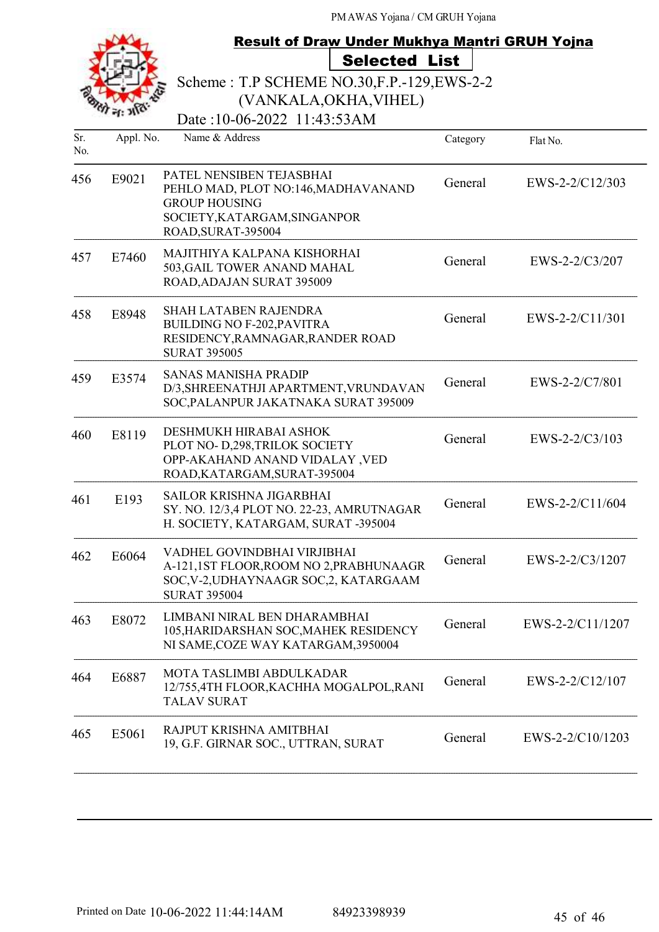|            |           | <b>Result of Draw Under Mukhya Mantri GRUH Yojna</b>                                                                                          |          |                  |  |  |
|------------|-----------|-----------------------------------------------------------------------------------------------------------------------------------------------|----------|------------------|--|--|
|            |           | <b>Selected List</b><br>Scheme: T.P SCHEME NO.30, F.P.-129, EWS-2-2<br>(VANKALA, OKHA, VIHEL)                                                 |          |                  |  |  |
|            |           | Date: 10-06-2022 11:43:53AM                                                                                                                   |          |                  |  |  |
| Sr.<br>No. | Appl. No. | Name & Address                                                                                                                                | Category | Flat No.         |  |  |
| 456        | E9021     | PATEL NENSIBEN TEJASBHAI<br>PEHLO MAD, PLOT NO:146, MADHAVANAND<br><b>GROUP HOUSING</b><br>SOCIETY, KATARGAM, SINGANPOR<br>ROAD, SURAT-395004 | General  | EWS-2-2/C12/303  |  |  |
| 457        | E7460     | MAJITHIYA KALPANA KISHORHAI<br>503, GAIL TOWER ANAND MAHAL<br>ROAD, ADAJAN SURAT 395009                                                       | General  | EWS-2-2/C3/207   |  |  |
| 458        | E8948     | <b>SHAH LATABEN RAJENDRA</b><br><b>BUILDING NO F-202, PAVITRA</b><br>RESIDENCY, RAMNAGAR, RANDER ROAD<br><b>SURAT 395005</b>                  | General  | EWS-2-2/C11/301  |  |  |
| 459        | E3574     | <b>SANAS MANISHA PRADIP</b><br>D/3, SHREENATHJI APARTMENT, VRUNDAVAN<br>SOC, PALANPUR JAKATNAKA SURAT 395009                                  | General  | EWS-2-2/C7/801   |  |  |
| 460        | E8119     | DESHMUKH HIRABAI ASHOK<br>PLOT NO- D,298, TRILOK SOCIETY<br>OPP-AKAHAND ANAND VIDALAY , VED<br>ROAD, KATARGAM, SURAT-395004                   | General  | EWS-2-2/C3/103   |  |  |
| 461        | E193      | <b>SAILOR KRISHNA JIGARBHAI</b><br>SY. NO. 12/3,4 PLOT NO. 22-23, AMRUTNAGAR<br>H. SOCIETY, KATARGAM, SURAT -395004                           | General  | EWS-2-2/C11/604  |  |  |
| 462        | E6064     | VADHEL GOVINDBHAI VIRJIBHAI<br>A-121,1ST FLOOR, ROOM NO 2, PRABHUNAAGR<br>SOC, V-2, UDHAYNAAGR SOC, 2, KATARGAAM<br><b>SURAT 395004</b>       | General  | EWS-2-2/C3/1207  |  |  |
| 463        | E8072     | LIMBANI NIRAL BEN DHARAMBHAI<br>105, HARIDARSHAN SOC, MAHEK RESIDENCY<br>NI SAME, COZE WAY KATARGAM, 3950004                                  | General  | EWS-2-2/C11/1207 |  |  |
| 464        | E6887     | MOTA TASLIMBI ABDULKADAR<br>12/755,4TH FLOOR, KACHHA MOGALPOL, RANI<br><b>TALAV SURAT</b>                                                     | General  | EWS-2-2/C12/107  |  |  |
| 465        | E5061     | RAJPUT KRISHNA AMITBHAI<br>19, G.F. GIRNAR SOC., UTTRAN, SURAT                                                                                | General  | EWS-2-2/C10/1203 |  |  |